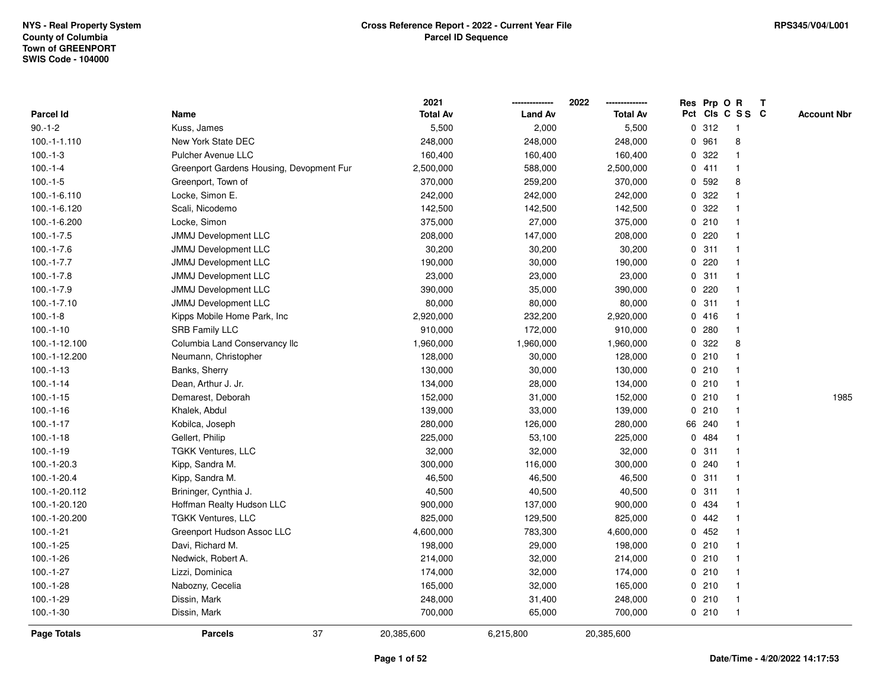|               |                                          | 2021            |                | 2022            |             |        | Res Prp O R             | Т |                    |
|---------------|------------------------------------------|-----------------|----------------|-----------------|-------------|--------|-------------------------|---|--------------------|
| Parcel Id     | Name                                     | <b>Total Av</b> | <b>Land Av</b> | <b>Total Av</b> |             |        | Pct Cls C S S C         |   | <b>Account Nbr</b> |
| $90.-1-2$     | Kuss, James                              | 5,500           | 2,000          | 5,500           | 0           | 312    | $\mathbf{1}$            |   |                    |
| 100.-1-1.110  | New York State DEC                       | 248,000         | 248,000        | 248,000         | 0           | 961    | 8                       |   |                    |
| $100.-1-3$    | <b>Pulcher Avenue LLC</b>                | 160,400         | 160,400        | 160,400         |             | 0.322  | -1                      |   |                    |
| $100.-1-4$    | Greenport Gardens Housing, Devopment Fur | 2,500,000       | 588,000        | 2,500,000       |             | 0411   |                         |   |                    |
| $100.-1-5$    | Greenport, Town of                       | 370,000         | 259,200        | 370,000         |             | 0 592  | 8                       |   |                    |
| 100.-1-6.110  | Locke, Simon E.                          | 242,000         | 242,000        | 242,000         |             | 0 322  |                         |   |                    |
| 100.-1-6.120  | Scali, Nicodemo                          | 142,500         | 142,500        | 142,500         |             | 0.322  |                         |   |                    |
| 100.-1-6.200  | Locke, Simon                             | 375,000         | 27,000         | 375,000         |             | 0210   |                         |   |                    |
| $100.-1-7.5$  | <b>JMMJ Development LLC</b>              | 208,000         | 147,000        | 208,000         |             | 0.220  | -1                      |   |                    |
| $100.-1-7.6$  | JMMJ Development LLC                     | 30,200          | 30,200         | 30,200          |             | 0.311  | $\mathbf 1$             |   |                    |
| $100.-1-7.7$  | JMMJ Development LLC                     | 190,000         | 30,000         | 190,000         |             | 0.220  | -1                      |   |                    |
| $100.-1-7.8$  | <b>JMMJ Development LLC</b>              | 23,000          | 23,000         | 23,000          |             | 0.311  |                         |   |                    |
| $100.-1-7.9$  | <b>JMMJ Development LLC</b>              | 390,000         | 35,000         | 390,000         | 0           | 220    |                         |   |                    |
| $100.-1-7.10$ | JMMJ Development LLC                     | 80,000          | 80,000         | 80,000          |             | 0.311  |                         |   |                    |
| $100.-1-8$    | Kipps Mobile Home Park, Inc              | 2,920,000       | 232,200        | 2,920,000       |             | 0416   |                         |   |                    |
| $100.-1-10$   | <b>SRB Family LLC</b>                    | 910,000         | 172,000        | 910,000         | 0           | 280    | $\mathbf{1}$            |   |                    |
| 100.-1-12.100 | Columbia Land Conservancy Ilc            | 1,960,000       | 1,960,000      | 1,960,000       | 0           | 322    | 8                       |   |                    |
| 100.-1-12.200 | Neumann, Christopher                     | 128,000         | 30,000         | 128,000         |             | 0210   |                         |   |                    |
| $100.-1-13$   | Banks, Sherry                            | 130,000         | 30,000         | 130,000         |             | 0210   |                         |   |                    |
| $100.-1-14$   | Dean, Arthur J. Jr.                      | 134,000         | 28,000         | 134,000         |             | 0210   |                         |   |                    |
| $100.-1-15$   | Demarest, Deborah                        | 152,000         | 31,000         | 152,000         |             | 0210   | $\overline{\mathbf{1}}$ |   | 1985               |
| $100.-1-16$   | Khalek, Abdul                            | 139,000         | 33,000         | 139,000         |             | 0210   |                         |   |                    |
| $100.-1-17$   | Kobilca, Joseph                          | 280,000         | 126,000        | 280,000         |             | 66 240 |                         |   |                    |
| $100.-1-18$   | Gellert, Philip                          | 225,000         | 53,100         | 225,000         | $\mathbf 0$ | 484    | -1                      |   |                    |
| $100.-1-19$   | <b>TGKK Ventures, LLC</b>                | 32,000          | 32,000         | 32,000          |             | 0.311  |                         |   |                    |
| 100.-1-20.3   | Kipp, Sandra M.                          | 300,000         | 116,000        | 300,000         |             | 0.240  |                         |   |                    |
| 100.-1-20.4   | Kipp, Sandra M.                          | 46,500          | 46,500         | 46,500          |             | 0.311  |                         |   |                    |
| 100.-1-20.112 | Brininger, Cynthia J.                    | 40,500          | 40,500         | 40,500          |             | 0.311  |                         |   |                    |
| 100.-1-20.120 | Hoffman Realty Hudson LLC                | 900,000         | 137,000        | 900,000         | 0           | 434    |                         |   |                    |
| 100.-1-20.200 | <b>TGKK Ventures, LLC</b>                | 825,000         | 129,500        | 825,000         | 0           | 442    | -1                      |   |                    |
| $100.-1-21$   | Greenport Hudson Assoc LLC               | 4,600,000       | 783,300        | 4,600,000       | 0           | 452    |                         |   |                    |
| $100.-1-25$   | Davi, Richard M.                         | 198,000         | 29,000         | 198,000         |             | 0210   | -1                      |   |                    |
| $100.-1-26$   | Nedwick, Robert A.                       | 214,000         | 32,000         | 214,000         |             | 0210   |                         |   |                    |
| $100.-1-27$   | Lizzi, Dominica                          | 174,000         | 32,000         | 174,000         |             | 0210   |                         |   |                    |
| $100.-1-28$   | Nabozny, Cecelia                         | 165,000         | 32,000         | 165,000         |             | 0210   | -1                      |   |                    |
| 100.-1-29     | Dissin, Mark                             | 248,000         | 31,400         | 248,000         |             | 0210   | -1                      |   |                    |
| $100.-1-30$   | Dissin, Mark                             | 700,000         | 65,000         | 700,000         |             | 0210   | $\mathbf{1}$            |   |                    |
| Page Totals   | 37<br><b>Parcels</b>                     | 20,385,600      | 6,215,800      | 20,385,600      |             |        |                         |   |                    |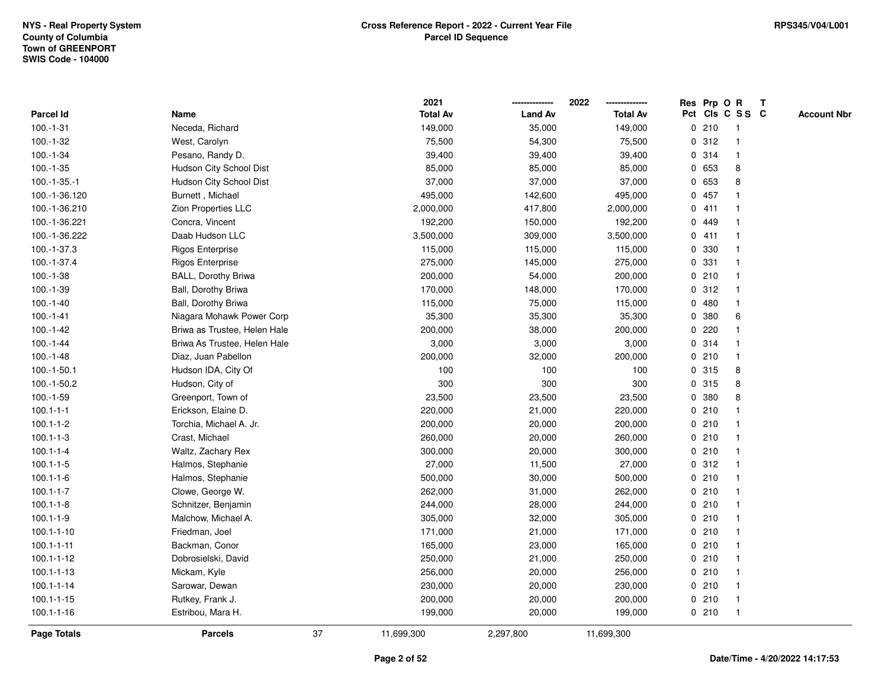|                    |                              |    | 2021            |                | 2022<br>        |             |       | Res Prp O R     | $\mathbf{T}$ |                    |
|--------------------|------------------------------|----|-----------------|----------------|-----------------|-------------|-------|-----------------|--------------|--------------------|
| Parcel Id          | Name                         |    | <b>Total Av</b> | <b>Land Av</b> | <b>Total Av</b> |             |       | Pct Cls C S S C |              | <b>Account Nbr</b> |
| $100.-1-31$        | Neceda, Richard              |    | 149,000         | 35,000         | 149,000         |             | 0210  | -1              |              |                    |
| $100.-1-32$        | West, Carolyn                |    | 75,500          | 54,300         | 75,500          |             | 0.312 |                 |              |                    |
| $100.-1-34$        | Pesano, Randy D.             |    | 39,400          | 39,400         | 39,400          |             | 0.314 | -1              |              |                    |
| $100.-1-35$        | Hudson City School Dist      |    | 85,000          | 85,000         | 85,000          | 0           | 653   | 8               |              |                    |
| $100.-1-35.-1$     | Hudson City School Dist      |    | 37,000          | 37,000         | 37,000          | $\mathbf 0$ | 653   | 8               |              |                    |
| 100.-1-36.120      | Burnett, Michael             |    | 495,000         | 142,600        | 495,000         |             | 0 457 | -1              |              |                    |
| 100.-1-36.210      | Zion Properties LLC          |    | 2,000,000       | 417,800        | 2,000,000       |             | 0411  |                 |              |                    |
| 100.-1-36.221      | Concra, Vincent              |    | 192,200         | 150,000        | 192,200         |             | 0 449 |                 |              |                    |
| 100.-1-36.222      | Daab Hudson LLC              |    | 3,500,000       | 309,000        | 3,500,000       |             | 0411  |                 |              |                    |
| 100.-1-37.3        | <b>Rigos Enterprise</b>      |    | 115,000         | 115,000        | 115,000         | 0           | 330   |                 |              |                    |
| 100.-1-37.4        | <b>Rigos Enterprise</b>      |    | 275,000         | 145,000        | 275,000         | 0           | 331   | -1              |              |                    |
| $100.-1-38$        | BALL, Dorothy Briwa          |    | 200,000         | 54,000         | 200,000         |             | 0210  | -1              |              |                    |
| $100.-1-39$        | Ball, Dorothy Briwa          |    | 170,000         | 148,000        | 170,000         |             | 0.312 |                 |              |                    |
| $100.-1-40$        | Ball, Dorothy Briwa          |    | 115,000         | 75,000         | 115,000         |             | 0480  |                 |              |                    |
| $100.-1-41$        | Niagara Mohawk Power Corp    |    | 35,300          | 35,300         | 35,300          | 0           | 380   | 6               |              |                    |
| $100.-1-42$        | Briwa as Trustee, Helen Hale |    | 200,000         | 38,000         | 200,000         | 0           | 220   |                 |              |                    |
| $100.-1-44$        | Briwa As Trustee, Helen Hale |    | 3,000           | 3,000          | 3,000           | 0           | 314   |                 |              |                    |
| $100.-1-48$        | Diaz, Juan Pabellon          |    | 200,000         | 32,000         | 200,000         | $\mathbf 0$ | 210   | $\overline{1}$  |              |                    |
| $100.-1-50.1$      | Hudson IDA, City Of          |    | 100             | 100            | 100             |             | 0 315 | 8               |              |                    |
| 100.-1-50.2        | Hudson, City of              |    | 300             | 300            | 300             |             | 0.315 | 8               |              |                    |
| $100.-1-59$        | Greenport, Town of           |    | 23,500          | 23,500         | 23,500          | 0           | 380   | 8               |              |                    |
| $100.1 - 1 - 1$    | Erickson, Elaine D.          |    | 220,000         | 21,000         | 220,000         |             | 0210  |                 |              |                    |
| $100.1 - 1 - 2$    | Torchia, Michael A. Jr.      |    | 200,000         | 20,000         | 200,000         | 0           | 210   |                 |              |                    |
| $100.1 - 1 - 3$    | Crast, Michael               |    | 260,000         | 20,000         | 260,000         | 0           | 210   | -1              |              |                    |
| $100.1 - 1 - 4$    | Waltz, Zachary Rex           |    | 300,000         | 20,000         | 300,000         | $\mathbf 0$ | 210   | $\overline{1}$  |              |                    |
| $100.1 - 1 - 5$    | Halmos, Stephanie            |    | 27,000          | 11,500         | 27,000          |             | 0.312 |                 |              |                    |
| $100.1 - 1 - 6$    | Halmos, Stephanie            |    | 500,000         | 30,000         | 500,000         |             | 0210  |                 |              |                    |
| $100.1 - 1 - 7$    | Clowe, George W.             |    | 262,000         | 31,000         | 262,000         |             | 0210  |                 |              |                    |
| $100.1 - 1 - 8$    | Schnitzer, Benjamin          |    | 244,000         | 28,000         | 244,000         |             | 0210  |                 |              |                    |
| $100.1 - 1 - 9$    | Malchow, Michael A.          |    | 305,000         | 32,000         | 305,000         | 0           | 210   | $\overline{1}$  |              |                    |
| $100.1 - 1 - 10$   | Friedman, Joel               |    | 171,000         | 21,000         | 171,000         | 0           | 210   | $\overline{1}$  |              |                    |
| $100.1 - 1 - 11$   | Backman, Conor               |    | 165,000         | 23,000         | 165,000         |             | 0210  | $\mathbf{1}$    |              |                    |
| $100.1 - 1 - 12$   | Dobrosielski, David          |    | 250,000         | 21,000         | 250,000         |             | 0210  |                 |              |                    |
| $100.1 - 1 - 13$   | Mickam, Kyle                 |    | 256,000         | 20,000         | 256,000         |             | 0210  |                 |              |                    |
| $100.1 - 1 - 14$   | Sarowar, Dewan               |    | 230,000         | 20,000         | 230,000         |             | 0210  |                 |              |                    |
| $100.1 - 1 - 15$   | Rutkey, Frank J.             |    | 200,000         | 20,000         | 200,000         |             | 0210  | -1              |              |                    |
| $100.1 - 1 - 16$   | Estribou, Mara H.            |    | 199,000         | 20,000         | 199,000         |             | 0210  | $\overline{1}$  |              |                    |
| <b>Page Totals</b> | <b>Parcels</b>               | 37 | 11,699,300      | 2,297,800      | 11,699,300      |             |       |                 |              |                    |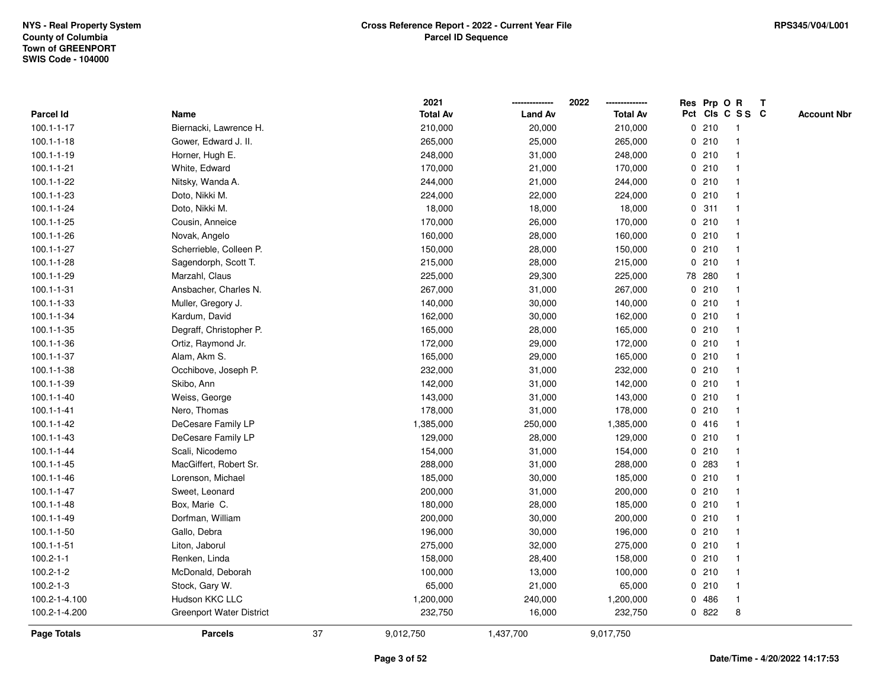|                  |                          |    | 2021            |                | 2022            | Res Prp O   |        | $\mathbf R$     | $\mathsf{T}$ |                    |
|------------------|--------------------------|----|-----------------|----------------|-----------------|-------------|--------|-----------------|--------------|--------------------|
| Parcel Id        | Name                     |    | <b>Total Av</b> | <b>Land Av</b> | <b>Total Av</b> |             |        | Pct Cls C S S C |              | <b>Account Nbr</b> |
| $100.1 - 1 - 17$ | Biernacki, Lawrence H.   |    | 210,000         | 20,000         | 210,000         |             | 0210   |                 |              |                    |
| $100.1 - 1 - 18$ | Gower, Edward J. II.     |    | 265,000         | 25,000         | 265,000         |             | 0210   |                 |              |                    |
| $100.1 - 1 - 19$ | Horner, Hugh E.          |    | 248,000         | 31,000         | 248,000         |             | 0210   | -1              |              |                    |
| $100.1 - 1 - 21$ | White, Edward            |    | 170,000         | 21,000         | 170,000         | $\mathbf 0$ | 210    | $\mathbf{1}$    |              |                    |
| 100.1-1-22       | Nitsky, Wanda A.         |    | 244,000         | 21,000         | 244,000         |             | 0210   | -1              |              |                    |
| 100.1-1-23       | Doto, Nikki M.           |    | 224,000         | 22,000         | 224,000         |             | 0210   | -1              |              |                    |
| 100.1-1-24       | Doto, Nikki M.           |    | 18,000          | 18,000         | 18,000          |             | 0.311  |                 |              |                    |
| 100.1-1-25       | Cousin, Anneice          |    | 170,000         | 26,000         | 170,000         |             | 0210   |                 |              |                    |
| 100.1-1-26       | Novak, Angelo            |    | 160,000         | 28,000         | 160,000         |             | 0210   |                 |              |                    |
| 100.1-1-27       | Scherrieble, Colleen P.  |    | 150,000         | 28,000         | 150,000         |             | 0210   |                 |              |                    |
| 100.1-1-28       | Sagendorph, Scott T.     |    | 215,000         | 28,000         | 215,000         |             | 0210   | -1              |              |                    |
| 100.1-1-29       | Marzahl, Claus           |    | 225,000         | 29,300         | 225,000         |             | 78 280 | $\mathbf{1}$    |              |                    |
| $100.1 - 1 - 31$ | Ansbacher, Charles N.    |    | 267,000         | 31,000         | 267,000         |             | 0210   |                 |              |                    |
| 100.1-1-33       | Muller, Gregory J.       |    | 140,000         | 30,000         | 140,000         |             | 0210   |                 |              |                    |
| 100.1-1-34       | Kardum, David            |    | 162,000         | 30,000         | 162,000         |             | 0210   |                 |              |                    |
| 100.1-1-35       | Degraff, Christopher P.  |    | 165,000         | 28,000         | 165,000         |             | 0210   |                 |              |                    |
| 100.1-1-36       | Ortiz, Raymond Jr.       |    | 172,000         | 29,000         | 172,000         | $\mathbf 0$ | 210    |                 |              |                    |
| 100.1-1-37       | Alam, Akm S.             |    | 165,000         | 29,000         | 165,000         |             | 0210   | -1              |              |                    |
| 100.1-1-38       | Occhibove, Joseph P.     |    | 232,000         | 31,000         | 232,000         |             | 0210   | -1              |              |                    |
| 100.1-1-39       | Skibo, Ann               |    | 142,000         | 31,000         | 142,000         |             | 0210   |                 |              |                    |
| $100.1 - 1 - 40$ | Weiss, George            |    | 143,000         | 31,000         | 143,000         |             | 0210   |                 |              |                    |
| $100.1 - 1 - 41$ | Nero, Thomas             |    | 178,000         | 31,000         | 178,000         |             | 0210   |                 |              |                    |
| 100.1-1-42       | DeCesare Family LP       |    | 1,385,000       | 250,000        | 1,385,000       |             | 0416   |                 |              |                    |
| $100.1 - 1 - 43$ | DeCesare Family LP       |    | 129,000         | 28,000         | 129,000         |             | 0210   | $\mathbf{1}$    |              |                    |
| $100.1 - 1 - 44$ | Scali, Nicodemo          |    | 154,000         | 31,000         | 154,000         |             | 0210   |                 |              |                    |
| $100.1 - 1 - 45$ | MacGiffert, Robert Sr.   |    | 288,000         | 31,000         | 288,000         |             | 0.283  | $\mathbf 1$     |              |                    |
| $100.1 - 1 - 46$ | Lorenson, Michael        |    | 185,000         | 30,000         | 185,000         |             | 0210   |                 |              |                    |
| $100.1 - 1 - 47$ | Sweet, Leonard           |    | 200,000         | 31,000         | 200,000         |             | 0210   |                 |              |                    |
| 100.1-1-48       | Box, Marie C.            |    | 180,000         | 28,000         | 185,000         |             | 0210   |                 |              |                    |
| 100.1-1-49       | Dorfman, William         |    | 200,000         | 30,000         | 200,000         |             | 0210   |                 |              |                    |
| 100.1-1-50       | Gallo, Debra             |    | 196,000         | 30,000         | 196,000         | $\mathbf 0$ | 210    | -1              |              |                    |
| $100.1 - 1 - 51$ | Liton, Jaborul           |    | 275,000         | 32,000         | 275,000         |             | 0210   | $\mathbf 1$     |              |                    |
| $100.2 - 1 - 1$  | Renken, Linda            |    | 158,000         | 28,400         | 158,000         |             | 0210   |                 |              |                    |
| $100.2 - 1 - 2$  | McDonald, Deborah        |    | 100,000         | 13,000         | 100,000         |             | 0210   |                 |              |                    |
| $100.2 - 1 - 3$  | Stock, Gary W.           |    | 65,000          | 21,000         | 65,000          |             | 0210   |                 |              |                    |
| 100.2-1-4.100    | Hudson KKC LLC           |    | 1,200,000       | 240,000        | 1,200,000       | 0           | 486    | $\mathbf 1$     |              |                    |
| 100.2-1-4.200    | Greenport Water District |    | 232,750         | 16,000         | 232,750         |             | 0822   | 8               |              |                    |
| Page Totals      | <b>Parcels</b>           | 37 | 9,012,750       | 1,437,700      | 9,017,750       |             |        |                 |              |                    |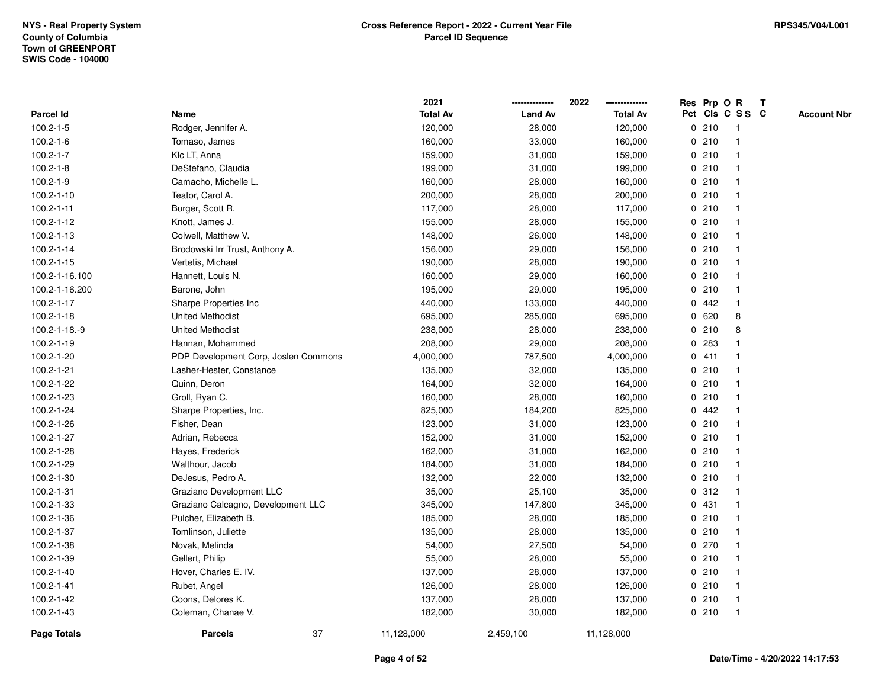|                    |                                      | 2021            |                | 2022            | Res Prp O R |       |                 | $\mathbf{T}$       |
|--------------------|--------------------------------------|-----------------|----------------|-----------------|-------------|-------|-----------------|--------------------|
| Parcel Id          | Name                                 | <b>Total Av</b> | <b>Land Av</b> | <b>Total Av</b> |             |       | Pct Cls C S S C | <b>Account Nbr</b> |
| $100.2 - 1 - 5$    | Rodger, Jennifer A.                  | 120,000         | 28,000         | 120,000         |             | 0210  | -1              |                    |
| $100.2 - 1 - 6$    | Tomaso, James                        | 160,000         | 33,000         | 160,000         | 0           | 210   |                 |                    |
| $100.2 - 1 - 7$    | Klc LT, Anna                         | 159,000         | 31,000         | 159,000         |             | 0210  |                 |                    |
| $100.2 - 1 - 8$    | DeStefano, Claudia                   | 199,000         | 31,000         | 199,000         | 0           | 210   | $\mathbf{1}$    |                    |
| $100.2 - 1 - 9$    | Camacho, Michelle L.                 | 160,000         | 28,000         | 160,000         |             | 0210  | $\mathbf{1}$    |                    |
| 100.2-1-10         | Teator, Carol A.                     | 200,000         | 28,000         | 200,000         |             | 0210  | -1              |                    |
| $100.2 - 1 - 11$   | Burger, Scott R.                     | 117,000         | 28,000         | 117,000         |             | 0210  |                 |                    |
| 100.2-1-12         | Knott, James J.                      | 155,000         | 28,000         | 155,000         |             | 0210  |                 |                    |
| 100.2-1-13         | Colwell, Matthew V.                  | 148,000         | 26,000         | 148,000         |             | 0210  |                 |                    |
| 100.2-1-14         | Brodowski Irr Trust, Anthony A.      | 156,000         | 29,000         | 156,000         |             | 0210  |                 |                    |
| 100.2-1-15         | Vertetis, Michael                    | 190,000         | 28,000         | 190,000         |             | 0210  | -1              |                    |
| 100.2-1-16.100     | Hannett, Louis N.                    | 160,000         | 29,000         | 160,000         |             | 0210  | $\mathbf{1}$    |                    |
| 100.2-1-16.200     | Barone, John                         | 195,000         | 29,000         | 195,000         |             | 0210  |                 |                    |
| 100.2-1-17         | Sharpe Properties Inc                | 440,000         | 133,000        | 440,000         |             | 0.442 |                 |                    |
| 100.2-1-18         | <b>United Methodist</b>              | 695,000         | 285,000        | 695,000         | 0           | 620   | 8               |                    |
| 100.2-1-18.-9      | <b>United Methodist</b>              | 238,000         | 28,000         | 238,000         |             | 0210  | 8               |                    |
| 100.2-1-19         | Hannan, Mohammed                     | 208,000         | 29,000         | 208,000         | 0           | 283   |                 |                    |
| 100.2-1-20         | PDP Development Corp, Joslen Commons | 4,000,000       | 787,500        | 4,000,000       | 0           | 411   | -1              |                    |
| 100.2-1-21         | Lasher-Hester, Constance             | 135,000         | 32,000         | 135,000         |             | 0210  | -1              |                    |
| 100.2-1-22         | Quinn, Deron                         | 164,000         | 32,000         | 164,000         |             | 0210  |                 |                    |
| 100.2-1-23         | Groll, Ryan C.                       | 160,000         | 28,000         | 160,000         |             | 0210  |                 |                    |
| 100.2-1-24         | Sharpe Properties, Inc.              | 825,000         | 184,200        | 825,000         |             | 0.442 |                 |                    |
| 100.2-1-26         | Fisher, Dean                         | 123,000         | 31,000         | 123,000         |             | 0210  |                 |                    |
| 100.2-1-27         | Adrian, Rebecca                      | 152,000         | 31,000         | 152,000         | $\mathbf 0$ | 210   |                 |                    |
| 100.2-1-28         | Hayes, Frederick                     | 162,000         | 31,000         | 162,000         |             | 0210  | -1              |                    |
| 100.2-1-29         | Walthour, Jacob                      | 184,000         | 31,000         | 184,000         |             | 0210  |                 |                    |
| 100.2-1-30         | DeJesus, Pedro A.                    | 132,000         | 22,000         | 132,000         |             | 0210  |                 |                    |
| 100.2-1-31         | Graziano Development LLC             | 35,000          | 25,100         | 35,000          |             | 0.312 |                 |                    |
| 100.2-1-33         | Graziano Calcagno, Development LLC   | 345,000         | 147,800        | 345,000         |             | 0 431 |                 |                    |
| 100.2-1-36         | Pulcher, Elizabeth B.                | 185,000         | 28,000         | 185,000         | 0           | 210   |                 |                    |
| 100.2-1-37         | Tomlinson, Juliette                  | 135,000         | 28,000         | 135,000         | 0           | 210   | $\overline{1}$  |                    |
| 100.2-1-38         | Novak, Melinda                       | 54,000          | 27,500         | 54,000          |             | 0 270 | -1              |                    |
| 100.2-1-39         | Gellert, Philip                      | 55,000          | 28,000         | 55,000          |             | 0210  |                 |                    |
| 100.2-1-40         | Hover, Charles E. IV.                | 137,000         | 28,000         | 137,000         |             | 0210  |                 |                    |
| 100.2-1-41         | Rubet, Angel                         | 126,000         | 28,000         | 126,000         |             | 0210  |                 |                    |
| 100.2-1-42         | Coons, Delores K.                    | 137,000         | 28,000         | 137,000         |             | 0210  | $\overline{1}$  |                    |
| 100.2-1-43         | Coleman, Chanae V.                   | 182,000         | 30,000         | 182,000         |             | 0210  | $\overline{1}$  |                    |
| <b>Page Totals</b> | 37<br><b>Parcels</b>                 | 11,128,000      | 2,459,100      | 11,128,000      |             |       |                 |                    |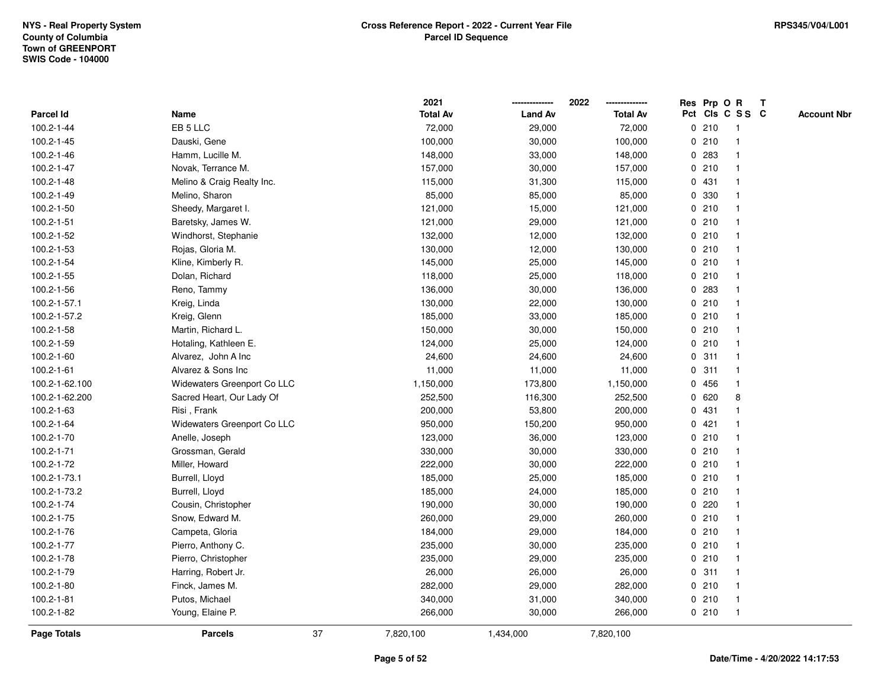|                    |                             |    | 2021            |                | 2022            |   | Res Prp O R |                 | T |                    |
|--------------------|-----------------------------|----|-----------------|----------------|-----------------|---|-------------|-----------------|---|--------------------|
| Parcel Id          | Name                        |    | <b>Total Av</b> | <b>Land Av</b> | <b>Total Av</b> |   |             | Pct Cls C S S C |   | <b>Account Nbr</b> |
| 100.2-1-44         | EB <sub>5</sub> LLC         |    | 72,000          | 29,000         | 72,000          | 0 | 210         | $\mathbf{1}$    |   |                    |
| 100.2-1-45         | Dauski, Gene                |    | 100,000         | 30,000         | 100,000         | 0 | 210         | -1              |   |                    |
| 100.2-1-46         | Hamm, Lucille M.            |    | 148,000         | 33,000         | 148,000         |   | 0 283       |                 |   |                    |
| 100.2-1-47         | Novak, Terrance M.          |    | 157,000         | 30,000         | 157,000         |   | 0210        |                 |   |                    |
| 100.2-1-48         | Melino & Craig Realty Inc.  |    | 115,000         | 31,300         | 115,000         |   | 0431        |                 |   |                    |
| 100.2-1-49         | Melino, Sharon              |    | 85,000          | 85,000         | 85,000          |   | 0 330       |                 |   |                    |
| 100.2-1-50         | Sheedy, Margaret I.         |    | 121,000         | 15,000         | 121,000         |   | 0210        |                 |   |                    |
| 100.2-1-51         | Baretsky, James W.          |    | 121,000         | 29,000         | 121,000         | 0 | 210         | $\mathbf{1}$    |   |                    |
| 100.2-1-52         | Windhorst, Stephanie        |    | 132,000         | 12,000         | 132,000         |   | 0210        | -1              |   |                    |
| 100.2-1-53         | Rojas, Gloria M.            |    | 130,000         | 12,000         | 130,000         |   | 0210        | $\mathbf 1$     |   |                    |
| 100.2-1-54         | Kline, Kimberly R.          |    | 145,000         | 25,000         | 145,000         |   | 0210        |                 |   |                    |
| 100.2-1-55         | Dolan, Richard              |    | 118,000         | 25,000         | 118,000         |   | 0210        |                 |   |                    |
| 100.2-1-56         | Reno, Tammy                 |    | 136,000         | 30,000         | 136,000         |   | 0 283       |                 |   |                    |
| 100.2-1-57.1       | Kreig, Linda                |    | 130,000         | 22,000         | 130,000         |   | 0210        | $\mathbf 1$     |   |                    |
| 100.2-1-57.2       | Kreig, Glenn                |    | 185,000         | 33,000         | 185,000         | 0 | 210         |                 |   |                    |
| 100.2-1-58         | Martin, Richard L.          |    | 150,000         | 30,000         | 150,000         | 0 | 210         | $\mathbf{1}$    |   |                    |
| 100.2-1-59         | Hotaling, Kathleen E.       |    | 124,000         | 25,000         | 124,000         |   | 0210        | $\mathbf{1}$    |   |                    |
| 100.2-1-60         | Alvarez, John A Inc.        |    | 24,600          | 24,600         | 24,600          |   | 0.311       |                 |   |                    |
| 100.2-1-61         | Alvarez & Sons Inc          |    | 11,000          | 11,000         | 11,000          |   | 0.311       |                 |   |                    |
| 100.2-1-62.100     | Widewaters Greenport Co LLC |    | 1,150,000       | 173,800        | 1,150,000       |   | 0 456       |                 |   |                    |
| 100.2-1-62.200     | Sacred Heart, Our Lady Of   |    | 252,500         | 116,300        | 252,500         |   | 0620        | 8               |   |                    |
| 100.2-1-63         | Risi, Frank                 |    | 200,000         | 53,800         | 200,000         |   | 0431        |                 |   |                    |
| 100.2-1-64         | Widewaters Greenport Co LLC |    | 950,000         | 150,200        | 950,000         |   | 0421        | -1              |   |                    |
| 100.2-1-70         | Anelle, Joseph              |    | 123,000         | 36,000         | 123,000         | 0 | 210         |                 |   |                    |
| 100.2-1-71         | Grossman, Gerald            |    | 330,000         | 30,000         | 330,000         |   | 0210        | 1               |   |                    |
| 100.2-1-72         | Miller, Howard              |    | 222,000         | 30,000         | 222,000         |   | 0210        |                 |   |                    |
| 100.2-1-73.1       | Burrell, Lloyd              |    | 185,000         | 25,000         | 185,000         |   | 0210        |                 |   |                    |
| 100.2-1-73.2       | Burrell, Lloyd              |    | 185,000         | 24,000         | 185,000         |   | 0210        |                 |   |                    |
| 100.2-1-74         | Cousin, Christopher         |    | 190,000         | 30,000         | 190,000         |   | 0220        |                 |   |                    |
| 100.2-1-75         | Snow, Edward M.             |    | 260,000         | 29,000         | 260,000         | 0 | 210         | 1               |   |                    |
| 100.2-1-76         | Campeta, Gloria             |    | 184,000         | 29,000         | 184,000         | 0 | 210         | $\mathbf 1$     |   |                    |
| 100.2-1-77         | Pierro, Anthony C.          |    | 235,000         | 30,000         | 235,000         |   | 0210        |                 |   |                    |
| 100.2-1-78         | Pierro, Christopher         |    | 235,000         | 29,000         | 235,000         |   | 0210        |                 |   |                    |
| 100.2-1-79         | Harring, Robert Jr.         |    | 26,000          | 26,000         | 26,000          |   | 0.311       |                 |   |                    |
| 100.2-1-80         | Finck, James M.             |    | 282,000         | 29,000         | 282,000         |   | 0210        | $\mathbf{1}$    |   |                    |
| 100.2-1-81         | Putos, Michael              |    | 340,000         | 31,000         | 340,000         |   | 0210        | $\mathbf{1}$    |   |                    |
| 100.2-1-82         | Young, Elaine P.            |    | 266,000         | 30,000         | 266,000         |   | 0210        | $\mathbf{1}$    |   |                    |
| <b>Page Totals</b> | <b>Parcels</b>              | 37 | 7,820,100       | 1,434,000      | 7,820,100       |   |             |                 |   |                    |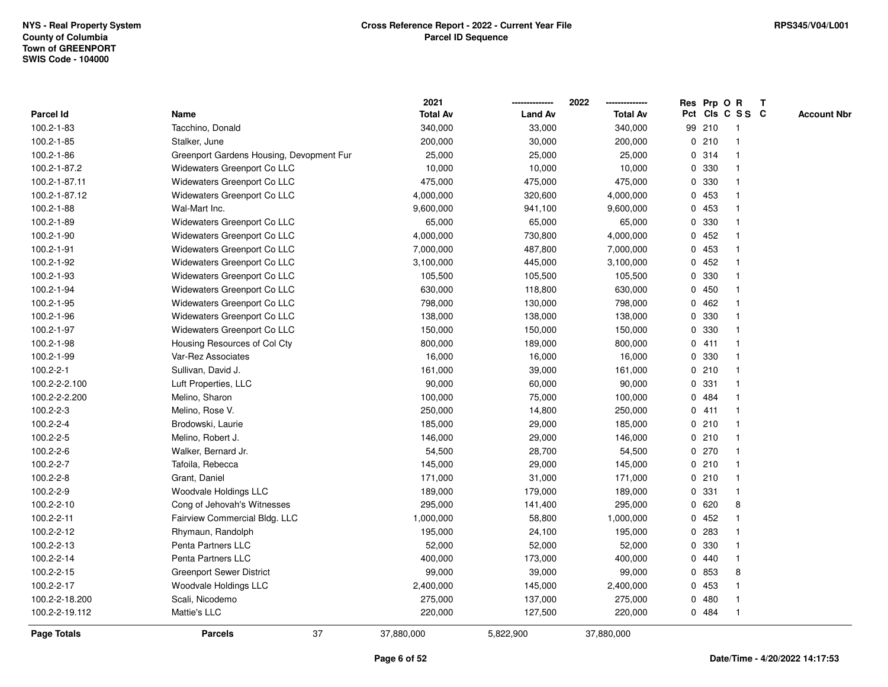|                    |                                          | 2021            |                | 2022            | Res Prp O R  |        |                |                 | T |                    |
|--------------------|------------------------------------------|-----------------|----------------|-----------------|--------------|--------|----------------|-----------------|---|--------------------|
| Parcel Id          | Name                                     | <b>Total Av</b> | <b>Land Av</b> | <b>Total Av</b> |              |        |                | Pct Cls C S S C |   | <b>Account Nbr</b> |
| 100.2-1-83         | Tacchino, Donald                         | 340,000         | 33,000         | 340,000         |              | 99 210 |                | $\mathbf{1}$    |   |                    |
| 100.2-1-85         | Stalker, June                            | 200,000         | 30,000         | 200,000         | 0            | 210    | $\overline{1}$ |                 |   |                    |
| 100.2-1-86         | Greenport Gardens Housing, Devopment Fur | 25,000          | 25,000         | 25,000          |              | 0 314  |                | $\mathbf{1}$    |   |                    |
| 100.2-1-87.2       | Widewaters Greenport Co LLC              | 10,000          | 10,000         | 10,000          |              | 0 330  |                |                 |   |                    |
| 100.2-1-87.11      | Widewaters Greenport Co LLC              | 475,000         | 475,000        | 475,000         |              | 0 330  |                |                 |   |                    |
| 100.2-1-87.12      | Widewaters Greenport Co LLC              | 4,000,000       | 320,600        | 4,000,000       |              | 0 453  |                |                 |   |                    |
| 100.2-1-88         | Wal-Mart Inc.                            | 9,600,000       | 941,100        | 9,600,000       | 0            | 453    |                |                 |   |                    |
| 100.2-1-89         | Widewaters Greenport Co LLC              | 65,000          | 65,000         | 65,000          | 0            | 330    |                |                 |   |                    |
| 100.2-1-90         | Widewaters Greenport Co LLC              | 4,000,000       | 730,800        | 4,000,000       | $\mathbf{0}$ | 452    | $\overline{1}$ |                 |   |                    |
| 100.2-1-91         | Widewaters Greenport Co LLC              | 7,000,000       | 487,800        | 7,000,000       | $\mathbf{0}$ | 453    |                | $\mathbf{1}$    |   |                    |
| 100.2-1-92         | Widewaters Greenport Co LLC              | 3,100,000       | 445,000        | 3,100,000       |              | 0452   | -1             |                 |   |                    |
| 100.2-1-93         | Widewaters Greenport Co LLC              | 105,500         | 105,500        | 105,500         |              | 0 330  |                |                 |   |                    |
| 100.2-1-94         | Widewaters Greenport Co LLC              | 630,000         | 118,800        | 630,000         |              | 0 450  |                |                 |   |                    |
| 100.2-1-95         | Widewaters Greenport Co LLC              | 798,000         | 130,000        | 798,000         | 0            | 462    |                |                 |   |                    |
| 100.2-1-96         | Widewaters Greenport Co LLC              | 138,000         | 138,000        | 138,000         | 0            | 330    |                |                 |   |                    |
| 100.2-1-97         | Widewaters Greenport Co LLC              | 150,000         | 150,000        | 150,000         | 0            | 330    | -1             |                 |   |                    |
| 100.2-1-98         | Housing Resources of Col Cty             | 800,000         | 189,000        | 800,000         | $\mathbf{0}$ | 411    |                | $\mathbf{1}$    |   |                    |
| 100.2-1-99         | Var-Rez Associates                       | 16,000          | 16,000         | 16,000          |              | 0 330  |                | 1               |   |                    |
| 100.2-2-1          | Sullivan, David J.                       | 161,000         | 39,000         | 161,000         |              | 0210   |                |                 |   |                    |
| 100.2-2-2.100      | Luft Properties, LLC                     | 90,000          | 60,000         | 90,000          |              | 0 331  |                |                 |   |                    |
| 100.2-2-2.200      | Melino, Sharon                           | 100,000         | 75,000         | 100,000         | 0            | 484    |                |                 |   |                    |
| 100.2-2-3          | Melino, Rose V.                          | 250,000         | 14,800         | 250,000         | 0            | 411    | $\mathbf{1}$   |                 |   |                    |
| 100.2-2-4          | Brodowski, Laurie                        | 185,000         | 29,000         | 185,000         | $\mathbf 0$  | 210    | $\overline{1}$ |                 |   |                    |
| 100.2-2-5          | Melino, Robert J.                        | 146,000         | 29,000         | 146,000         | $\mathbf{0}$ | 210    |                | $\mathbf{1}$    |   |                    |
| 100.2-2-6          | Walker, Bernard Jr.                      | 54,500          | 28,700         | 54,500          |              | 0270   |                | $\mathbf{1}$    |   |                    |
| 100.2-2-7          | Tafoila, Rebecca                         | 145,000         | 29,000         | 145,000         |              | 0210   |                | 1               |   |                    |
| 100.2-2-8          | Grant, Daniel                            | 171,000         | 31,000         | 171,000         |              | 0210   |                |                 |   |                    |
| 100.2-2-9          | Woodvale Holdings LLC                    | 189,000         | 179,000        | 189,000         | 0            | 331    |                | $\mathbf 1$     |   |                    |
| 100.2-2-10         | Cong of Jehovah's Witnesses              | 295,000         | 141,400        | 295,000         | 0            | 620    |                | 8               |   |                    |
| 100.2-2-11         | Fairview Commercial Bldg. LLC            | 1,000,000       | 58,800         | 1,000,000       | $\mathbf 0$  | 452    |                |                 |   |                    |
| 100.2-2-12         | Rhymaun, Randolph                        | 195,000         | 24,100         | 195,000         | 0            | 283    | -1             |                 |   |                    |
| 100.2-2-13         | Penta Partners LLC                       | 52,000          | 52,000         | 52,000          |              | 0 330  | -1             |                 |   |                    |
| 100.2-2-14         | Penta Partners LLC                       | 400,000         | 173,000        | 400,000         |              | 0.440  |                | $\mathbf{1}$    |   |                    |
| 100.2-2-15         | <b>Greenport Sewer District</b>          | 99,000          | 39,000         | 99,000          |              | 0 853  |                | 8               |   |                    |
| 100.2-2-17         | Woodvale Holdings LLC                    | 2,400,000       | 145,000        | 2,400,000       | $\mathbf{0}$ | 453    |                |                 |   |                    |
| 100.2-2-18.200     | Scali, Nicodemo                          | 275,000         | 137,000        | 275,000         | 0            | 480    |                | 1               |   |                    |
| 100.2-2-19.112     | Mattie's LLC                             | 220,000         | 127,500        | 220,000         |              | 0 484  |                | $\mathbf{1}$    |   |                    |
| <b>Page Totals</b> | 37<br><b>Parcels</b>                     | 37,880,000      | 5,822,900      | 37,880,000      |              |        |                |                 |   |                    |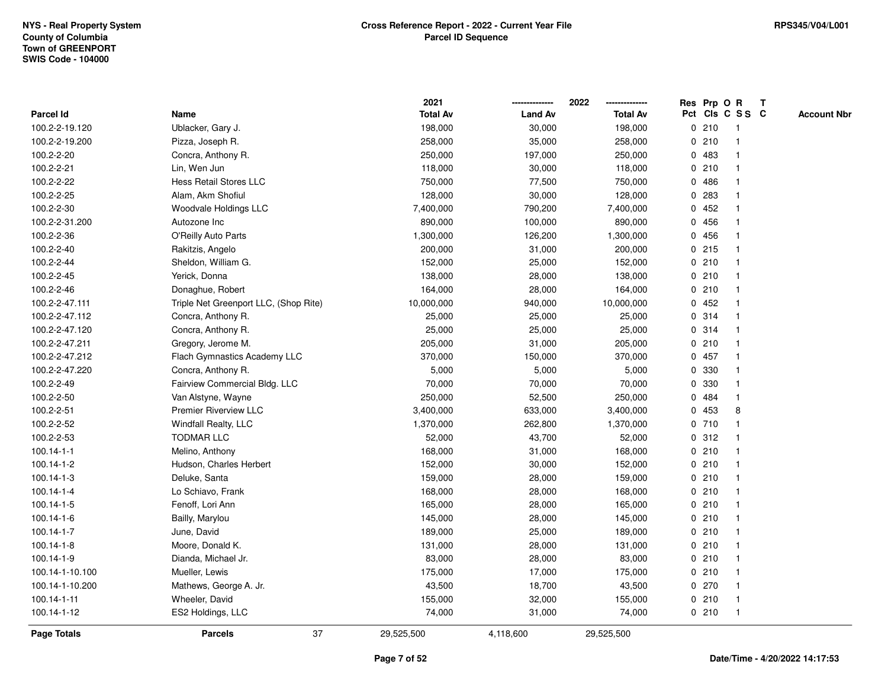|                    |                                       | 2021            |                | 2022            | Res Prp O R |       |                         | $\mathbf{T}$ |                    |
|--------------------|---------------------------------------|-----------------|----------------|-----------------|-------------|-------|-------------------------|--------------|--------------------|
| Parcel Id          | Name                                  | <b>Total Av</b> | <b>Land Av</b> | <b>Total Av</b> |             |       | Pct Cls C S S C         |              | <b>Account Nbr</b> |
| 100.2-2-19.120     | Ublacker, Gary J.                     | 198,000         | 30,000         | 198,000         |             | 0210  | -1                      |              |                    |
| 100.2-2-19.200     | Pizza, Joseph R.                      | 258,000         | 35,000         | 258,000         |             | 0210  |                         |              |                    |
| 100.2-2-20         | Concra, Anthony R.                    | 250,000         | 197,000        | 250,000         |             | 0 483 | -1                      |              |                    |
| 100.2-2-21         | Lin, Wen Jun                          | 118,000         | 30,000         | 118,000         |             | 0210  | $\mathbf{1}$            |              |                    |
| 100.2-2-22         | <b>Hess Retail Stores LLC</b>         | 750,000         | 77,500         | 750,000         |             | 0486  | $\overline{\mathbf{1}}$ |              |                    |
| 100.2-2-25         | Alam, Akm Shofiul                     | 128,000         | 30,000         | 128,000         |             | 0.283 | -1                      |              |                    |
| 100.2-2-30         | Woodvale Holdings LLC                 | 7,400,000       | 790,200        | 7,400,000       |             | 0452  |                         |              |                    |
| 100.2-2-31.200     | Autozone Inc                          | 890,000         | 100,000        | 890,000         |             | 0 456 |                         |              |                    |
| 100.2-2-36         | O'Reilly Auto Parts                   | 1,300,000       | 126,200        | 1,300,000       |             | 0 456 | -1                      |              |                    |
| 100.2-2-40         | Rakitzis, Angelo                      | 200,000         | 31,000         | 200,000         |             | 0215  |                         |              |                    |
| 100.2-2-44         | Sheldon, William G.                   | 152,000         | 25,000         | 152,000         |             | 0210  | $\mathbf{1}$            |              |                    |
| 100.2-2-45         | Yerick, Donna                         | 138,000         | 28,000         | 138,000         |             | 0210  | $\mathbf{1}$            |              |                    |
| 100.2-2-46         | Donaghue, Robert                      | 164,000         | 28,000         | 164,000         |             | 0210  | $\mathbf 1$             |              |                    |
| 100.2-2-47.111     | Triple Net Greenport LLC, (Shop Rite) | 10,000,000      | 940,000        | 10,000,000      |             | 0452  |                         |              |                    |
| 100.2-2-47.112     | Concra, Anthony R.                    | 25,000          | 25,000         | 25,000          |             | 0.314 |                         |              |                    |
| 100.2-2-47.120     | Concra, Anthony R.                    | 25,000          | 25,000         | 25,000          |             | 0.314 | -1                      |              |                    |
| 100.2-2-47.211     | Gregory, Jerome M.                    | 205,000         | 31,000         | 205,000         |             | 0210  | $\overline{\mathbf{1}}$ |              |                    |
| 100.2-2-47.212     | Flach Gymnastics Academy LLC          | 370,000         | 150,000        | 370,000         |             | 0457  | -1                      |              |                    |
| 100.2-2-47.220     | Concra, Anthony R.                    | 5,000           | 5,000          | 5,000           |             | 0 330 | $\mathbf{1}$            |              |                    |
| 100.2-2-49         | Fairview Commercial Bldg. LLC         | 70,000          | 70,000         | 70,000          |             | 0 330 |                         |              |                    |
| 100.2-2-50         | Van Alstyne, Wayne                    | 250,000         | 52,500         | 250,000         |             | 0.484 |                         |              |                    |
| 100.2-2-51         | Premier Riverview LLC                 | 3,400,000       | 633,000        | 3,400,000       |             | 0 453 | 8                       |              |                    |
| 100.2-2-52         | <b>Windfall Realty, LLC</b>           | 1,370,000       | 262,800        | 1,370,000       |             | 0710  | -1                      |              |                    |
| 100.2-2-53         | <b>TODMAR LLC</b>                     | 52,000          | 43,700         | 52,000          |             | 0.312 | $\mathbf{1}$            |              |                    |
| $100.14 - 1 - 1$   | Melino, Anthony                       | 168,000         | 31,000         | 168,000         |             | 0210  | $\mathbf 1$             |              |                    |
| 100.14-1-2         | Hudson, Charles Herbert               | 152,000         | 30,000         | 152,000         |             | 0210  | -1                      |              |                    |
| 100.14-1-3         | Deluke, Santa                         | 159,000         | 28,000         | 159,000         |             | 0210  |                         |              |                    |
| 100.14-1-4         | Lo Schiavo, Frank                     | 168,000         | 28,000         | 168,000         |             | 0210  |                         |              |                    |
| 100.14-1-5         | Fenoff, Lori Ann                      | 165,000         | 28,000         | 165,000         |             | 0210  | $\overline{1}$          |              |                    |
| 100.14-1-6         | Bailly, Marylou                       | 145,000         | 28,000         | 145,000         |             | 0210  |                         |              |                    |
| 100.14-1-7         | June, David                           | 189,000         | 25,000         | 189,000         |             | 0210  | $\mathbf{1}$            |              |                    |
| 100.14-1-8         | Moore, Donald K.                      | 131,000         | 28,000         | 131,000         |             | 0210  | $\mathbf 1$             |              |                    |
| 100.14-1-9         | Dianda, Michael Jr.                   | 83,000          | 28,000         | 83,000          |             | 0210  | -1                      |              |                    |
| 100.14-1-10.100    | Mueller, Lewis                        | 175,000         | 17,000         | 175,000         |             | 0210  |                         |              |                    |
| 100.14-1-10.200    | Mathews, George A. Jr.                | 43,500          | 18,700         | 43,500          |             | 0270  |                         |              |                    |
| 100.14-1-11        | Wheeler, David                        | 155,000         | 32,000         | 155,000         |             | 0210  | $\mathbf{1}$            |              |                    |
| 100.14-1-12        | ES2 Holdings, LLC                     | 74,000          | 31,000         | 74,000          |             | 0210  | $\mathbf{1}$            |              |                    |
| <b>Page Totals</b> | 37<br><b>Parcels</b>                  | 29,525,500      | 4,118,600      | 29,525,500      |             |       |                         |              |                    |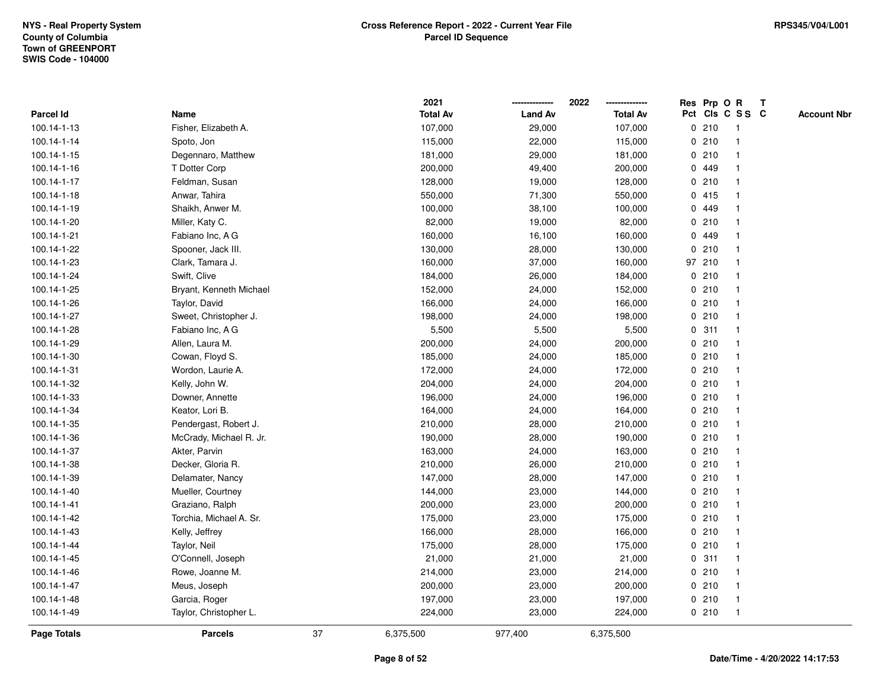|             |                         |    | 2021            |                | 2022            | Res Prp O R |                         | Т |                    |
|-------------|-------------------------|----|-----------------|----------------|-----------------|-------------|-------------------------|---|--------------------|
| Parcel Id   | Name                    |    | <b>Total Av</b> | <b>Land Av</b> | <b>Total Av</b> |             | Pct Cls C S S C         |   | <b>Account Nbr</b> |
| 100.14-1-13 | Fisher, Elizabeth A.    |    | 107,000         | 29,000         | 107,000         | 0210        | $\overline{1}$          |   |                    |
| 100.14-1-14 | Spoto, Jon              |    | 115,000         | 22,000         | 115,000         | 0210        | $\overline{\mathbf{1}}$ |   |                    |
| 100.14-1-15 | Degennaro, Matthew      |    | 181,000         | 29,000         | 181,000         | 0210        | 1                       |   |                    |
| 100.14-1-16 | T Dotter Corp           |    | 200,000         | 49,400         | 200,000         | 0 449       |                         |   |                    |
| 100.14-1-17 | Feldman, Susan          |    | 128,000         | 19,000         | 128,000         | 0210        |                         |   |                    |
| 100.14-1-18 | Anwar, Tahira           |    | 550,000         | 71,300         | 550,000         | 0415        |                         |   |                    |
| 100.14-1-19 | Shaikh, Anwer M.        |    | 100,000         | 38,100         | 100,000         | 0 449       |                         |   |                    |
| 100.14-1-20 | Miller, Katy C.         |    | 82,000          | 19,000         | 82,000          | 0210        | $\overline{\mathbf{1}}$ |   |                    |
| 100.14-1-21 | Fabiano Inc, A G        |    | 160,000         | 16,100         | 160,000         | 0 449       | -1                      |   |                    |
| 100.14-1-22 | Spooner, Jack III.      |    | 130,000         | 28,000         | 130,000         | 0210        | $\mathbf{1}$            |   |                    |
| 100.14-1-23 | Clark, Tamara J.        |    | 160,000         | 37,000         | 160,000         | 97 210      |                         |   |                    |
| 100.14-1-24 | Swift, Clive            |    | 184,000         | 26,000         | 184,000         | 0210        |                         |   |                    |
| 100.14-1-25 | Bryant, Kenneth Michael |    | 152,000         | 24,000         | 152,000         | 0210        |                         |   |                    |
| 100.14-1-26 | Taylor, David           |    | 166,000         | 24,000         | 166,000         | 0210        |                         |   |                    |
| 100.14-1-27 | Sweet, Christopher J.   |    | 198,000         | 24,000         | 198,000         | 0210        | $\overline{\mathbf{1}}$ |   |                    |
| 100.14-1-28 | Fabiano Inc, A G        |    | 5,500           | 5,500          | 5,500           | 0.311       | $\overline{\mathbf{1}}$ |   |                    |
| 100.14-1-29 | Allen, Laura M.         |    | 200,000         | 24,000         | 200,000         | 0210        | $\overline{1}$          |   |                    |
| 100.14-1-30 | Cowan, Floyd S.         |    | 185,000         | 24,000         | 185,000         | 0210        | -1                      |   |                    |
| 100.14-1-31 | Wordon, Laurie A.       |    | 172,000         | 24,000         | 172,000         | 0210        |                         |   |                    |
| 100.14-1-32 | Kelly, John W.          |    | 204,000         | 24,000         | 204,000         | 0210        |                         |   |                    |
| 100.14-1-33 | Downer, Annette         |    | 196,000         | 24,000         | 196,000         | 0210        |                         |   |                    |
| 100.14-1-34 | Keator, Lori B.         |    | 164,000         | 24,000         | 164,000         | 0210        | -1                      |   |                    |
| 100.14-1-35 | Pendergast, Robert J.   |    | 210,000         | 28,000         | 210,000         | 0210        | $\overline{\mathbf{1}}$ |   |                    |
| 100.14-1-36 | McCrady, Michael R. Jr. |    | 190,000         | 28,000         | 190,000         | 0210        | -1                      |   |                    |
| 100.14-1-37 | Akter, Parvin           |    | 163,000         | 24,000         | 163,000         | 0210        | -1                      |   |                    |
| 100.14-1-38 | Decker, Gloria R.       |    | 210,000         | 26,000         | 210,000         | 0210        |                         |   |                    |
| 100.14-1-39 | Delamater, Nancy        |    | 147,000         | 28,000         | 147,000         | 0210        |                         |   |                    |
| 100.14-1-40 | Mueller, Courtney       |    | 144,000         | 23,000         | 144,000         | 0210        |                         |   |                    |
| 100.14-1-41 | Graziano, Ralph         |    | 200,000         | 23,000         | 200,000         | 0210        | $\overline{\mathbf{1}}$ |   |                    |
| 100.14-1-42 | Torchia, Michael A. Sr. |    | 175,000         | 23,000         | 175,000         | 0210        | -1                      |   |                    |
| 100.14-1-43 | Kelly, Jeffrey          |    | 166,000         | 28,000         | 166,000         | 0210        | $\mathbf{1}$            |   |                    |
| 100.14-1-44 | Taylor, Neil            |    | 175,000         | 28,000         | 175,000         | 0210        | 1                       |   |                    |
| 100.14-1-45 | O'Connell, Joseph       |    | 21,000          | 21,000         | 21,000          | 0.311       | -1                      |   |                    |
| 100.14-1-46 | Rowe, Joanne M.         |    | 214,000         | 23,000         | 214,000         | 0210        |                         |   |                    |
| 100.14-1-47 | Meus, Joseph            |    | 200,000         | 23,000         | 200,000         | 0210        | -1                      |   |                    |
| 100.14-1-48 | Garcia, Roger           |    | 197,000         | 23,000         | 197,000         | 0210        | $\overline{\mathbf{1}}$ |   |                    |
| 100.14-1-49 | Taylor, Christopher L.  |    | 224,000         | 23,000         | 224,000         | 0210        | $\overline{\mathbf{1}}$ |   |                    |
| Page Totals | <b>Parcels</b>          | 37 | 6,375,500       | 977,400        | 6,375,500       |             |                         |   |                    |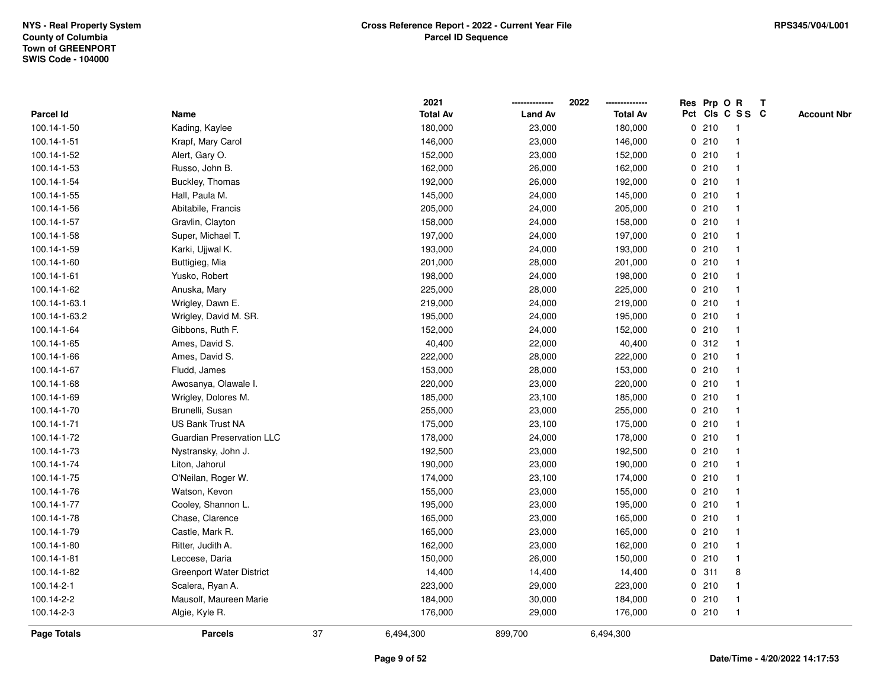|               |                                  |    | 2021            |                | 2022            |             |       | Res Prp O R     | T |                    |
|---------------|----------------------------------|----|-----------------|----------------|-----------------|-------------|-------|-----------------|---|--------------------|
| Parcel Id     | Name                             |    | <b>Total Av</b> | <b>Land Av</b> | <b>Total Av</b> |             |       | Pct Cls C S S C |   | <b>Account Nbr</b> |
| 100.14-1-50   | Kading, Kaylee                   |    | 180,000         | 23,000         | 180,000         |             | 0210  | -1              |   |                    |
| 100.14-1-51   | Krapf, Mary Carol                |    | 146,000         | 23,000         | 146,000         | 0           | 210   | $\overline{1}$  |   |                    |
| 100.14-1-52   | Alert, Gary O.                   |    | 152,000         | 23,000         | 152,000         |             | 0210  | $\mathbf{1}$    |   |                    |
| 100.14-1-53   | Russo, John B.                   |    | 162,000         | 26,000         | 162,000         |             | 0210  |                 |   |                    |
| 100.14-1-54   | Buckley, Thomas                  |    | 192,000         | 26,000         | 192,000         |             | 0210  |                 |   |                    |
| 100.14-1-55   | Hall, Paula M.                   |    | 145,000         | 24,000         | 145,000         |             | 0210  |                 |   |                    |
| 100.14-1-56   | Abitabile, Francis               |    | 205,000         | 24,000         | 205,000         |             | 0210  |                 |   |                    |
| 100.14-1-57   | Gravlin, Clayton                 |    | 158,000         | 24,000         | 158,000         | 0           | 210   | $\mathbf{1}$    |   |                    |
| 100.14-1-58   | Super, Michael T.                |    | 197,000         | 24,000         | 197,000         |             | 0210  | -1              |   |                    |
| 100.14-1-59   | Karki, Ujjwal K.                 |    | 193,000         | 24,000         | 193,000         |             | 0210  | $\mathbf 1$     |   |                    |
| 100.14-1-60   | Buttigieg, Mia                   |    | 201,000         | 28,000         | 201,000         |             | 0210  |                 |   |                    |
| 100.14-1-61   | Yusko, Robert                    |    | 198,000         | 24,000         | 198,000         |             | 0210  |                 |   |                    |
| 100.14-1-62   | Anuska, Mary                     |    | 225,000         | 28,000         | 225,000         |             | 0210  |                 |   |                    |
| 100.14-1-63.1 | Wrigley, Dawn E.                 |    | 219,000         | 24,000         | 219,000         |             | 0210  |                 |   |                    |
| 100.14-1-63.2 | Wrigley, David M. SR.            |    | 195,000         | 24,000         | 195,000         | $\mathbf 0$ | 210   |                 |   |                    |
| 100.14-1-64   | Gibbons, Ruth F.                 |    | 152,000         | 24,000         | 152,000         |             | 0210  | $\overline{1}$  |   |                    |
| 100.14-1-65   | Ames, David S.                   |    | 40,400          | 22,000         | 40,400          |             | 0.312 | $\mathbf{1}$    |   |                    |
| 100.14-1-66   | Ames, David S.                   |    | 222,000         | 28,000         | 222,000         |             | 0210  |                 |   |                    |
| 100.14-1-67   | Fludd, James                     |    | 153,000         | 28,000         | 153,000         |             | 0210  |                 |   |                    |
| 100.14-1-68   | Awosanya, Olawale I.             |    | 220,000         | 23,000         | 220,000         |             | 0210  |                 |   |                    |
| 100.14-1-69   | Wrigley, Dolores M.              |    | 185,000         | 23,100         | 185,000         |             | 0210  |                 |   |                    |
| 100.14-1-70   | Brunelli, Susan                  |    | 255,000         | 23,000         | 255,000         |             | 0210  |                 |   |                    |
| 100.14-1-71   | <b>US Bank Trust NA</b>          |    | 175,000         | 23,100         | 175,000         |             | 0210  | $\overline{1}$  |   |                    |
| 100.14-1-72   | <b>Guardian Preservation LLC</b> |    | 178,000         | 24,000         | 178,000         |             | 0210  | $\overline{1}$  |   |                    |
| 100.14-1-73   | Nystransky, John J.              |    | 192,500         | 23,000         | 192,500         |             | 0210  |                 |   |                    |
| 100.14-1-74   | Liton, Jahorul                   |    | 190,000         | 23,000         | 190,000         |             | 0210  |                 |   |                    |
| 100.14-1-75   | O'Neilan, Roger W.               |    | 174,000         | 23,100         | 174,000         |             | 0210  |                 |   |                    |
| 100.14-1-76   | Watson, Kevon                    |    | 155,000         | 23,000         | 155,000         |             | 0210  |                 |   |                    |
| 100.14-1-77   | Cooley, Shannon L.               |    | 195,000         | 23,000         | 195,000         |             | 0210  |                 |   |                    |
| 100.14-1-78   | Chase, Clarence                  |    | 165,000         | 23,000         | 165,000         | 0           | 210   |                 |   |                    |
| 100.14-1-79   | Castle, Mark R.                  |    | 165,000         | 23,000         | 165,000         |             | 0210  | -1              |   |                    |
| 100.14-1-80   | Ritter, Judith A.                |    | 162,000         | 23,000         | 162,000         |             | 0210  | $\mathbf 1$     |   |                    |
| 100.14-1-81   | Leccese, Daria                   |    | 150,000         | 26,000         | 150,000         |             | 0210  |                 |   |                    |
| 100.14-1-82   | <b>Greenport Water District</b>  |    | 14,400          | 14,400         | 14,400          |             | 0.311 | 8               |   |                    |
| 100.14-2-1    | Scalera, Ryan A.                 |    | 223,000         | 29,000         | 223,000         |             | 0210  |                 |   |                    |
| 100.14-2-2    | Mausolf, Maureen Marie           |    | 184,000         | 30,000         | 184,000         |             | 0210  | -1              |   |                    |
| 100.14-2-3    | Algie, Kyle R.                   |    | 176,000         | 29,000         | 176,000         |             | 0210  | $\overline{1}$  |   |                    |
| Page Totals   | <b>Parcels</b>                   | 37 | 6,494,300       | 899,700        | 6,494,300       |             |       |                 |   |                    |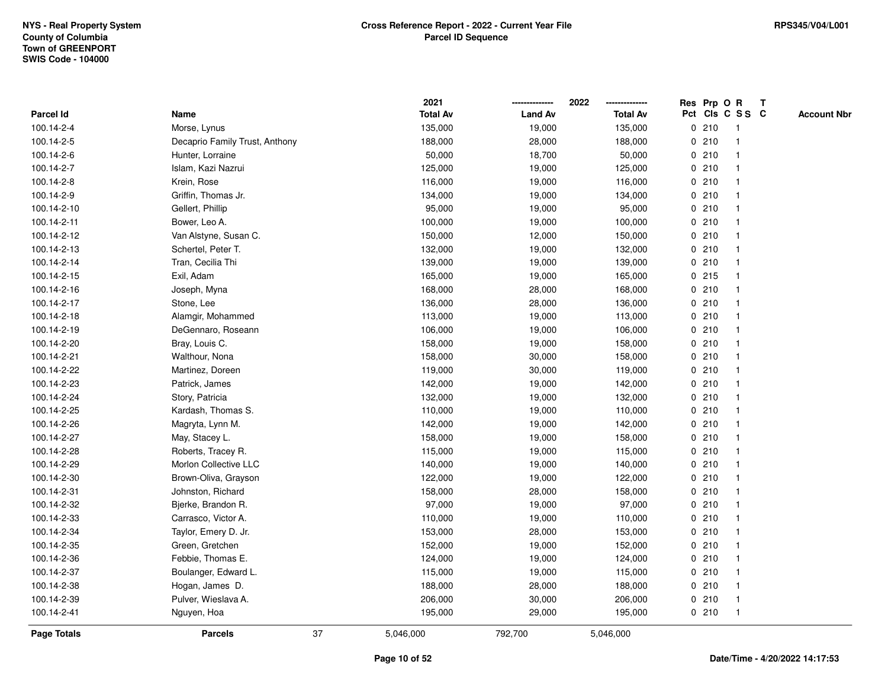|             |                                |    | 2021            |                | 2022            | Res Prp O R |                         | T |                    |
|-------------|--------------------------------|----|-----------------|----------------|-----------------|-------------|-------------------------|---|--------------------|
| Parcel Id   | Name                           |    | <b>Total Av</b> | <b>Land Av</b> | <b>Total Av</b> |             | Pct Cls C S S C         |   | <b>Account Nbr</b> |
| 100.14-2-4  | Morse, Lynus                   |    | 135,000         | 19,000         | 135,000         | 0210        | $\overline{1}$          |   |                    |
| 100.14-2-5  | Decaprio Family Trust, Anthony |    | 188,000         | 28,000         | 188,000         | 0210        | $\overline{1}$          |   |                    |
| 100.14-2-6  | Hunter, Lorraine               |    | 50,000          | 18,700         | 50,000          | 0210        | -1                      |   |                    |
| 100.14-2-7  | Islam, Kazi Nazrui             |    | 125,000         | 19,000         | 125,000         | 0210        | -1                      |   |                    |
| 100.14-2-8  | Krein, Rose                    |    | 116,000         | 19,000         | 116,000         | 0210        |                         |   |                    |
| 100.14-2-9  | Griffin, Thomas Jr.            |    | 134,000         | 19,000         | 134,000         | 0210        |                         |   |                    |
| 100.14-2-10 | Gellert, Phillip               |    | 95,000          | 19,000         | 95,000          | 0210        |                         |   |                    |
| 100.14-2-11 | Bower, Leo A.                  |    | 100,000         | 19,000         | 100,000         | 0210        | $\overline{\mathbf{1}}$ |   |                    |
| 100.14-2-12 | Van Alstyne, Susan C.          |    | 150,000         | 12,000         | 150,000         | 0210        | $\overline{\mathbf{1}}$ |   |                    |
| 100.14-2-13 | Schertel, Peter T.             |    | 132,000         | 19,000         | 132,000         | 0210        | -1                      |   |                    |
| 100.14-2-14 | Tran, Cecilia Thi              |    | 139,000         | 19,000         | 139,000         | 0210        |                         |   |                    |
| 100.14-2-15 | Exil, Adam                     |    | 165,000         | 19,000         | 165,000         | $0$ 215     |                         |   |                    |
| 100.14-2-16 | Joseph, Myna                   |    | 168,000         | 28,000         | 168,000         | 0210        |                         |   |                    |
| 100.14-2-17 | Stone, Lee                     |    | 136,000         | 28,000         | 136,000         | 0210        |                         |   |                    |
| 100.14-2-18 | Alamgir, Mohammed              |    | 113,000         | 19,000         | 113,000         | 0210        | $\overline{\mathbf{1}}$ |   |                    |
| 100.14-2-19 | DeGennaro, Roseann             |    | 106,000         | 19,000         | 106,000         | 0210        | $\overline{\mathbf{1}}$ |   |                    |
| 100.14-2-20 | Bray, Louis C.                 |    | 158,000         | 19,000         | 158,000         | 0210        | $\overline{1}$          |   |                    |
| 100.14-2-21 | Walthour, Nona                 |    | 158,000         | 30,000         | 158,000         | 0210        |                         |   |                    |
| 100.14-2-22 | Martinez, Doreen               |    | 119,000         | 30,000         | 119,000         | 0210        |                         |   |                    |
| 100.14-2-23 | Patrick, James                 |    | 142,000         | 19,000         | 142,000         | 0210        |                         |   |                    |
| 100.14-2-24 | Story, Patricia                |    | 132,000         | 19,000         | 132,000         | 0210        | -1                      |   |                    |
| 100.14-2-25 | Kardash, Thomas S.             |    | 110,000         | 19,000         | 110,000         | 0210        | -1                      |   |                    |
| 100.14-2-26 | Magryta, Lynn M.               |    | 142,000         | 19,000         | 142,000         | 0210        | $\overline{\mathbf{1}}$ |   |                    |
| 100.14-2-27 | May, Stacey L.                 |    | 158,000         | 19,000         | 158,000         | 0210        | -1                      |   |                    |
| 100.14-2-28 | Roberts, Tracey R.             |    | 115,000         | 19,000         | 115,000         | 0210        |                         |   |                    |
| 100.14-2-29 | Morlon Collective LLC          |    | 140,000         | 19,000         | 140,000         | 0210        |                         |   |                    |
| 100.14-2-30 | Brown-Oliva, Grayson           |    | 122,000         | 19,000         | 122,000         | 0210        |                         |   |                    |
| 100.14-2-31 | Johnston, Richard              |    | 158,000         | 28,000         | 158,000         | 0210        |                         |   |                    |
| 100.14-2-32 | Bjerke, Brandon R.             |    | 97,000          | 19,000         | 97,000          | 0210        | $\overline{\mathbf{1}}$ |   |                    |
| 100.14-2-33 | Carrasco, Victor A.            |    | 110,000         | 19,000         | 110,000         | 0210        | $\overline{1}$          |   |                    |
| 100.14-2-34 | Taylor, Emery D. Jr.           |    | 153,000         | 28,000         | 153,000         | 0210        | -1                      |   |                    |
| 100.14-2-35 | Green, Gretchen                |    | 152,000         | 19,000         | 152,000         | 0210        |                         |   |                    |
| 100.14-2-36 | Febbie, Thomas E.              |    | 124,000         | 19,000         | 124,000         | 0210        |                         |   |                    |
| 100.14-2-37 | Boulanger, Edward L.           |    | 115,000         | 19,000         | 115,000         | 0210        |                         |   |                    |
| 100.14-2-38 | Hogan, James D.                |    | 188,000         | 28,000         | 188,000         | 0210        | -1                      |   |                    |
| 100.14-2-39 | Pulver, Wieslava A.            |    | 206,000         | 30,000         | 206,000         | 0210        | $\overline{1}$          |   |                    |
| 100.14-2-41 | Nguyen, Hoa                    |    | 195,000         | 29,000         | 195,000         | 0210        | $\overline{1}$          |   |                    |
| Page Totals | <b>Parcels</b>                 | 37 | 5,046,000       | 792,700        | 5,046,000       |             |                         |   |                    |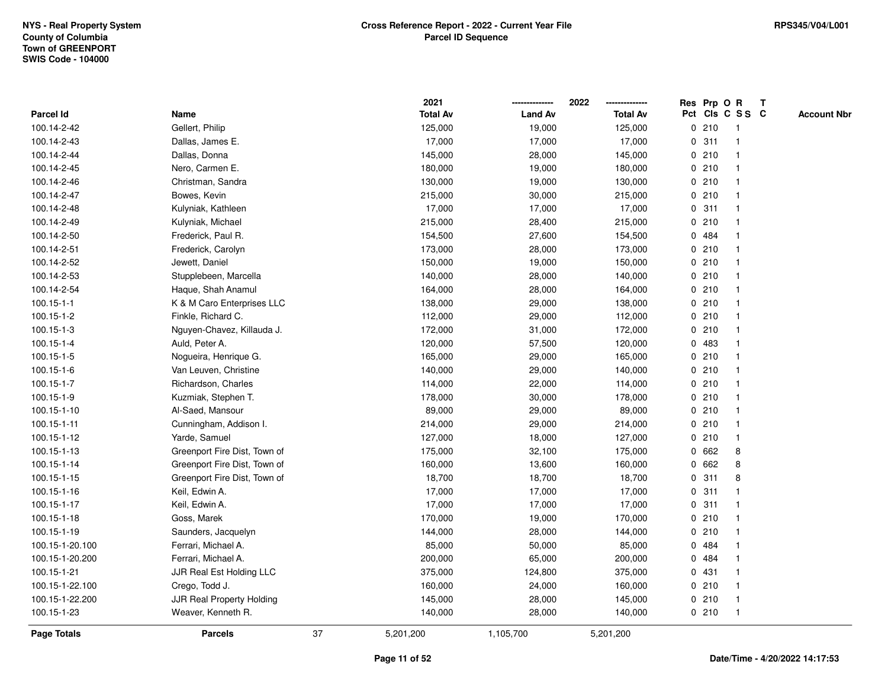|                    |                              |    | 2021            |                | 2022            | Res Prp O R |                         | T |                    |
|--------------------|------------------------------|----|-----------------|----------------|-----------------|-------------|-------------------------|---|--------------------|
| Parcel Id          | Name                         |    | <b>Total Av</b> | <b>Land Av</b> | <b>Total Av</b> |             | Pct Cls C S S C         |   | <b>Account Nbr</b> |
| 100.14-2-42        | Gellert, Philip              |    | 125,000         | 19,000         | 125,000         | 0210        | $\overline{1}$          |   |                    |
| 100.14-2-43        | Dallas, James E.             |    | 17,000          | 17,000         | 17,000          | 0.311       | $\mathbf{1}$            |   |                    |
| 100.14-2-44        | Dallas, Donna                |    | 145,000         | 28,000         | 145,000         | 0210        | -1                      |   |                    |
| 100.14-2-45        | Nero, Carmen E.              |    | 180,000         | 19,000         | 180,000         | 0210        |                         |   |                    |
| 100.14-2-46        | Christman, Sandra            |    | 130,000         | 19,000         | 130,000         | 0210        |                         |   |                    |
| 100.14-2-47        | Bowes, Kevin                 |    | 215,000         | 30,000         | 215,000         | 0210        |                         |   |                    |
| 100.14-2-48        | Kulyniak, Kathleen           |    | 17,000          | 17,000         | 17,000          | 0.311       |                         |   |                    |
| 100.14-2-49        | Kulyniak, Michael            |    | 215,000         | 28,400         | 215,000         | 0210        | $\overline{\mathbf{1}}$ |   |                    |
| 100.14-2-50        | Frederick, Paul R.           |    | 154,500         | 27,600         | 154,500         | 0 484       |                         |   |                    |
| 100.14-2-51        | Frederick, Carolyn           |    | 173,000         | 28,000         | 173,000         | 0210        | $\mathbf{1}$            |   |                    |
| 100.14-2-52        | Jewett, Daniel               |    | 150,000         | 19,000         | 150,000         | 0210        |                         |   |                    |
| 100.14-2-53        | Stupplebeen, Marcella        |    | 140,000         | 28,000         | 140,000         | 0210        |                         |   |                    |
| 100.14-2-54        | Haque, Shah Anamul           |    | 164,000         | 28,000         | 164,000         | 0210        |                         |   |                    |
| $100.15 - 1 - 1$   | K & M Caro Enterprises LLC   |    | 138,000         | 29,000         | 138,000         | 0210        |                         |   |                    |
| 100.15-1-2         | Finkle, Richard C.           |    | 112,000         | 29,000         | 112,000         | 0210        |                         |   |                    |
| $100.15 - 1 - 3$   | Nguyen-Chavez, Killauda J.   |    | 172,000         | 31,000         | 172,000         | 0210        | -1                      |   |                    |
| 100.15-1-4         | Auld, Peter A.               |    | 120,000         | 57,500         | 120,000         | 0 483       |                         |   |                    |
| 100.15-1-5         | Nogueira, Henrique G.        |    | 165,000         | 29,000         | 165,000         | 0210        |                         |   |                    |
| 100.15-1-6         | Van Leuven, Christine        |    | 140,000         | 29,000         | 140,000         | 0210        |                         |   |                    |
| 100.15-1-7         | Richardson, Charles          |    | 114,000         | 22,000         | 114,000         | 0210        |                         |   |                    |
| 100.15-1-9         | Kuzmiak, Stephen T.          |    | 178,000         | 30,000         | 178,000         | 0210        |                         |   |                    |
| 100.15-1-10        | Al-Saed, Mansour             |    | 89,000          | 29,000         | 89,000          | 0210        |                         |   |                    |
| 100.15-1-11        | Cunningham, Addison I.       |    | 214,000         | 29,000         | 214,000         | 0210        | $\overline{\mathbf{1}}$ |   |                    |
| 100.15-1-12        | Yarde, Samuel                |    | 127,000         | 18,000         | 127,000         | 0210        | -1                      |   |                    |
| 100.15-1-13        | Greenport Fire Dist, Town of |    | 175,000         | 32,100         | 175,000         | 0 662       | 8                       |   |                    |
| 100.15-1-14        | Greenport Fire Dist, Town of |    | 160,000         | 13,600         | 160,000         | 0 662       | 8                       |   |                    |
| 100.15-1-15        | Greenport Fire Dist, Town of |    | 18,700          | 18,700         | 18,700          | 0.311       | 8                       |   |                    |
| 100.15-1-16        | Keil, Edwin A.               |    | 17,000          | 17,000         | 17,000          | 0.311       |                         |   |                    |
| 100.15-1-17        | Keil, Edwin A.               |    | 17,000          | 17,000         | 17,000          | 0.311       |                         |   |                    |
| 100.15-1-18        | Goss, Marek                  |    | 170,000         | 19,000         | 170,000         | 0210        | -1                      |   |                    |
| 100.15-1-19        | Saunders, Jacquelyn          |    | 144,000         | 28,000         | 144,000         | 0210        | -1                      |   |                    |
| 100.15-1-20.100    | Ferrari, Michael A.          |    | 85,000          | 50,000         | 85,000          | 0 484       |                         |   |                    |
| 100.15-1-20.200    | Ferrari, Michael A.          |    | 200,000         | 65,000         | 200,000         | 0 484       |                         |   |                    |
| 100.15-1-21        | JJR Real Est Holding LLC     |    | 375,000         | 124,800        | 375,000         | 0431        |                         |   |                    |
| 100.15-1-22.100    | Crego, Todd J.               |    | 160,000         | 24,000         | 160,000         | 0210        | -1                      |   |                    |
| 100.15-1-22.200    | JJR Real Property Holding    |    | 145,000         | 28,000         | 145,000         | 0210        | $\overline{\mathbf{1}}$ |   |                    |
| 100.15-1-23        | Weaver, Kenneth R.           |    | 140,000         | 28,000         | 140,000         | 0210        | $\overline{1}$          |   |                    |
| <b>Page Totals</b> | <b>Parcels</b>               | 37 | 5,201,200       | 1,105,700      | 5,201,200       |             |                         |   |                    |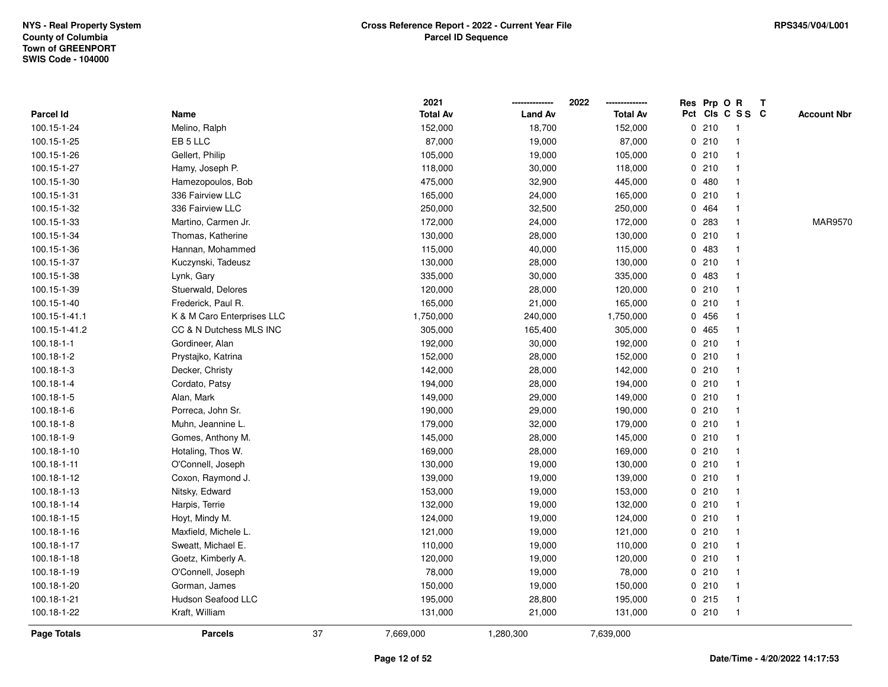|               |                            |    | 2021            |                | 2022<br>-------------- | Res Prp O R |                         | $\mathbf{T}$ |                    |
|---------------|----------------------------|----|-----------------|----------------|------------------------|-------------|-------------------------|--------------|--------------------|
| Parcel Id     | Name                       |    | <b>Total Av</b> | <b>Land Av</b> | <b>Total Av</b>        |             | Pct Cls C S S C         |              | <b>Account Nbr</b> |
| 100.15-1-24   | Melino, Ralph              |    | 152,000         | 18,700         | 152,000                | 0210        | -1                      |              |                    |
| 100.15-1-25   | EB 5 LLC                   |    | 87,000          | 19,000         | 87,000                 | 0210        | -1                      |              |                    |
| 100.15-1-26   | Gellert, Philip            |    | 105,000         | 19,000         | 105,000                | 0210        | $\overline{1}$          |              |                    |
| 100.15-1-27   | Hamy, Joseph P.            |    | 118,000         | 30,000         | 118,000                | 0210        | $\overline{1}$          |              |                    |
| 100.15-1-30   | Hamezopoulos, Bob          |    | 475,000         | 32,900         | 445,000                | 0480        | -1                      |              |                    |
| 100.15-1-31   | 336 Fairview LLC           |    | 165,000         | 24,000         | 165,000                | 0210        | $\mathbf{1}$            |              |                    |
| 100.15-1-32   | 336 Fairview LLC           |    | 250,000         | 32,500         | 250,000                | 0 464       | $\mathbf 1$             |              |                    |
| 100.15-1-33   | Martino, Carmen Jr.        |    | 172,000         | 24,000         | 172,000                | 0.283       | $\overline{1}$          |              | <b>MAR9570</b>     |
| 100.15-1-34   | Thomas, Katherine          |    | 130,000         | 28,000         | 130,000                | 0210        | $\mathbf{1}$            |              |                    |
| 100.15-1-36   | Hannan, Mohammed           |    | 115,000         | 40,000         | 115,000                | 0 483       | $\overline{\mathbf{1}}$ |              |                    |
| 100.15-1-37   | Kuczynski, Tadeusz         |    | 130,000         | 28,000         | 130,000                | 0210        | $\mathbf{1}$            |              |                    |
| 100.15-1-38   | Lynk, Gary                 |    | 335,000         | 30,000         | 335,000                | 0 483       | -1                      |              |                    |
| 100.15-1-39   | Stuerwald, Delores         |    | 120,000         | 28,000         | 120,000                | 0210        | $\mathbf 1$             |              |                    |
| 100.15-1-40   | Frederick, Paul R.         |    | 165,000         | 21,000         | 165,000                | 0210        | $\mathbf 1$             |              |                    |
| 100.15-1-41.1 | K & M Caro Enterprises LLC |    | 1,750,000       | 240,000        | 1,750,000              | 0456        | $\mathbf{1}$            |              |                    |
| 100.15-1-41.2 | CC & N Dutchess MLS INC    |    | 305,000         | 165,400        | 305,000                | 0465        | $\mathbf{1}$            |              |                    |
| 100.18-1-1    | Gordineer, Alan            |    | 192,000         | 30,000         | 192,000                | 0210        | $\mathbf{1}$            |              |                    |
| 100.18-1-2    | Prystajko, Katrina         |    | 152,000         | 28,000         | 152,000                | 0210        | $\overline{1}$          |              |                    |
| 100.18-1-3    | Decker, Christy            |    | 142,000         | 28,000         | 142,000                | 0210        | $\mathbf{1}$            |              |                    |
| 100.18-1-4    | Cordato, Patsy             |    | 194,000         | 28,000         | 194,000                | 0210        | 1                       |              |                    |
| 100.18-1-5    | Alan, Mark                 |    | 149,000         | 29,000         | 149,000                | 0210        | $\overline{1}$          |              |                    |
| 100.18-1-6    | Porreca, John Sr.          |    | 190,000         | 29,000         | 190,000                | 0210        | $\overline{1}$          |              |                    |
| 100.18-1-8    | Muhn, Jeannine L.          |    | 179,000         | 32,000         | 179,000                | 0210        | $\mathbf{1}$            |              |                    |
| 100.18-1-9    | Gomes, Anthony M.          |    | 145,000         | 28,000         | 145,000                | 0210        | $\mathbf{1}$            |              |                    |
| 100.18-1-10   | Hotaling, Thos W.          |    | 169,000         | 28,000         | 169,000                | 0210        | $\overline{1}$          |              |                    |
| 100.18-1-11   | O'Connell, Joseph          |    | 130,000         | 19,000         | 130,000                | 0210        | 1                       |              |                    |
| 100.18-1-12   | Coxon, Raymond J.          |    | 139,000         | 19,000         | 139,000                | 0210        | $\overline{1}$          |              |                    |
| 100.18-1-13   | Nitsky, Edward             |    | 153,000         | 19,000         | 153,000                | 0210        | $\mathbf 1$             |              |                    |
| 100.18-1-14   | Harpis, Terrie             |    | 132,000         | 19,000         | 132,000                | 0210        | $\mathbf{1}$            |              |                    |
| 100.18-1-15   | Hoyt, Mindy M.             |    | 124,000         | 19,000         | 124,000                | 0210        | $\overline{1}$          |              |                    |
| 100.18-1-16   | Maxfield, Michele L.       |    | 121,000         | 19,000         | 121,000                | 0210        | $\mathbf{1}$            |              |                    |
| 100.18-1-17   | Sweatt, Michael E.         |    | 110,000         | 19,000         | 110,000                | 0210        | $\mathbf{1}$            |              |                    |
| 100.18-1-18   | Goetz, Kimberly A.         |    | 120,000         | 19,000         | 120,000                | 0210        | $\overline{1}$          |              |                    |
| 100.18-1-19   | O'Connell, Joseph          |    | 78,000          | 19,000         | 78,000                 | 0210        | 1                       |              |                    |
| 100.18-1-20   | Gorman, James              |    | 150,000         | 19,000         | 150,000                | 0210        | $\overline{\mathbf{1}}$ |              |                    |
| 100.18-1-21   | Hudson Seafood LLC         |    | 195,000         | 28,800         | 195,000                | $0$ 215     | $\overline{1}$          |              |                    |
| 100.18-1-22   | Kraft, William             |    | 131,000         | 21,000         | 131,000                | 0210        | $\overline{1}$          |              |                    |
| Page Totals   | <b>Parcels</b>             | 37 | 7,669,000       | 1,280,300      | 7,639,000              |             |                         |              |                    |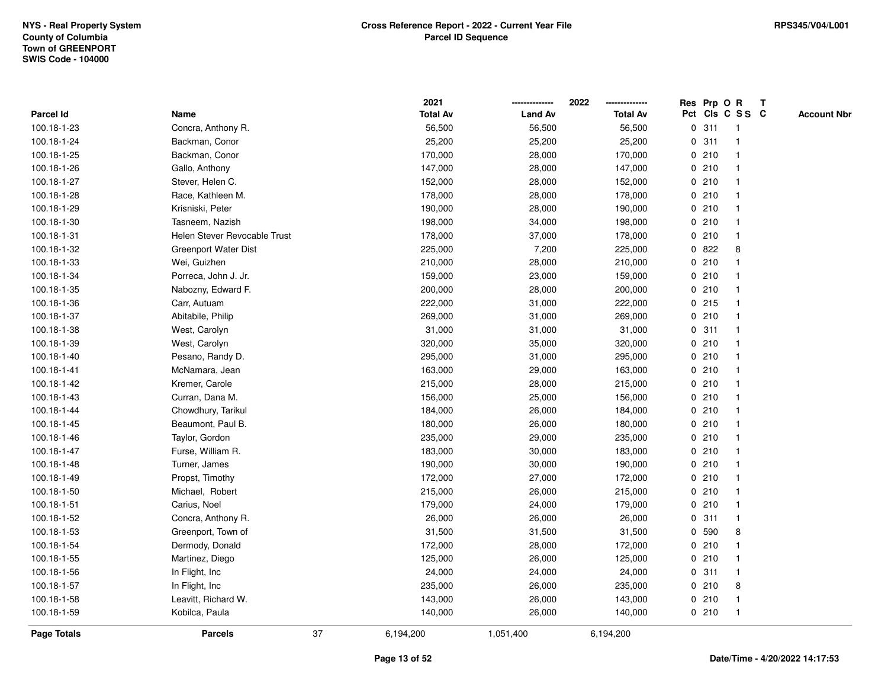|                    |                              |    | 2021            |                | 2022            |             |       | Res Prp O R     | T |                    |
|--------------------|------------------------------|----|-----------------|----------------|-----------------|-------------|-------|-----------------|---|--------------------|
| Parcel Id          | Name                         |    | <b>Total Av</b> | <b>Land Av</b> | <b>Total Av</b> |             |       | Pct Cls C S S C |   | <b>Account Nbr</b> |
| 100.18-1-23        | Concra, Anthony R.           |    | 56,500          | 56,500         | 56,500          | 0           | 311   | $\mathbf{1}$    |   |                    |
| 100.18-1-24        | Backman, Conor               |    | 25,200          | 25,200         | 25,200          | 0           | 311   | -1              |   |                    |
| 100.18-1-25        | Backman, Conor               |    | 170,000         | 28,000         | 170,000         |             | 0210  | $\mathbf{1}$    |   |                    |
| 100.18-1-26        | Gallo, Anthony               |    | 147,000         | 28,000         | 147,000         |             | 0210  |                 |   |                    |
| 100.18-1-27        | Stever, Helen C.             |    | 152,000         | 28,000         | 152,000         |             | 0210  |                 |   |                    |
| 100.18-1-28        | Race, Kathleen M.            |    | 178,000         | 28,000         | 178,000         |             | 0210  |                 |   |                    |
| 100.18-1-29        | Krisniski, Peter             |    | 190,000         | 28,000         | 190,000         |             | 0210  |                 |   |                    |
| 100.18-1-30        | Tasneem, Nazish              |    | 198,000         | 34,000         | 198,000         | 0           | 210   | -1              |   |                    |
| 100.18-1-31        | Helen Stever Revocable Trust |    | 178,000         | 37,000         | 178,000         |             | 0210  | $\overline{1}$  |   |                    |
| 100.18-1-32        | <b>Greenport Water Dist</b>  |    | 225,000         | 7,200          | 225,000         |             | 0822  | 8               |   |                    |
| 100.18-1-33        | Wei, Guizhen                 |    | 210,000         | 28,000         | 210,000         |             | 0210  |                 |   |                    |
| 100.18-1-34        | Porreca, John J. Jr.         |    | 159,000         | 23,000         | 159,000         |             | 0210  |                 |   |                    |
| 100.18-1-35        | Nabozny, Edward F.           |    | 200,000         | 28,000         | 200,000         |             | 0210  |                 |   |                    |
| 100.18-1-36        | Carr, Autuam                 |    | 222,000         | 31,000         | 222,000         |             | 0215  | -1              |   |                    |
| 100.18-1-37        | Abitabile, Philip            |    | 269,000         | 31,000         | 269,000         | 0           | 210   |                 |   |                    |
| 100.18-1-38        | West, Carolyn                |    | 31,000          | 31,000         | 31,000          | 0           | 311   | -1              |   |                    |
| 100.18-1-39        | West, Carolyn                |    | 320,000         | 35,000         | 320,000         |             | 0210  | -1              |   |                    |
| 100.18-1-40        | Pesano, Randy D.             |    | 295,000         | 31,000         | 295,000         |             | 0210  |                 |   |                    |
| 100.18-1-41        | McNamara, Jean               |    | 163,000         | 29,000         | 163,000         |             | 0210  |                 |   |                    |
| 100.18-1-42        | Kremer, Carole               |    | 215,000         | 28,000         | 215,000         |             | 0210  |                 |   |                    |
| 100.18-1-43        | Curran, Dana M.              |    | 156,000         | 25,000         | 156,000         |             | 0210  |                 |   |                    |
| 100.18-1-44        | Chowdhury, Tarikul           |    | 184,000         | 26,000         | 184,000         |             | 0210  | $\mathbf{1}$    |   |                    |
| 100.18-1-45        | Beaumont, Paul B.            |    | 180,000         | 26,000         | 180,000         |             | 0210  | $\overline{1}$  |   |                    |
| 100.18-1-46        | Taylor, Gordon               |    | 235,000         | 29,000         | 235,000         |             | 0210  | -1              |   |                    |
| 100.18-1-47        | Furse, William R.            |    | 183,000         | 30,000         | 183,000         |             | 0210  |                 |   |                    |
| 100.18-1-48        | Turner, James                |    | 190,000         | 30,000         | 190,000         |             | 0210  |                 |   |                    |
| 100.18-1-49        | Propst, Timothy              |    | 172,000         | 27,000         | 172,000         |             | 0210  |                 |   |                    |
| 100.18-1-50        | Michael, Robert              |    | 215,000         | 26,000         | 215,000         |             | 0210  |                 |   |                    |
| 100.18-1-51        | Carius, Noel                 |    | 179,000         | 24,000         | 179,000         | $\mathbf 0$ | 210   |                 |   |                    |
| 100.18-1-52        | Concra, Anthony R.           |    | 26,000          | 26,000         | 26,000          | 0           | 311   | $\mathbf{1}$    |   |                    |
| 100.18-1-53        | Greenport, Town of           |    | 31,500          | 31,500         | 31,500          |             | 0 590 | 8               |   |                    |
| 100.18-1-54        | Dermody, Donald              |    | 172,000         | 28,000         | 172,000         |             | 0210  |                 |   |                    |
| 100.18-1-55        | Martinez, Diego              |    | 125,000         | 26,000         | 125,000         |             | 0210  |                 |   |                    |
| 100.18-1-56        | In Flight, Inc               |    | 24,000          | 24,000         | 24,000          |             | 0.311 |                 |   |                    |
| 100.18-1-57        | In Flight, Inc.              |    | 235,000         | 26,000         | 235,000         |             | 0210  | 8               |   |                    |
| 100.18-1-58        | Leavitt, Richard W.          |    | 143,000         | 26,000         | 143,000         |             | 0210  | $\overline{1}$  |   |                    |
| 100.18-1-59        | Kobilca, Paula               |    | 140,000         | 26,000         | 140,000         |             | 0210  | $\mathbf{1}$    |   |                    |
| <b>Page Totals</b> | <b>Parcels</b>               | 37 | 6,194,200       | 1,051,400      | 6,194,200       |             |       |                 |   |                    |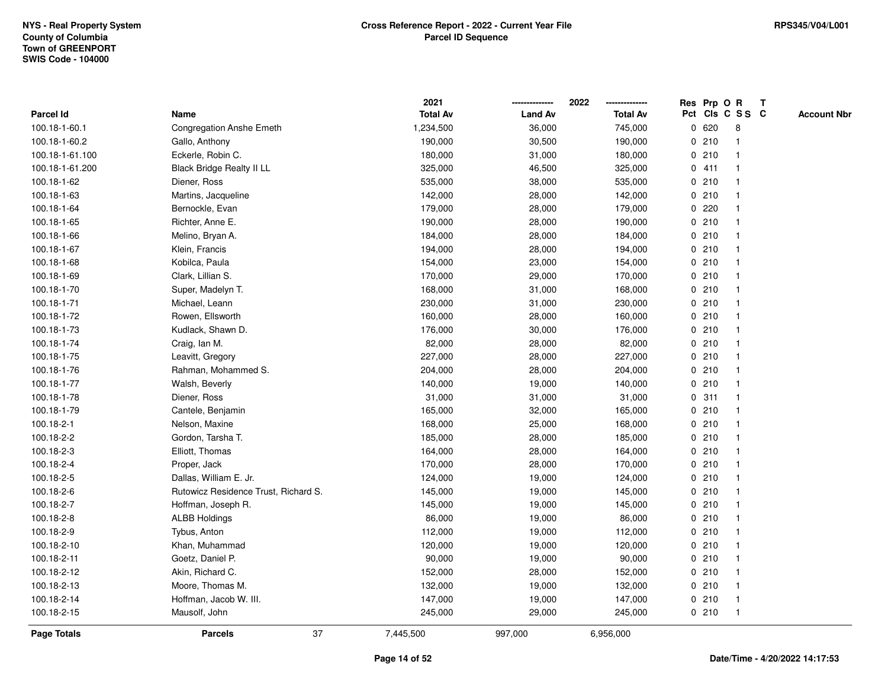|                    |                                      |    | 2021            |                | 2022            |   |       | Res Prp O R     | T |                    |
|--------------------|--------------------------------------|----|-----------------|----------------|-----------------|---|-------|-----------------|---|--------------------|
| <b>Parcel Id</b>   | Name                                 |    | <b>Total Av</b> | <b>Land Av</b> | <b>Total Av</b> |   |       | Pct Cls C S S C |   | <b>Account Nbr</b> |
| 100.18-1-60.1      | <b>Congregation Anshe Emeth</b>      |    | 1,234,500       | 36,000         | 745,000         |   | 0 620 | 8               |   |                    |
| 100.18-1-60.2      | Gallo, Anthony                       |    | 190,000         | 30,500         | 190,000         | 0 | 210   | -1              |   |                    |
| 100.18-1-61.100    | Eckerle, Robin C.                    |    | 180,000         | 31,000         | 180,000         |   | 0210  | -1              |   |                    |
| 100.18-1-61.200    | <b>Black Bridge Realty II LL</b>     |    | 325,000         | 46,500         | 325,000         |   | 0411  |                 |   |                    |
| 100.18-1-62        | Diener, Ross                         |    | 535,000         | 38,000         | 535,000         |   | 0210  |                 |   |                    |
| 100.18-1-63        | Martins, Jacqueline                  |    | 142,000         | 28,000         | 142,000         |   | 0210  |                 |   |                    |
| 100.18-1-64        | Bernockle, Evan                      |    | 179,000         | 28,000         | 179,000         |   | 0.220 |                 |   |                    |
| 100.18-1-65        | Richter, Anne E.                     |    | 190,000         | 28,000         | 190,000         | 0 | 210   |                 |   |                    |
| 100.18-1-66        | Melino, Bryan A.                     |    | 184,000         | 28,000         | 184,000         | 0 | 210   | -1              |   |                    |
| 100.18-1-67        | Klein, Francis                       |    | 194,000         | 28,000         | 194,000         |   | 0210  | -1              |   |                    |
| 100.18-1-68        | Kobilca, Paula                       |    | 154,000         | 23,000         | 154,000         |   | 0210  |                 |   |                    |
| 100.18-1-69        | Clark, Lillian S.                    |    | 170,000         | 29,000         | 170,000         |   | 0210  |                 |   |                    |
| 100.18-1-70        | Super, Madelyn T.                    |    | 168,000         | 31,000         | 168,000         |   | 0210  |                 |   |                    |
| 100.18-1-71        | Michael, Leann                       |    | 230,000         | 31,000         | 230,000         |   | 0210  |                 |   |                    |
| 100.18-1-72        | Rowen, Ellsworth                     |    | 160,000         | 28,000         | 160,000         | 0 | 210   |                 |   |                    |
| 100.18-1-73        | Kudlack, Shawn D.                    |    | 176,000         | 30,000         | 176,000         | 0 | 210   | $\mathbf{1}$    |   |                    |
| 100.18-1-74        | Craig, Ian M.                        |    | 82,000          | 28,000         | 82,000          |   | 0210  |                 |   |                    |
| 100.18-1-75        | Leavitt, Gregory                     |    | 227,000         | 28,000         | 227,000         |   | 0210  |                 |   |                    |
| 100.18-1-76        | Rahman, Mohammed S.                  |    | 204,000         | 28,000         | 204,000         |   | 0210  |                 |   |                    |
| 100.18-1-77        | Walsh, Beverly                       |    | 140,000         | 19,000         | 140,000         |   | 0210  |                 |   |                    |
| 100.18-1-78        | Diener, Ross                         |    | 31,000          | 31,000         | 31,000          |   | 0.311 |                 |   |                    |
| 100.18-1-79        | Cantele, Benjamin                    |    | 165,000         | 32,000         | 165,000         |   | 0210  |                 |   |                    |
| 100.18-2-1         | Nelson, Maxine                       |    | 168,000         | 25,000         | 168,000         |   | 0210  | $\mathbf 1$     |   |                    |
| 100.18-2-2         | Gordon, Tarsha T.                    |    | 185,000         | 28,000         | 185,000         |   | 0210  |                 |   |                    |
| 100.18-2-3         | Elliott, Thomas                      |    | 164,000         | 28,000         | 164,000         |   | 0210  |                 |   |                    |
| 100.18-2-4         | Proper, Jack                         |    | 170,000         | 28,000         | 170,000         |   | 0210  |                 |   |                    |
| 100.18-2-5         | Dallas, William E. Jr.               |    | 124,000         | 19,000         | 124,000         |   | 0210  |                 |   |                    |
| 100.18-2-6         | Rutowicz Residence Trust, Richard S. |    | 145,000         | 19,000         | 145,000         |   | 0210  |                 |   |                    |
| 100.18-2-7         | Hoffman, Joseph R.                   |    | 145,000         | 19,000         | 145,000         |   | 0210  |                 |   |                    |
| 100.18-2-8         | <b>ALBB Holdings</b>                 |    | 86,000          | 19,000         | 86,000          | 0 | 210   |                 |   |                    |
| 100.18-2-9         | Tybus, Anton                         |    | 112,000         | 19,000         | 112,000         |   | 0210  |                 |   |                    |
| 100.18-2-10        | Khan, Muhammad                       |    | 120,000         | 19,000         | 120,000         |   | 0210  | $\mathbf 1$     |   |                    |
| 100.18-2-11        | Goetz, Daniel P.                     |    | 90,000          | 19,000         | 90,000          |   | 0210  |                 |   |                    |
| 100.18-2-12        | Akin, Richard C.                     |    | 152,000         | 28,000         | 152,000         |   | 0210  |                 |   |                    |
| 100.18-2-13        | Moore, Thomas M.                     |    | 132,000         | 19,000         | 132,000         |   | 0210  | $\mathbf{1}$    |   |                    |
| 100.18-2-14        | Hoffman, Jacob W. III.               |    | 147,000         | 19,000         | 147,000         |   | 0210  | $\overline{1}$  |   |                    |
| 100.18-2-15        | Mausolf, John                        |    | 245,000         | 29,000         | 245,000         |   | 0210  | $\overline{1}$  |   |                    |
| <b>Page Totals</b> | <b>Parcels</b>                       | 37 | 7,445,500       | 997,000        | 6,956,000       |   |       |                 |   |                    |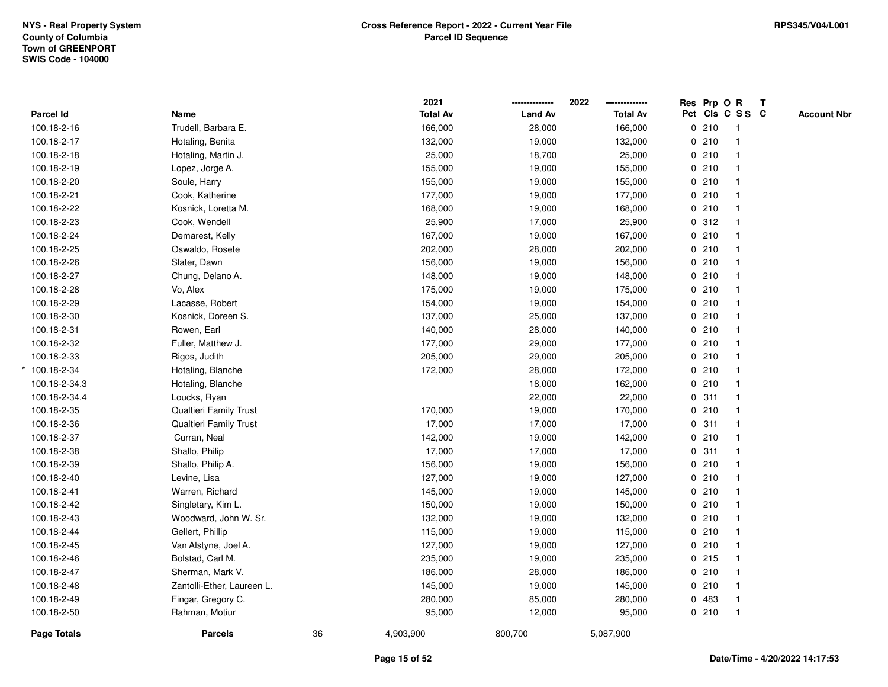|                  |                            |    | 2021            |                | 2022            | Res Prp O R |                         | $\mathbf{T}$ |                    |
|------------------|----------------------------|----|-----------------|----------------|-----------------|-------------|-------------------------|--------------|--------------------|
| <b>Parcel Id</b> | Name                       |    | <b>Total Av</b> | <b>Land Av</b> | <b>Total Av</b> |             | Pct Cls C S S C         |              | <b>Account Nbr</b> |
| 100.18-2-16      | Trudell, Barbara E.        |    | 166,000         | 28,000         | 166,000         | 0210        | $\overline{1}$          |              |                    |
| 100.18-2-17      | Hotaling, Benita           |    | 132,000         | 19,000         | 132,000         | 0210        | $\mathbf{1}$            |              |                    |
| 100.18-2-18      | Hotaling, Martin J.        |    | 25,000          | 18,700         | 25,000          | 0210        | $\mathbf{1}$            |              |                    |
| 100.18-2-19      | Lopez, Jorge A.            |    | 155,000         | 19,000         | 155,000         | 0210        | $\mathbf{1}$            |              |                    |
| 100.18-2-20      | Soule, Harry               |    | 155,000         | 19,000         | 155,000         | 0210        |                         |              |                    |
| 100.18-2-21      | Cook, Katherine            |    | 177,000         | 19,000         | 177,000         | 0210        |                         |              |                    |
| 100.18-2-22      | Kosnick, Loretta M.        |    | 168,000         | 19,000         | 168,000         | 0210        | $\overline{\mathbf{1}}$ |              |                    |
| 100.18-2-23      | Cook, Wendell              |    | 25,900          | 17,000         | 25,900          | 0.312       | $\overline{1}$          |              |                    |
| 100.18-2-24      | Demarest, Kelly            |    | 167,000         | 19,000         | 167,000         | 0210        | $\mathbf{1}$            |              |                    |
| 100.18-2-25      | Oswaldo, Rosete            |    | 202,000         | 28,000         | 202,000         | 0210        | $\mathbf{1}$            |              |                    |
| 100.18-2-26      | Slater, Dawn               |    | 156,000         | 19,000         | 156,000         | 0210        |                         |              |                    |
| 100.18-2-27      | Chung, Delano A.           |    | 148,000         | 19,000         | 148,000         | 0210        |                         |              |                    |
| 100.18-2-28      | Vo, Alex                   |    | 175,000         | 19,000         | 175,000         | 0210        |                         |              |                    |
| 100.18-2-29      | Lacasse, Robert            |    | 154,000         | 19,000         | 154,000         | 0210        |                         |              |                    |
| 100.18-2-30      | Kosnick, Doreen S.         |    | 137,000         | 25,000         | 137,000         | 0210        | $\overline{\mathbf{1}}$ |              |                    |
| 100.18-2-31      | Rowen, Earl                |    | 140,000         | 28,000         | 140,000         | 0210        | $\overline{1}$          |              |                    |
| 100.18-2-32      | Fuller, Matthew J.         |    | 177,000         | 29,000         | 177,000         | 0210        | $\mathbf{1}$            |              |                    |
| 100.18-2-33      | Rigos, Judith              |    | 205,000         | 29,000         | 205,000         | 0210        |                         |              |                    |
| 100.18-2-34      | Hotaling, Blanche          |    | 172,000         | 28,000         | 172,000         | 0210        |                         |              |                    |
| 100.18-2-34.3    | Hotaling, Blanche          |    |                 | 18,000         | 162,000         | 0210        |                         |              |                    |
| 100.18-2-34.4    | Loucks, Ryan               |    |                 | 22,000         | 22,000          | 0.311       | $\overline{1}$          |              |                    |
| 100.18-2-35      | Qualtieri Family Trust     |    | 170,000         | 19,000         | 170,000         | 0 210       | $\mathbf{1}$            |              |                    |
| 100.18-2-36      | Qualtieri Family Trust     |    | 17,000          | 17,000         | 17,000          | 0.311       | $\mathbf{1}$            |              |                    |
| 100.18-2-37      | Curran, Neal               |    | 142,000         | 19,000         | 142,000         | 0210        | $\overline{1}$          |              |                    |
| 100.18-2-38      | Shallo, Philip             |    | 17,000          | 17,000         | 17,000          | 0.311       |                         |              |                    |
| 100.18-2-39      | Shallo, Philip A.          |    | 156,000         | 19,000         | 156,000         | 0210        |                         |              |                    |
| 100.18-2-40      | Levine, Lisa               |    | 127,000         | 19,000         | 127,000         | 0210        |                         |              |                    |
| 100.18-2-41      | Warren, Richard            |    | 145,000         | 19,000         | 145,000         | 0210        |                         |              |                    |
| 100.18-2-42      | Singletary, Kim L.         |    | 150,000         | 19,000         | 150,000         | 0 210       | $\overline{\mathbf{1}}$ |              |                    |
| 100.18-2-43      | Woodward, John W. Sr.      |    | 132,000         | 19,000         | 132,000         | 0210        | $\mathbf{1}$            |              |                    |
| 100.18-2-44      | Gellert, Phillip           |    | 115,000         | 19,000         | 115,000         | 0210        | $\mathbf{1}$            |              |                    |
| 100.18-2-45      | Van Alstyne, Joel A.       |    | 127,000         | 19,000         | 127,000         | 0210        | $\mathbf{1}$            |              |                    |
| 100.18-2-46      | Bolstad, Carl M.           |    | 235,000         | 19,000         | 235,000         | 0.215       |                         |              |                    |
| 100.18-2-47      | Sherman, Mark V.           |    | 186,000         | 28,000         | 186,000         | 0210        |                         |              |                    |
| 100.18-2-48      | Zantolli-Ether, Laureen L. |    | 145,000         | 19,000         | 145,000         | 0210        |                         |              |                    |
| 100.18-2-49      | Fingar, Gregory C.         |    | 280,000         | 85,000         | 280,000         | 0 483       | $\mathbf{1}$            |              |                    |
| 100.18-2-50      | Rahman, Motiur             |    | 95,000          | 12,000         | 95,000          | 0210        | $\overline{1}$          |              |                    |
| Page Totals      | <b>Parcels</b>             | 36 | 4,903,900       | 800,700        | 5,087,900       |             |                         |              |                    |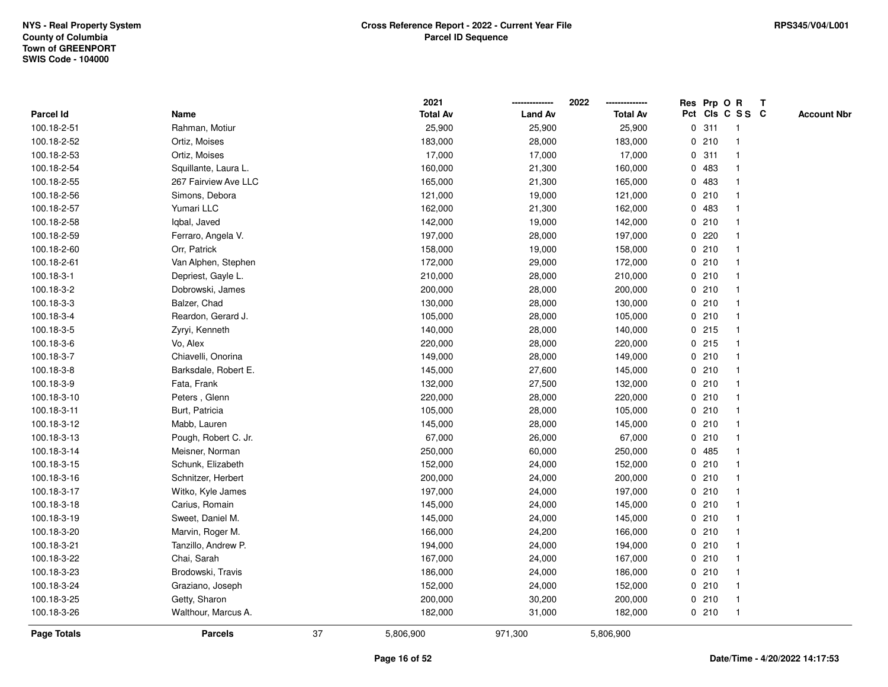|             |                      |    | 2021            |                | 2022            | Res Prp O R |                 | Т |                    |
|-------------|----------------------|----|-----------------|----------------|-----------------|-------------|-----------------|---|--------------------|
| Parcel Id   | Name                 |    | <b>Total Av</b> | <b>Land Av</b> | <b>Total Av</b> |             | Pct Cls C S S C |   | <b>Account Nbr</b> |
| 100.18-2-51 | Rahman, Motiur       |    | 25,900          | 25,900         | 25,900          | 0.311       | $\mathbf{1}$    |   |                    |
| 100.18-2-52 | Ortiz, Moises        |    | 183,000         | 28,000         | 183,000         | 0210        | $\overline{1}$  |   |                    |
| 100.18-2-53 | Ortiz, Moises        |    | 17,000          | 17,000         | 17,000          | 0.311       | $\mathbf{1}$    |   |                    |
| 100.18-2-54 | Squillante, Laura L. |    | 160,000         | 21,300         | 160,000         | 0 483       | 1               |   |                    |
| 100.18-2-55 | 267 Fairview Ave LLC |    | 165,000         | 21,300         | 165,000         | 0 483       | 1               |   |                    |
| 100.18-2-56 | Simons, Debora       |    | 121,000         | 19,000         | 121,000         | 0210        |                 |   |                    |
| 100.18-2-57 | Yumari LLC           |    | 162,000         | 21,300         | 162,000         | 0 483       | $\mathbf{1}$    |   |                    |
| 100.18-2-58 | Iqbal, Javed         |    | 142,000         | 19,000         | 142,000         | 0210        | $\mathbf{1}$    |   |                    |
| 100.18-2-59 | Ferraro, Angela V.   |    | 197,000         | 28,000         | 197,000         | 0.220       | $\overline{1}$  |   |                    |
| 100.18-2-60 | Orr, Patrick         |    | 158,000         | 19,000         | 158,000         | 0210        | $\mathbf{1}$    |   |                    |
| 100.18-2-61 | Van Alphen, Stephen  |    | 172,000         | 29,000         | 172,000         | 0210        | $\mathbf{1}$    |   |                    |
| 100.18-3-1  | Depriest, Gayle L.   |    | 210,000         | 28,000         | 210,000         | 0210        | 1               |   |                    |
| 100.18-3-2  | Dobrowski, James     |    | 200,000         | 28,000         | 200,000         | 0210        | 1               |   |                    |
| 100.18-3-3  | Balzer, Chad         |    | 130,000         | 28,000         | 130,000         | 0210        | 1               |   |                    |
| 100.18-3-4  | Reardon, Gerard J.   |    | 105,000         | 28,000         | 105,000         | 0210        | $\mathbf{1}$    |   |                    |
| 100.18-3-5  | Zyryi, Kenneth       |    | 140,000         | 28,000         | 140,000         | $0$ 215     | $\overline{1}$  |   |                    |
| 100.18-3-6  | Vo, Alex             |    | 220,000         | 28,000         | 220,000         | 0215        | $\overline{1}$  |   |                    |
| 100.18-3-7  | Chiavelli, Onorina   |    | 149,000         | 28,000         | 149,000         | 0210        | -1              |   |                    |
| 100.18-3-8  | Barksdale, Robert E. |    | 145,000         | 27,600         | 145,000         | 0210        | 1               |   |                    |
| 100.18-3-9  | Fata, Frank          |    | 132,000         | 27,500         | 132,000         | 0210        |                 |   |                    |
| 100.18-3-10 | Peters, Glenn        |    | 220,000         | 28,000         | 220,000         | 0210        | $\mathbf{1}$    |   |                    |
| 100.18-3-11 | Burt, Patricia       |    | 105,000         | 28,000         | 105,000         | 0210        | $\mathbf{1}$    |   |                    |
| 100.18-3-12 | Mabb, Lauren         |    | 145,000         | 28,000         | 145,000         | 0210        | $\mathbf{1}$    |   |                    |
| 100.18-3-13 | Pough, Robert C. Jr. |    | 67,000          | 26,000         | 67,000          | 0210        | $\mathbf{1}$    |   |                    |
| 100.18-3-14 | Meisner, Norman      |    | 250,000         | 60,000         | 250,000         | 0 485       | $\mathbf 1$     |   |                    |
| 100.18-3-15 | Schunk, Elizabeth    |    | 152,000         | 24,000         | 152,000         | 0210        | 1               |   |                    |
| 100.18-3-16 | Schnitzer, Herbert   |    | 200,000         | 24,000         | 200,000         | 0210        |                 |   |                    |
| 100.18-3-17 | Witko, Kyle James    |    | 197,000         | 24,000         | 197,000         | 0210        | 1               |   |                    |
| 100.18-3-18 | Carius, Romain       |    | 145,000         | 24,000         | 145,000         | 0210        | $\mathbf{1}$    |   |                    |
| 100.18-3-19 | Sweet, Daniel M.     |    | 145,000         | 24,000         | 145,000         | 0210        | $\mathbf{1}$    |   |                    |
| 100.18-3-20 | Marvin, Roger M.     |    | 166,000         | 24,200         | 166,000         | 0210        | $\mathbf{1}$    |   |                    |
| 100.18-3-21 | Tanzillo, Andrew P.  |    | 194,000         | 24,000         | 194,000         | 0210        | $\mathbf 1$     |   |                    |
| 100.18-3-22 | Chai, Sarah          |    | 167,000         | 24,000         | 167,000         | 0210        | 1               |   |                    |
| 100.18-3-23 | Brodowski, Travis    |    | 186,000         | 24,000         | 186,000         | 0210        | 1               |   |                    |
| 100.18-3-24 | Graziano, Joseph     |    | 152,000         | 24,000         | 152,000         | 0210        | $\mathbf{1}$    |   |                    |
| 100.18-3-25 | Getty, Sharon        |    | 200,000         | 30,200         | 200,000         | 0210        | $\overline{1}$  |   |                    |
| 100.18-3-26 | Walthour, Marcus A.  |    | 182,000         | 31,000         | 182,000         | 0210        | $\overline{1}$  |   |                    |
| Page Totals | <b>Parcels</b>       | 37 | 5,806,900       | 971,300        | 5,806,900       |             |                 |   |                    |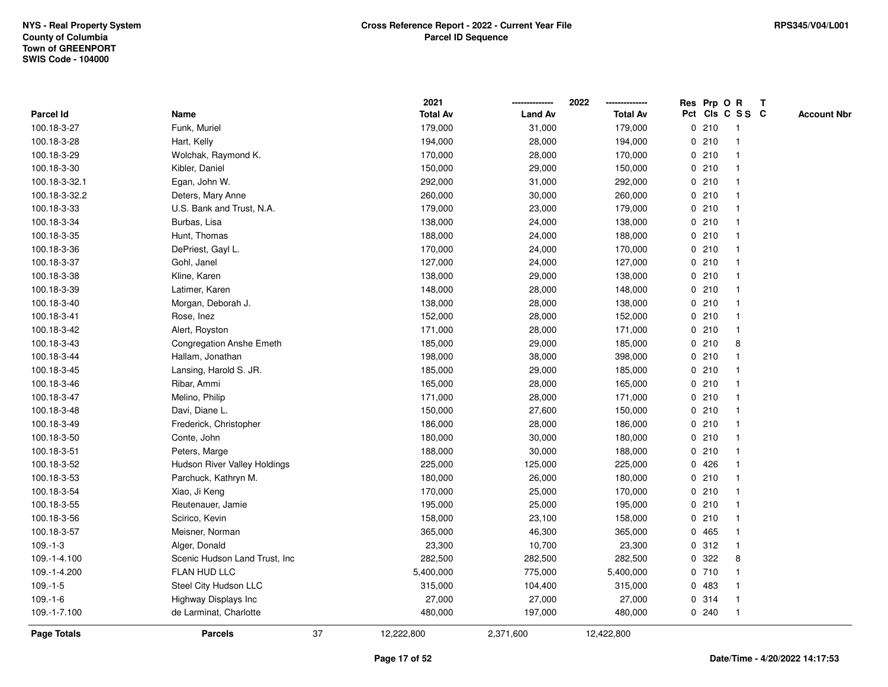|                    |                                 |    | 2021            |                | 2022            |   | Res Prp O R |                         | Т |                    |
|--------------------|---------------------------------|----|-----------------|----------------|-----------------|---|-------------|-------------------------|---|--------------------|
| Parcel Id          | Name                            |    | <b>Total Av</b> | <b>Land Av</b> | <b>Total Av</b> |   |             | Pct Cls C S S C         |   | <b>Account Nbr</b> |
| 100.18-3-27        | Funk, Muriel                    |    | 179,000         | 31,000         | 179,000         |   | 0210        | $\mathbf{1}$            |   |                    |
| 100.18-3-28        | Hart, Kelly                     |    | 194,000         | 28,000         | 194,000         |   | 0210        | -1                      |   |                    |
| 100.18-3-29        | Wolchak, Raymond K.             |    | 170,000         | 28,000         | 170,000         |   | 0210        | $\mathbf{1}$            |   |                    |
| 100.18-3-30        | Kibler, Daniel                  |    | 150,000         | 29,000         | 150,000         |   | 0210        |                         |   |                    |
| 100.18-3-32.1      | Egan, John W.                   |    | 292,000         | 31,000         | 292,000         |   | 0210        |                         |   |                    |
| 100.18-3-32.2      | Deters, Mary Anne               |    | 260,000         | 30,000         | 260,000         |   | 0210        |                         |   |                    |
| 100.18-3-33        | U.S. Bank and Trust, N.A.       |    | 179,000         | 23,000         | 179,000         |   | 0210        |                         |   |                    |
| 100.18-3-34        | Burbas, Lisa                    |    | 138,000         | 24,000         | 138,000         |   | 0210        | $\overline{1}$          |   |                    |
| 100.18-3-35        | Hunt, Thomas                    |    | 188,000         | 24,000         | 188,000         |   | 0210        | -1                      |   |                    |
| 100.18-3-36        | DePriest, Gayl L.               |    | 170,000         | 24,000         | 170,000         |   | 0210        | $\mathbf 1$             |   |                    |
| 100.18-3-37        | Gohl, Janel                     |    | 127,000         | 24,000         | 127,000         |   | 0210        | -1                      |   |                    |
| 100.18-3-38        | Kline, Karen                    |    | 138,000         | 29,000         | 138,000         |   | 0210        |                         |   |                    |
| 100.18-3-39        | Latimer, Karen                  |    | 148,000         | 28,000         | 148,000         |   | 0210        |                         |   |                    |
| 100.18-3-40        | Morgan, Deborah J.              |    | 138,000         | 28,000         | 138,000         |   | 0210        |                         |   |                    |
| 100.18-3-41        | Rose, Inez                      |    | 152,000         | 28,000         | 152,000         |   | 0210        |                         |   |                    |
| 100.18-3-42        | Alert, Royston                  |    | 171,000         | 28,000         | 171,000         |   | 0210        | $\mathbf{1}$            |   |                    |
| 100.18-3-43        | <b>Congregation Anshe Emeth</b> |    | 185,000         | 29,000         | 185,000         |   | 0210        | 8                       |   |                    |
| 100.18-3-44        | Hallam, Jonathan                |    | 198,000         | 38,000         | 398,000         |   | 0210        |                         |   |                    |
| 100.18-3-45        | Lansing, Harold S. JR.          |    | 185,000         | 29,000         | 185,000         |   | 0210        |                         |   |                    |
| 100.18-3-46        | Ribar, Ammi                     |    | 165,000         | 28,000         | 165,000         |   | 0210        |                         |   |                    |
| 100.18-3-47        | Melino, Philip                  |    | 171,000         | 28,000         | 171,000         |   | 0210        | $\overline{1}$          |   |                    |
| 100.18-3-48        | Davi, Diane L.                  |    | 150,000         | 27,600         | 150,000         |   | 0210        |                         |   |                    |
| 100.18-3-49        | Frederick, Christopher          |    | 186,000         | 28,000         | 186,000         |   | 0210        | $\mathbf{1}$            |   |                    |
| 100.18-3-50        | Conte, John                     |    | 180,000         | 30,000         | 180,000         |   | 0210        | -1                      |   |                    |
| 100.18-3-51        | Peters, Marge                   |    | 188,000         | 30,000         | 188,000         |   | 0210        | -1                      |   |                    |
| 100.18-3-52        | Hudson River Valley Holdings    |    | 225,000         | 125,000        | 225,000         |   | 0426        |                         |   |                    |
| 100.18-3-53        | Parchuck, Kathryn M.            |    | 180,000         | 26,000         | 180,000         |   | 0210        |                         |   |                    |
| 100.18-3-54        | Xiao, Ji Keng                   |    | 170,000         | 25,000         | 170,000         |   | 0210        | -1                      |   |                    |
| 100.18-3-55        | Reutenauer, Jamie               |    | 195,000         | 25,000         | 195,000         |   | 0210        | $\overline{\mathbf{1}}$ |   |                    |
| 100.18-3-56        | Scirico, Kevin                  |    | 158,000         | 23,100         | 158,000         |   | 0210        | -1                      |   |                    |
| 100.18-3-57        | Meisner, Norman                 |    | 365,000         | 46,300         | 365,000         | 0 | 465         | $\mathbf 1$             |   |                    |
| $109.-1-3$         | Alger, Donald                   |    | 23,300          | 10,700         | 23,300          |   | 0.312       | $\mathbf 1$             |   |                    |
| 109.-1-4.100       | Scenic Hudson Land Trust, Inc   |    | 282,500         | 282,500        | 282,500         |   | 0.322       | 8                       |   |                    |
| 109.-1-4.200       | FLAN HUD LLC                    |    | 5,400,000       | 775,000        | 5,400,000       |   | 0710        |                         |   |                    |
| $109.-1-5$         | Steel City Hudson LLC           |    | 315,000         | 104,400        | 315,000         |   | 0 483       | -1                      |   |                    |
| $109.-1-6$         | Highway Displays Inc            |    | 27,000          | 27,000         | 27,000          |   | 0.314       | -1                      |   |                    |
| 109.-1-7.100       | de Larminat, Charlotte          |    | 480,000         | 197,000        | 480,000         |   | 0.240       | $\mathbf{1}$            |   |                    |
| <b>Page Totals</b> | <b>Parcels</b>                  | 37 | 12,222,800      | 2,371,600      | 12,422,800      |   |             |                         |   |                    |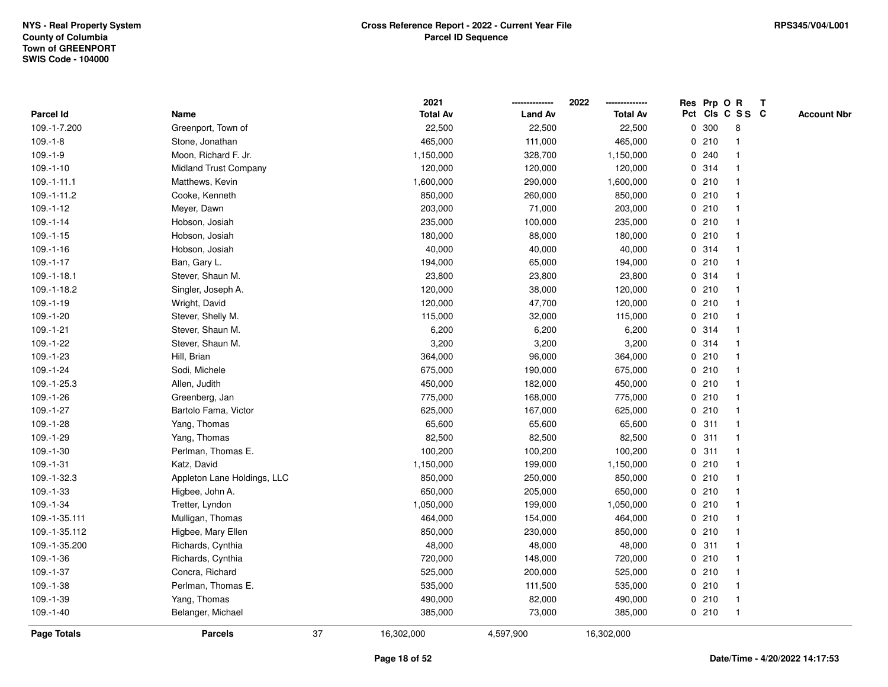|                   |                              |    | 2021            |                | 2022            |             |       | Res Prp O R             | T |                    |
|-------------------|------------------------------|----|-----------------|----------------|-----------------|-------------|-------|-------------------------|---|--------------------|
| <b>Parcel Id</b>  | Name                         |    | <b>Total Av</b> | <b>Land Av</b> | <b>Total Av</b> |             |       | Pct Cls C S S C         |   | <b>Account Nbr</b> |
| 109.-1-7.200      | Greenport, Town of           |    | 22,500          | 22,500         | 22,500          | 0           | 300   | 8                       |   |                    |
| $109.-1-8$        | Stone, Jonathan              |    | 465,000         | 111,000        | 465,000         | 0           | 210   | -1                      |   |                    |
| $109.-1-9$        | Moon, Richard F. Jr.         |    | 1,150,000       | 328,700        | 1,150,000       |             | 0.240 | -1                      |   |                    |
| $109.-1-10$       | <b>Midland Trust Company</b> |    | 120,000         | 120,000        | 120,000         |             | 0.314 |                         |   |                    |
| $109. - 1 - 11.1$ | Matthews, Kevin              |    | 1,600,000       | 290,000        | 1,600,000       |             | 0210  |                         |   |                    |
| 109.-1-11.2       | Cooke, Kenneth               |    | 850,000         | 260,000        | 850,000         |             | 0210  |                         |   |                    |
| $109.-1-12$       | Meyer, Dawn                  |    | 203,000         | 71,000         | 203,000         |             | 0210  |                         |   |                    |
| $109.-1-14$       | Hobson, Josiah               |    | 235,000         | 100,000        | 235,000         | 0           | 210   |                         |   |                    |
| $109.-1-15$       | Hobson, Josiah               |    | 180,000         | 88,000         | 180,000         | 0           | 210   | -1                      |   |                    |
| $109.-1-16$       | Hobson, Josiah               |    | 40,000          | 40,000         | 40,000          |             | 0 314 | -1                      |   |                    |
| $109.-1-17$       | Ban, Gary L.                 |    | 194,000         | 65,000         | 194,000         |             | 0210  |                         |   |                    |
| 109.-1-18.1       | Stever, Shaun M.             |    | 23,800          | 23,800         | 23,800          |             | 0 314 |                         |   |                    |
| 109.-1-18.2       | Singler, Joseph A.           |    | 120,000         | 38,000         | 120,000         |             | 0210  |                         |   |                    |
| 109.-1-19         | Wright, David                |    | 120,000         | 47,700         | 120,000         |             | 0210  |                         |   |                    |
| 109.-1-20         | Stever, Shelly M.            |    | 115,000         | 32,000         | 115,000         | $\mathbf 0$ | 210   |                         |   |                    |
| $109.-1-21$       | Stever, Shaun M.             |    | 6,200           | 6,200          | 6,200           | $\mathbf 0$ | 314   | $\mathbf{1}$            |   |                    |
| 109.-1-22         | Stever, Shaun M.             |    | 3,200           | 3,200          | 3,200           |             | 0 314 | $\overline{\mathbf{1}}$ |   |                    |
| 109.-1-23         | Hill, Brian                  |    | 364,000         | 96,000         | 364,000         |             | 0210  |                         |   |                    |
| $109.-1-24$       | Sodi, Michele                |    | 675,000         | 190,000        | 675,000         |             | 0210  |                         |   |                    |
| 109.-1-25.3       | Allen, Judith                |    | 450,000         | 182,000        | 450,000         |             | 0210  |                         |   |                    |
| 109.-1-26         | Greenberg, Jan               |    | 775,000         | 168,000        | 775,000         |             | 0210  |                         |   |                    |
| 109.-1-27         | Bartolo Fama, Victor         |    | 625,000         | 167,000        | 625,000         |             | 0210  |                         |   |                    |
| $109.-1-28$       | Yang, Thomas                 |    | 65,600          | 65,600         | 65,600          | 0           | 311   | $\mathbf{1}$            |   |                    |
| 109.-1-29         | Yang, Thomas                 |    | 82,500          | 82,500         | 82,500          | $\mathbf 0$ | 311   | $\overline{\mathbf{1}}$ |   |                    |
| 109.-1-30         | Perlman, Thomas E.           |    | 100,200         | 100,200        | 100,200         |             | 0.311 | -1                      |   |                    |
| $109.-1-31$       | Katz, David                  |    | 1,150,000       | 199,000        | 1,150,000       |             | 0210  |                         |   |                    |
| 109.-1-32.3       | Appleton Lane Holdings, LLC  |    | 850,000         | 250,000        | 850,000         |             | 0210  |                         |   |                    |
| 109.-1-33         | Higbee, John A.              |    | 650,000         | 205,000        | 650,000         |             | 0210  |                         |   |                    |
| 109.-1-34         | Tretter, Lyndon              |    | 1,050,000       | 199,000        | 1,050,000       |             | 0210  |                         |   |                    |
| 109.-1-35.111     | Mulligan, Thomas             |    | 464,000         | 154,000        | 464,000         | 0           | 210   | -1                      |   |                    |
| 109.-1-35.112     | Higbee, Mary Ellen           |    | 850,000         | 230,000        | 850,000         | 0           | 210   | -1                      |   |                    |
| 109.-1-35.200     | Richards, Cynthia            |    | 48,000          | 48,000         | 48,000          |             | 0.311 | $\mathbf 1$             |   |                    |
| $109.-1-36$       | Richards, Cynthia            |    | 720,000         | 148,000        | 720,000         |             | 0210  |                         |   |                    |
| 109.-1-37         | Concra, Richard              |    | 525,000         | 200,000        | 525,000         |             | 0210  |                         |   |                    |
| 109.-1-38         | Perlman, Thomas E.           |    | 535,000         | 111,500        | 535,000         |             | 0210  | -1                      |   |                    |
| 109.-1-39         | Yang, Thomas                 |    | 490,000         | 82,000         | 490,000         |             | 0210  | -1                      |   |                    |
| $109.-1-40$       | Belanger, Michael            |    | 385,000         | 73,000         | 385,000         |             | 0210  | $\mathbf{1}$            |   |                    |
| Page Totals       | <b>Parcels</b>               | 37 | 16,302,000      | 4,597,900      | 16,302,000      |             |       |                         |   |                    |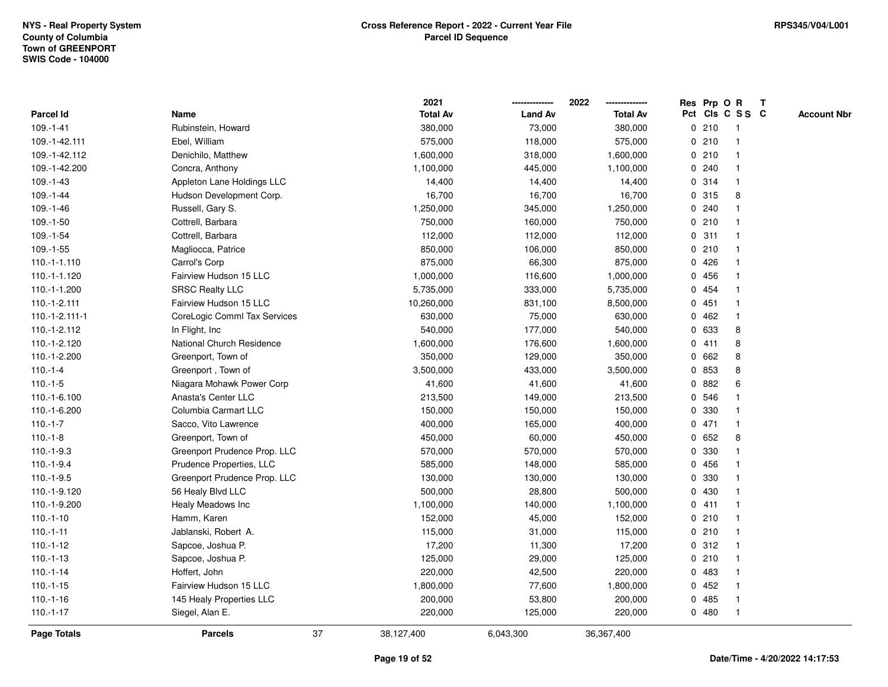|                 |                              |    | 2021            |                | 2022            |   |       | Res Prp O R     | Т |                    |
|-----------------|------------------------------|----|-----------------|----------------|-----------------|---|-------|-----------------|---|--------------------|
| Parcel Id       | Name                         |    | <b>Total Av</b> | <b>Land Av</b> | <b>Total Av</b> |   |       | Pct Cls C S S C |   | <b>Account Nbr</b> |
| $109. - 1 - 41$ | Rubinstein, Howard           |    | 380,000         | 73,000         | 380,000         |   | 0210  | $\mathbf{1}$    |   |                    |
| 109.-1-42.111   | Ebel, William                |    | 575,000         | 118,000        | 575,000         |   | 0210  | 1               |   |                    |
| 109.-1-42.112   | Denichilo, Matthew           |    | 1,600,000       | 318,000        | 1,600,000       |   | 0210  | $\mathbf{1}$    |   |                    |
| 109.-1-42.200   | Concra, Anthony              |    | 1,100,000       | 445,000        | 1,100,000       |   | 0.240 | -1              |   |                    |
| $109. - 1 - 43$ | Appleton Lane Holdings LLC   |    | 14,400          | 14,400         | 14,400          |   | 0.314 |                 |   |                    |
| $109. - 1 - 44$ | Hudson Development Corp.     |    | 16,700          | 16,700         | 16,700          |   | 0.315 | 8               |   |                    |
| $109.-1-46$     | Russell, Gary S.             |    | 1,250,000       | 345,000        | 1,250,000       |   | 0.240 |                 |   |                    |
| $109.-1-50$     | Cottrell, Barbara            |    | 750,000         | 160,000        | 750,000         |   | 0210  | $\mathbf{1}$    |   |                    |
| $109.-1-54$     | Cottrell, Barbara            |    | 112,000         | 112,000        | 112,000         |   | 0.311 | 1               |   |                    |
| $109.-1-55$     | Magliocca, Patrice           |    | 850,000         | 106,000        | 850,000         |   | 0210  | $\mathbf 1$     |   |                    |
| $110.-1-1.110$  | Carrol's Corp                |    | 875,000         | 66,300         | 875,000         |   | 0426  | $\mathbf 1$     |   |                    |
| 110.-1-1.120    | Fairview Hudson 15 LLC       |    | 1,000,000       | 116,600        | 1,000,000       |   | 0 456 |                 |   |                    |
| 110.-1-1.200    | <b>SRSC Realty LLC</b>       |    | 5,735,000       | 333,000        | 5,735,000       |   | 0 454 |                 |   |                    |
| 110.-1-2.111    | Fairview Hudson 15 LLC       |    | 10,260,000      | 831,100        | 8,500,000       |   | 0451  | $\mathbf 1$     |   |                    |
| 110.-1-2.111-1  | CoreLogic Comml Tax Services |    | 630,000         | 75,000         | 630,000         | 0 | 462   | $\mathbf{1}$    |   |                    |
| 110.-1-2.112    | In Flight, Inc               |    | 540,000         | 177,000        | 540,000         |   | 0 633 | 8               |   |                    |
| 110.-1-2.120    | National Church Residence    |    | 1,600,000       | 176,600        | 1,600,000       |   | 0411  | 8               |   |                    |
| 110.-1-2.200    | Greenport, Town of           |    | 350,000         | 129,000        | 350,000         |   | 0662  | 8               |   |                    |
| $110.-1-4$      | Greenport, Town of           |    | 3,500,000       | 433,000        | 3,500,000       |   | 0 853 | 8               |   |                    |
| $110.-1-5$      | Niagara Mohawk Power Corp    |    | 41,600          | 41,600         | 41,600          |   | 0 882 | 6               |   |                    |
| 110.-1-6.100    | Anasta's Center LLC          |    | 213,500         | 149,000        | 213,500         |   | 0 546 |                 |   |                    |
| 110.-1-6.200    | Columbia Carmart LLC         |    | 150,000         | 150,000        | 150,000         |   | 0 330 |                 |   |                    |
| $110.-1-7$      | Sacco, Vito Lawrence         |    | 400,000         | 165,000        | 400,000         |   | 0471  | $\mathbf{1}$    |   |                    |
| $110.-1-8$      | Greenport, Town of           |    | 450,000         | 60,000         | 450,000         |   | 0652  | 8               |   |                    |
| $110.-1-9.3$    | Greenport Prudence Prop. LLC |    | 570,000         | 570,000        | 570,000         |   | 0 330 | $\mathbf 1$     |   |                    |
| $110.-1-9.4$    | Prudence Properties, LLC     |    | 585,000         | 148,000        | 585,000         |   | 0 456 |                 |   |                    |
| $110.-1-9.5$    | Greenport Prudence Prop. LLC |    | 130,000         | 130,000        | 130,000         | 0 | 330   |                 |   |                    |
| 110.-1-9.120    | 56 Healy Blvd LLC            |    | 500,000         | 28,800         | 500,000         | 0 | 430   | $\mathbf 1$     |   |                    |
| 110.-1-9.200    | Healy Meadows Inc            |    | 1,100,000       | 140,000        | 1,100,000       |   | 0411  | $\mathbf{1}$    |   |                    |
| $110.-1-10$     | Hamm, Karen                  |    | 152,000         | 45,000         | 152,000         |   | 0210  | 1               |   |                    |
| $110.-1-11$     | Jablanski, Robert A.         |    | 115,000         | 31,000         | 115,000         |   | 0210  | 1               |   |                    |
| $110.-1-12$     | Sapcoe, Joshua P.            |    | 17,200          | 11,300         | 17,200          |   | 0.312 | $\mathbf 1$     |   |                    |
| $110.-1-13$     | Sapcoe, Joshua P.            |    | 125,000         | 29,000         | 125,000         |   | 0210  | $\mathbf 1$     |   |                    |
| $110.-1-14$     | Hoffert, John                |    | 220,000         | 42,500         | 220,000         |   | 0 483 |                 |   |                    |
| $110.-1-15$     | Fairview Hudson 15 LLC       |    | 1,800,000       | 77,600         | 1,800,000       |   | 0452  | $\mathbf 1$     |   |                    |
| $110.-1-16$     | 145 Healy Properties LLC     |    | 200,000         | 53,800         | 200,000         | 0 | 485   | 1               |   |                    |
| $110.-1-17$     | Siegel, Alan E.              |    | 220,000         | 125,000        | 220,000         |   | 0480  | $\mathbf{1}$    |   |                    |
| Page Totals     | <b>Parcels</b>               | 37 | 38,127,400      | 6,043,300      | 36,367,400      |   |       |                 |   |                    |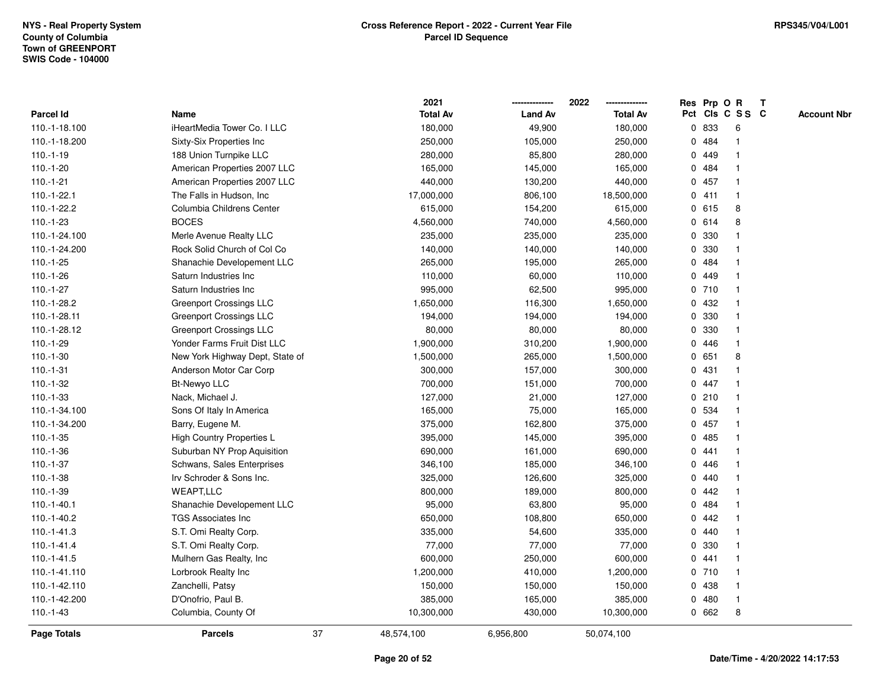|                    |                                 |    | 2021            |                | 2022            |   |       | Res Prp O R     | T |                    |
|--------------------|---------------------------------|----|-----------------|----------------|-----------------|---|-------|-----------------|---|--------------------|
| <b>Parcel Id</b>   | Name                            |    | <b>Total Av</b> | <b>Land Av</b> | <b>Total Av</b> |   |       | Pct Cls C S S C |   | <b>Account Nbr</b> |
| 110.-1-18.100      | iHeartMedia Tower Co. I LLC     |    | 180,000         | 49,900         | 180,000         |   | 0 833 | 6               |   |                    |
| 110.-1-18.200      | Sixty-Six Properties Inc.       |    | 250,000         | 105,000        | 250,000         |   | 0 484 | $\mathbf{1}$    |   |                    |
| $110.-1-19$        | 188 Union Turnpike LLC          |    | 280,000         | 85,800         | 280,000         |   | 0 449 | $\mathbf{1}$    |   |                    |
| $110.-1-20$        | American Properties 2007 LLC    |    | 165,000         | 145,000        | 165,000         |   | 0 484 | -1              |   |                    |
| $110.-1-21$        | American Properties 2007 LLC    |    | 440,000         | 130,200        | 440,000         |   | 0457  |                 |   |                    |
| 110.-1-22.1        | The Falls in Hudson, Inc        |    | 17,000,000      | 806,100        | 18,500,000      |   | 0411  | $\mathbf 1$     |   |                    |
| 110.-1-22.2        | Columbia Childrens Center       |    | 615,000         | 154,200        | 615,000         |   | 0615  | 8               |   |                    |
| $110.-1-23$        | <b>BOCES</b>                    |    | 4,560,000       | 740,000        | 4,560,000       |   | 0 614 | 8               |   |                    |
| 110.-1-24.100      | Merle Avenue Realty LLC         |    | 235,000         | 235,000        | 235,000         | 0 | 330   | $\mathbf{1}$    |   |                    |
| 110.-1-24.200      | Rock Solid Church of Col Co     |    | 140,000         | 140,000        | 140,000         |   | 0 330 | $\mathbf{1}$    |   |                    |
| $110.-1-25$        | Shanachie Developement LLC      |    | 265,000         | 195,000        | 265,000         |   | 0 484 | $\mathbf 1$     |   |                    |
| $110.-1-26$        | Saturn Industries Inc           |    | 110,000         | 60,000         | 110,000         |   | 0 449 |                 |   |                    |
| $110.-1-27$        | Saturn Industries Inc           |    | 995,000         | 62,500         | 995,000         |   | 0710  |                 |   |                    |
| 110.-1-28.2        | <b>Greenport Crossings LLC</b>  |    | 1,650,000       | 116,300        | 1,650,000       |   | 0 432 | $\mathbf 1$     |   |                    |
| 110.-1-28.11       | <b>Greenport Crossings LLC</b>  |    | 194,000         | 194,000        | 194,000         | 0 | 330   | $\mathbf{1}$    |   |                    |
| 110.-1-28.12       | Greenport Crossings LLC         |    | 80,000          | 80,000         | 80,000          | 0 | 330   | $\mathbf{1}$    |   |                    |
| $110.-1-29$        | Yonder Farms Fruit Dist LLC     |    | 1,900,000       | 310,200        | 1,900,000       |   | 0446  | $\mathbf{1}$    |   |                    |
| 110.-1-30          | New York Highway Dept, State of |    | 1,500,000       | 265,000        | 1,500,000       |   | 0651  | 8               |   |                    |
| $110.-1-31$        | Anderson Motor Car Corp         |    | 300,000         | 157,000        | 300,000         |   | 0431  |                 |   |                    |
| 110.-1-32          | <b>Bt-Newyo LLC</b>             |    | 700,000         | 151,000        | 700,000         |   | 0 447 |                 |   |                    |
| $110.-1-33$        | Nack, Michael J.                |    | 127,000         | 21,000         | 127,000         |   | 0210  | $\mathbf{1}$    |   |                    |
| 110.-1-34.100      | Sons Of Italy In America        |    | 165,000         | 75,000         | 165,000         |   | 0 534 | $\mathbf 1$     |   |                    |
| 110.-1-34.200      | Barry, Eugene M.                |    | 375,000         | 162,800        | 375,000         |   | 0457  | $\mathbf{1}$    |   |                    |
| $110.-1-35$        | High Country Properties L       |    | 395,000         | 145,000        | 395,000         | 0 | 485   | $\mathbf 1$     |   |                    |
| $110.-1-36$        | Suburban NY Prop Aquisition     |    | 690,000         | 161,000        | 690,000         |   | 0441  | $\mathbf 1$     |   |                    |
| $110.-1-37$        | Schwans, Sales Enterprises      |    | 346,100         | 185,000        | 346,100         |   | 0 446 |                 |   |                    |
| 110.-1-38          | Irv Schroder & Sons Inc.        |    | 325,000         | 126,600        | 325,000         |   | 0.440 |                 |   |                    |
| $110.-1-39$        | <b>WEAPT,LLC</b>                |    | 800,000         | 189,000        | 800,000         | 0 | 442   |                 |   |                    |
| $110.-1-40.1$      | Shanachie Developement LLC      |    | 95,000          | 63,800         | 95,000          | 0 | 484   | $\mathbf 1$     |   |                    |
| 110.-1-40.2        | <b>TGS Associates Inc</b>       |    | 650,000         | 108,800        | 650,000         | 0 | 442   | 1               |   |                    |
| $110.-1-41.3$      | S.T. Omi Realty Corp.           |    | 335,000         | 54,600         | 335,000         | 0 | 440   | $\mathbf{1}$    |   |                    |
| $110.-1-41.4$      | S.T. Omi Realty Corp.           |    | 77,000          | 77,000         | 77,000          |   | 0 330 | $\mathbf 1$     |   |                    |
| $110.-1-41.5$      | Mulhern Gas Realty, Inc         |    | 600,000         | 250,000        | 600,000         |   | 0441  |                 |   |                    |
| 110.-1-41.110      | Lorbrook Realty Inc             |    | 1,200,000       | 410,000        | 1,200,000       |   | 0710  |                 |   |                    |
| 110.-1-42.110      | Zanchelli, Patsy                |    | 150,000         | 150,000        | 150,000         |   | 0 438 | $\mathbf 1$     |   |                    |
| 110.-1-42.200      | D'Onofrio, Paul B.              |    | 385,000         | 165,000        | 385,000         | 0 | 480   | $\mathbf{1}$    |   |                    |
| $110.-1-43$        | Columbia, County Of             |    | 10,300,000      | 430,000        | 10,300,000      |   | 0 662 | 8               |   |                    |
| <b>Page Totals</b> | <b>Parcels</b>                  | 37 | 48,574,100      | 6,956,800      | 50,074,100      |   |       |                 |   |                    |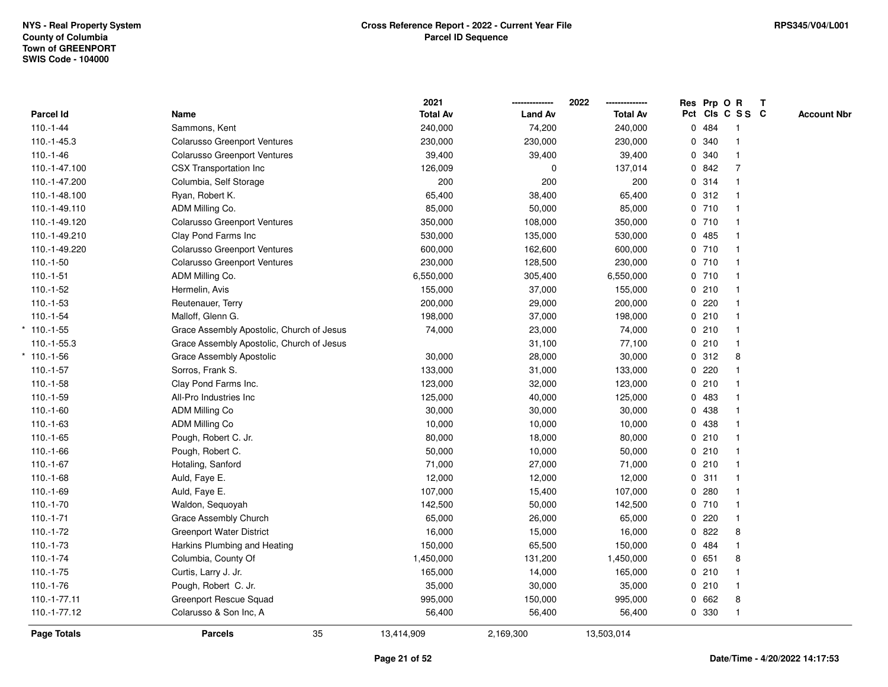|                    |                                           | 2021            |                | 2022            |   | Res Prp O R |                         | $\mathbf T$ |                    |
|--------------------|-------------------------------------------|-----------------|----------------|-----------------|---|-------------|-------------------------|-------------|--------------------|
| Parcel Id          | Name                                      | <b>Total Av</b> | <b>Land Av</b> | <b>Total Av</b> |   |             | Pct Cls C S S C         |             | <b>Account Nbr</b> |
| $110.-1-44$        | Sammons, Kent                             | 240,000         | 74,200         | 240,000         |   | 0 484       | $\mathbf{1}$            |             |                    |
| 110.-1-45.3        | <b>Colarusso Greenport Ventures</b>       | 230,000         | 230,000        | 230,000         | 0 | 340         | $\mathbf{1}$            |             |                    |
| $110.-1-46$        | <b>Colarusso Greenport Ventures</b>       | 39,400          | 39,400         | 39,400          |   | 0 340       | $\mathbf{1}$            |             |                    |
| 110.-1-47.100      | <b>CSX Transportation Inc</b>             | 126,009         | 0              | 137,014         |   | 0 842       | 7                       |             |                    |
| 110.-1-47.200      | Columbia, Self Storage                    | 200             | 200            | 200             |   | 0 314       |                         |             |                    |
| 110.-1-48.100      | Ryan, Robert K.                           | 65,400          | 38,400         | 65,400          |   | 0.312       |                         |             |                    |
| 110.-1-49.110      | ADM Milling Co.                           | 85,000          | 50,000         | 85,000          |   | 0710        | $\overline{1}$          |             |                    |
| 110.-1-49.120      | <b>Colarusso Greenport Ventures</b>       | 350,000         | 108,000        | 350,000         |   | 0710        | $\overline{\mathbf{1}}$ |             |                    |
| 110.-1-49.210      | Clay Pond Farms Inc                       | 530,000         | 135,000        | 530,000         |   | 0485        |                         |             |                    |
| 110.-1-49.220      | <b>Colarusso Greenport Ventures</b>       | 600,000         | 162,600        | 600,000         |   | 0710        | $\overline{1}$          |             |                    |
| $110.-1-50$        | <b>Colarusso Greenport Ventures</b>       | 230,000         | 128,500        | 230,000         |   | 0710        |                         |             |                    |
| $110.-1-51$        | ADM Milling Co.                           | 6,550,000       | 305,400        | 6,550,000       |   | 0710        |                         |             |                    |
| $110.-1-52$        | Hermelin, Avis                            | 155,000         | 37,000         | 155,000         |   | 0210        |                         |             |                    |
| $110.-1-53$        | Reutenauer, Terry                         | 200,000         | 29,000         | 200,000         |   | 0220        |                         |             |                    |
| $110.-1-54$        | Malloff, Glenn G.                         | 198,000         | 37,000         | 198,000         |   | 0210        |                         |             |                    |
| $*$ 110.-1-55      | Grace Assembly Apostolic, Church of Jesus | 74,000          | 23,000         | 74,000          |   | 0210        | $\overline{1}$          |             |                    |
| 110.-1-55.3        | Grace Assembly Apostolic, Church of Jesus |                 | 31,100         | 77,100          |   | 0210        | $\overline{1}$          |             |                    |
| 110.-1-56          | Grace Assembly Apostolic                  | 30,000          | 28,000         | 30,000          |   | 0.312       | 8                       |             |                    |
| $110.-1-57$        | Sorros, Frank S.                          | 133,000         | 31,000         | 133,000         |   | 0.220       |                         |             |                    |
| $110.-1-58$        | Clay Pond Farms Inc.                      | 123,000         | 32,000         | 123,000         |   | 0210        |                         |             |                    |
| $110.-1-59$        | All-Pro Industries Inc                    | 125,000         | 40,000         | 125,000         |   | 0 483       |                         |             |                    |
| $110.-1-60$        | <b>ADM Milling Co</b>                     | 30,000          | 30,000         | 30,000          |   | 0 438       |                         |             |                    |
| $110.-1-63$        | <b>ADM Milling Co</b>                     | 10,000          | 10,000         | 10,000          |   | 0 438       |                         |             |                    |
| $110.-1-65$        | Pough, Robert C. Jr.                      | 80,000          | 18,000         | 80,000          |   | 0210        | $\mathbf{1}$            |             |                    |
| $110.-1-66$        | Pough, Robert C.                          | 50,000          | 10,000         | 50,000          |   | 0210        |                         |             |                    |
| $110.-1-67$        | Hotaling, Sanford                         | 71,000          | 27,000         | 71,000          |   | 0210        |                         |             |                    |
| $110.-1-68$        | Auld, Faye E.                             | 12,000          | 12,000         | 12,000          |   | 0.311       |                         |             |                    |
| $110.-1-69$        | Auld, Faye E.                             | 107,000         | 15,400         | 107,000         |   | 0.280       |                         |             |                    |
| $110.-1-70$        | Waldon, Seguoyah                          | 142,500         | 50,000         | 142,500         |   | 0710        |                         |             |                    |
| $110.-1-71$        | Grace Assembly Church                     | 65,000          | 26,000         | 65,000          |   | 0.220       | $\mathbf 1$             |             |                    |
| $110.-1-72$        | <b>Greenport Water District</b>           | 16,000          | 15,000         | 16,000          |   | 0822        | 8                       |             |                    |
| $110.-1-73$        | Harkins Plumbing and Heating              | 150,000         | 65,500         | 150,000         |   | 0 484       | $\mathbf{1}$            |             |                    |
| $110.-1-74$        | Columbia, County Of                       | 1,450,000       | 131,200        | 1,450,000       |   | 0651        | 8                       |             |                    |
| $110.-1-75$        | Curtis, Larry J. Jr.                      | 165,000         | 14,000         | 165,000         |   | 0210        |                         |             |                    |
| $110.-1-76$        | Pough, Robert C. Jr.                      | 35,000          | 30,000         | 35,000          |   | 0210        | $\mathbf{1}$            |             |                    |
| 110.-1-77.11       | Greenport Rescue Squad                    | 995,000         | 150,000        | 995,000         | 0 | 662         | 8                       |             |                    |
| 110.-1-77.12       | Colarusso & Son Inc, A                    | 56,400          | 56,400         | 56,400          |   | 0 330       | $\mathbf{1}$            |             |                    |
| <b>Page Totals</b> | 35<br><b>Parcels</b>                      | 13,414,909      | 2,169,300      | 13,503,014      |   |             |                         |             |                    |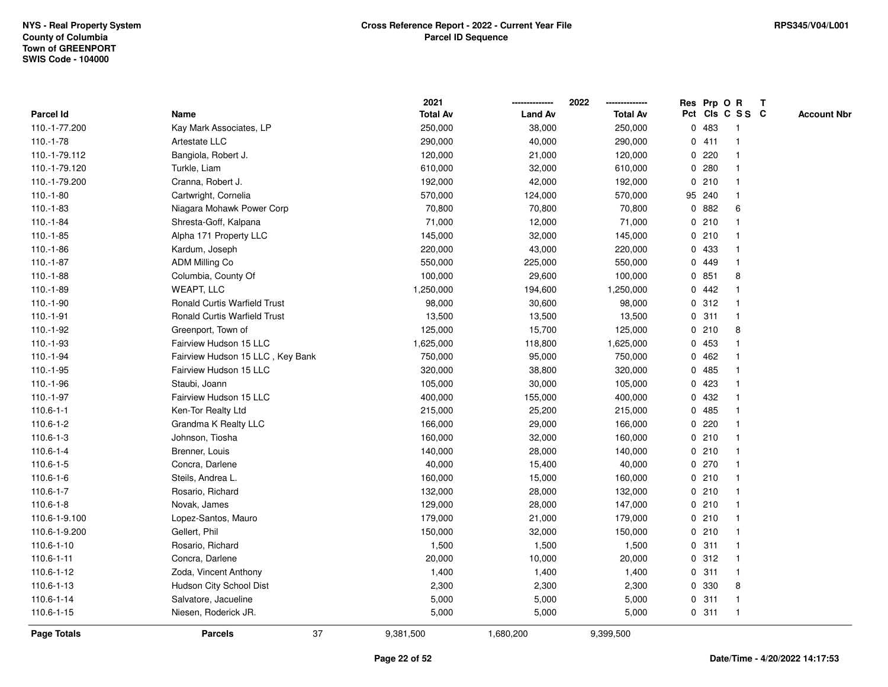|                    |                                     | 2021            |                | 2022            |   | Res Prp O R |                         | Т |                    |
|--------------------|-------------------------------------|-----------------|----------------|-----------------|---|-------------|-------------------------|---|--------------------|
| <b>Parcel Id</b>   | Name                                | <b>Total Av</b> | <b>Land Av</b> | <b>Total Av</b> |   |             | Pct Cls C S S C         |   | <b>Account Nbr</b> |
| 110.-1-77.200      | Kay Mark Associates, LP             | 250,000         | 38,000         | 250,000         | 0 | 483         | -1                      |   |                    |
| $110.-1-78$        | Artestate LLC                       | 290,000         | 40,000         | 290,000         |   | 0411        | -1                      |   |                    |
| 110.-1-79.112      | Bangiola, Robert J.                 | 120,000         | 21,000         | 120,000         |   | 0.220       | $\mathbf 1$             |   |                    |
| 110.-1-79.120      | Turkle, Liam                        | 610,000         | 32,000         | 610,000         |   | 0.280       |                         |   |                    |
| 110.-1-79.200      | Cranna, Robert J.                   | 192,000         | 42,000         | 192,000         |   | 0210        |                         |   |                    |
| $110.-1-80$        | Cartwright, Cornelia                | 570,000         | 124,000        | 570,000         |   | 95 240      |                         |   |                    |
| $110.-1-83$        | Niagara Mohawk Power Corp           | 70,800          | 70,800         | 70,800          |   | 0.882       | 6                       |   |                    |
| $110.-1-84$        | Shresta-Goff, Kalpana               | 71,000          | 12,000         | 71,000          |   | 0210        |                         |   |                    |
| 110.-1-85          | Alpha 171 Property LLC              | 145,000         | 32,000         | 145,000         |   | 0210        | -1                      |   |                    |
| $110.-1-86$        | Kardum, Joseph                      | 220,000         | 43,000         | 220,000         |   | 0 433       | $\mathbf 1$             |   |                    |
| $110.-1-87$        | ADM Milling Co                      | 550,000         | 225,000        | 550,000         |   | 0 449       | -1                      |   |                    |
| $110.-1-88$        | Columbia, County Of                 | 100,000         | 29,600         | 100,000         |   | 0851        | 8                       |   |                    |
| $110.-1-89$        | <b>WEAPT, LLC</b>                   | 1,250,000       | 194,600        | 1,250,000       |   | 0.442       |                         |   |                    |
| 110.-1-90          | <b>Ronald Curtis Warfield Trust</b> | 98,000          | 30,600         | 98,000          |   | 0.312       |                         |   |                    |
| 110.-1-91          | <b>Ronald Curtis Warfield Trust</b> | 13,500          | 13,500         | 13,500          | 0 | 311         | -1                      |   |                    |
| 110.-1-92          | Greenport, Town of                  | 125,000         | 15,700         | 125,000         |   | 0210        | 8                       |   |                    |
| 110.-1-93          | Fairview Hudson 15 LLC              | 1,625,000       | 118,800        | 1,625,000       |   | 0 453       | -1                      |   |                    |
| 110.-1-94          | Fairview Hudson 15 LLC, Key Bank    | 750,000         | 95,000         | 750,000         |   | 0462        |                         |   |                    |
| 110.-1-95          | Fairview Hudson 15 LLC              | 320,000         | 38,800         | 320,000         |   | 0 485       |                         |   |                    |
| 110.-1-96          | Staubi, Joann                       | 105,000         | 30,000         | 105,000         |   | 0.423       |                         |   |                    |
| $110.-1-97$        | Fairview Hudson 15 LLC              | 400,000         | 155,000        | 400,000         | 0 | 432         |                         |   |                    |
| $110.6 - 1 - 1$    | Ken-Tor Realty Ltd                  | 215,000         | 25,200         | 215,000         |   | 0485        |                         |   |                    |
| 110.6-1-2          | Grandma K Realty LLC                | 166,000         | 29,000         | 166,000         | 0 | 220         | -1                      |   |                    |
| 110.6-1-3          | Johnson, Tiosha                     | 160,000         | 32,000         | 160,000         |   | 0210        | -1                      |   |                    |
| $110.6 - 1 - 4$    | Brenner, Louis                      | 140,000         | 28,000         | 140,000         |   | 0210        | -1                      |   |                    |
| $110.6 - 1 - 5$    | Concra, Darlene                     | 40,000          | 15,400         | 40,000          |   | 0270        |                         |   |                    |
| 110.6-1-6          | Steils, Andrea L.                   | 160,000         | 15,000         | 160,000         |   | 0210        |                         |   |                    |
| 110.6-1-7          | Rosario, Richard                    | 132,000         | 28,000         | 132,000         |   | 0210        | -1                      |   |                    |
| $110.6 - 1 - 8$    | Novak, James                        | 129,000         | 28,000         | 147,000         |   | 0210        | $\overline{\mathbf{1}}$ |   |                    |
| 110.6-1-9.100      | Lopez-Santos, Mauro                 | 179,000         | 21,000         | 179,000         |   | 0210        | -1                      |   |                    |
| 110.6-1-9.200      | Gellert, Phil                       | 150,000         | 32,000         | 150,000         |   | 0210        | $\mathbf 1$             |   |                    |
| 110.6-1-10         | Rosario, Richard                    | 1,500           | 1,500          | 1,500           |   | 0.311       | -1                      |   |                    |
| $110.6 - 1 - 11$   | Concra, Darlene                     | 20,000          | 10,000         | 20,000          |   | 0.312       |                         |   |                    |
| 110.6-1-12         | Zoda, Vincent Anthony               | 1,400           | 1,400          | 1,400           |   | 0.311       |                         |   |                    |
| 110.6-1-13         | Hudson City School Dist             | 2,300           | 2,300          | 2,300           |   | 0 330       | 8                       |   |                    |
| 110.6-1-14         | Salvatore, Jacueline                | 5,000           | 5,000          | 5,000           |   | 0.311       | $\mathbf 1$             |   |                    |
| 110.6-1-15         | Niesen, Roderick JR.                | 5,000           | 5,000          | 5,000           |   | 0.311       | $\mathbf{1}$            |   |                    |
| <b>Page Totals</b> | 37<br><b>Parcels</b>                | 9,381,500       | 1,680,200      | 9,399,500       |   |             |                         |   |                    |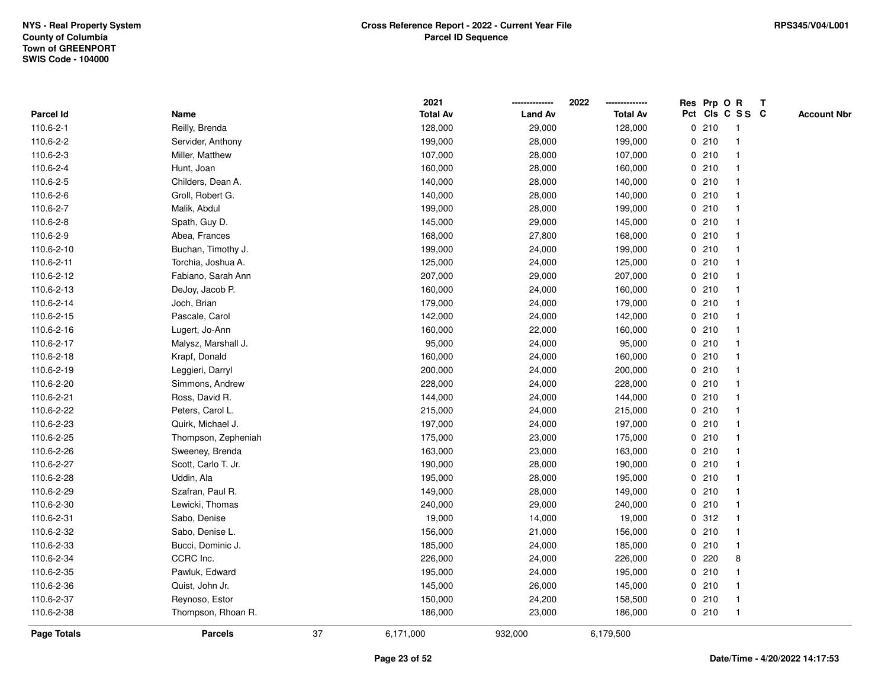|                    |                     |        | 2021            |                | 2022            |   | Res Prp O R |                         | Т |                    |
|--------------------|---------------------|--------|-----------------|----------------|-----------------|---|-------------|-------------------------|---|--------------------|
| Parcel Id          | Name                |        | <b>Total Av</b> | <b>Land Av</b> | <b>Total Av</b> |   |             | Pct Cls C S S C         |   | <b>Account Nbr</b> |
| 110.6-2-1          | Reilly, Brenda      |        | 128,000         | 29,000         | 128,000         |   | 0210        | $\overline{1}$          |   |                    |
| 110.6-2-2          | Servider, Anthony   |        | 199,000         | 28,000         | 199,000         |   | 0210        | $\overline{\mathbf{1}}$ |   |                    |
| 110.6-2-3          | Miller, Matthew     |        | 107,000         | 28,000         | 107,000         |   | 0210        | 1                       |   |                    |
| 110.6-2-4          | Hunt, Joan          |        | 160,000         | 28,000         | 160,000         |   | 0210        |                         |   |                    |
| 110.6-2-5          | Childers, Dean A.   |        | 140,000         | 28,000         | 140,000         |   | 0210        |                         |   |                    |
| 110.6-2-6          | Groll, Robert G.    |        | 140,000         | 28,000         | 140,000         |   | 0210        |                         |   |                    |
| 110.6-2-7          | Malik, Abdul        |        | 199,000         | 28,000         | 199,000         |   | 0210        | -1                      |   |                    |
| 110.6-2-8          | Spath, Guy D.       |        | 145,000         | 29,000         | 145,000         |   | 0210        | -1                      |   |                    |
| 110.6-2-9          | Abea, Frances       |        | 168,000         | 27,800         | 168,000         |   | 0210        | $\overline{\mathbf{1}}$ |   |                    |
| 110.6-2-10         | Buchan, Timothy J.  |        | 199,000         | 24,000         | 199,000         |   | 0210        | $\mathbf{1}$            |   |                    |
| 110.6-2-11         | Torchia, Joshua A.  |        | 125,000         | 24,000         | 125,000         |   | 0210        |                         |   |                    |
| 110.6-2-12         | Fabiano, Sarah Ann  |        | 207,000         | 29,000         | 207,000         |   | 0210        |                         |   |                    |
| 110.6-2-13         | DeJoy, Jacob P.     |        | 160,000         | 24,000         | 160,000         |   | 0210        |                         |   |                    |
| 110.6-2-14         | Joch, Brian         |        | 179,000         | 24,000         | 179,000         |   | 0210        | -1                      |   |                    |
| 110.6-2-15         | Pascale, Carol      |        | 142,000         | 24,000         | 142,000         | 0 | 210         | -1                      |   |                    |
| 110.6-2-16         | Lugert, Jo-Ann      |        | 160,000         | 22,000         | 160,000         |   | 0210        | $\overline{\mathbf{1}}$ |   |                    |
| 110.6-2-17         | Malysz, Marshall J. |        | 95,000          | 24,000         | 95,000          |   | 0210        | 1                       |   |                    |
| 110.6-2-18         | Krapf, Donald       |        | 160,000         | 24,000         | 160,000         |   | 0210        |                         |   |                    |
| 110.6-2-19         | Leggieri, Darryl    |        | 200,000         | 24,000         | 200,000         |   | 0210        |                         |   |                    |
| 110.6-2-20         | Simmons, Andrew     |        | 228,000         | 24,000         | 228,000         |   | 0210        |                         |   |                    |
| 110.6-2-21         | Ross, David R.      |        | 144,000         | 24,000         | 144,000         |   | 0210        | -1                      |   |                    |
| 110.6-2-22         | Peters, Carol L.    |        | 215,000         | 24,000         | 215,000         |   | 0210        | -1                      |   |                    |
| 110.6-2-23         | Quirk, Michael J.   |        | 197,000         | 24,000         | 197,000         |   | 0210        | $\overline{\mathbf{1}}$ |   |                    |
| 110.6-2-25         | Thompson, Zepheniah |        | 175,000         | 23,000         | 175,000         |   | 0210        | $\mathbf{1}$            |   |                    |
| 110.6-2-26         | Sweeney, Brenda     |        | 163,000         | 23,000         | 163,000         |   | 0210        |                         |   |                    |
| 110.6-2-27         | Scott, Carlo T. Jr. |        | 190,000         | 28,000         | 190,000         |   | 0210        |                         |   |                    |
| 110.6-2-28         | Uddin, Ala          |        | 195,000         | 28,000         | 195,000         |   | 0210        |                         |   |                    |
| 110.6-2-29         | Szafran, Paul R.    |        | 149,000         | 28,000         | 149,000         |   | 0210        |                         |   |                    |
| 110.6-2-30         | Lewicki, Thomas     |        | 240,000         | 29,000         | 240,000         |   | 0210        | -1                      |   |                    |
| 110.6-2-31         | Sabo, Denise        |        | 19,000          | 14,000         | 19,000          |   | 0.312       | $\overline{\mathbf{1}}$ |   |                    |
| 110.6-2-32         | Sabo, Denise L.     |        | 156,000         | 21,000         | 156,000         |   | 0210        | $\mathbf{1}$            |   |                    |
| 110.6-2-33         | Bucci, Dominic J.   |        | 185,000         | 24,000         | 185,000         |   | 0210        | -1                      |   |                    |
| 110.6-2-34         | CCRC Inc.           |        | 226,000         | 24,000         | 226,000         |   | 0220        | 8                       |   |                    |
| 110.6-2-35         | Pawluk, Edward      |        | 195,000         | 24,000         | 195,000         |   | 0210        |                         |   |                    |
| 110.6-2-36         | Quist, John Jr.     |        | 145,000         | 26,000         | 145,000         |   | 0210        | $\overline{1}$          |   |                    |
| 110.6-2-37         | Reynoso, Estor      |        | 150,000         | 24,200         | 158,500         |   | 0210        | $\mathbf{1}$            |   |                    |
| 110.6-2-38         | Thompson, Rhoan R.  |        | 186,000         | 23,000         | 186,000         |   | 0210        | $\overline{1}$          |   |                    |
| <b>Page Totals</b> | <b>Parcels</b>      | $37\,$ | 6,171,000       | 932,000        | 6,179,500       |   |             |                         |   |                    |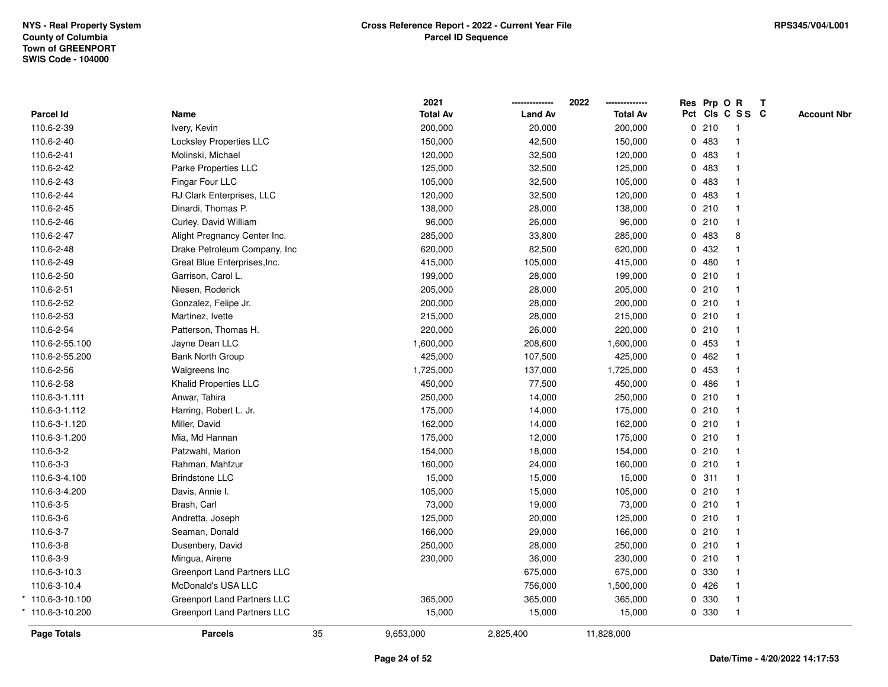|                      |                                |    | 2021            |                | 2022            | Res Prp O R |                 | $\mathbf{T}$ |                    |
|----------------------|--------------------------------|----|-----------------|----------------|-----------------|-------------|-----------------|--------------|--------------------|
| Parcel Id            | Name                           |    | <b>Total Av</b> | <b>Land Av</b> | <b>Total Av</b> |             | Pct Cls C S S C |              | <b>Account Nbr</b> |
| 110.6-2-39           | Ivery, Kevin                   |    | 200,000         | 20,000         | 200,000         | 0210        | $\mathbf{1}$    |              |                    |
| 110.6-2-40           | <b>Locksley Properties LLC</b> |    | 150,000         | 42,500         | 150,000         | 0 483       | $\mathbf{1}$    |              |                    |
| 110.6-2-41           | Molinski, Michael              |    | 120,000         | 32,500         | 120,000         | 0 483       | $\mathbf{1}$    |              |                    |
| 110.6-2-42           | Parke Properties LLC           |    | 125,000         | 32,500         | 125,000         | 0 483       | $\mathbf{1}$    |              |                    |
| 110.6-2-43           | Fingar Four LLC                |    | 105,000         | 32,500         | 105,000         | 0 483       |                 |              |                    |
| 110.6-2-44           | RJ Clark Enterprises, LLC      |    | 120,000         | 32,500         | 120,000         | 0483        | 1               |              |                    |
| 110.6-2-45           | Dinardi, Thomas P.             |    | 138,000         | 28,000         | 138,000         | 0210        | $\mathbf{1}$    |              |                    |
| 110.6-2-46           | Curley, David William          |    | 96,000          | 26,000         | 96,000          | 0210        | $\mathbf{1}$    |              |                    |
| 110.6-2-47           | Alight Pregnancy Center Inc.   |    | 285,000         | 33,800         | 285,000         | 0 483       | 8               |              |                    |
| 110.6-2-48           | Drake Petroleum Company, Inc   |    | 620,000         | 82,500         | 620,000         | 0 432       |                 |              |                    |
| 110.6-2-49           | Great Blue Enterprises, Inc.   |    | 415,000         | 105,000        | 415,000         | 0480        | 1               |              |                    |
| 110.6-2-50           | Garrison, Carol L.             |    | 199,000         | 28,000         | 199,000         | 0210        | 1               |              |                    |
| 110.6-2-51           | Niesen, Roderick               |    | 205,000         | 28,000         | 205,000         | 0210        |                 |              |                    |
| 110.6-2-52           | Gonzalez, Felipe Jr.           |    | 200,000         | 28,000         | 200,000         | 0210        | $\mathbf{1}$    |              |                    |
| 110.6-2-53           | Martinez, Ivette               |    | 215,000         | 28,000         | 215,000         | 0210        | $\mathbf{1}$    |              |                    |
| 110.6-2-54           | Patterson, Thomas H.           |    | 220,000         | 26,000         | 220,000         | 0210        | $\mathbf{1}$    |              |                    |
| 110.6-2-55.100       | Jayne Dean LLC                 |    | 1,600,000       | 208,600        | 1,600,000       | 0 453       | $\mathbf{1}$    |              |                    |
| 110.6-2-55.200       | <b>Bank North Group</b>        |    | 425,000         | 107,500        | 425,000         | 0462        | 1               |              |                    |
| 110.6-2-56           | Walgreens Inc                  |    | 1,725,000       | 137,000        | 1,725,000       | 0 453       |                 |              |                    |
| 110.6-2-58           | Khalid Properties LLC          |    | 450,000         | 77,500         | 450,000         | 0486        |                 |              |                    |
| 110.6-3-1.111        | Anwar, Tahira                  |    | 250,000         | 14,000         | 250,000         | 0210        | 1               |              |                    |
| 110.6-3-1.112        | Harring, Robert L. Jr.         |    | 175,000         | 14,000         | 175,000         | 0210        | $\mathbf{1}$    |              |                    |
| 110.6-3-1.120        | Miller, David                  |    | 162,000         | 14,000         | 162,000         | 0210        | $\mathbf{1}$    |              |                    |
| 110.6-3-1.200        | Mia, Md Hannan                 |    | 175,000         | 12,000         | 175,000         | 0210        | $\mathbf{1}$    |              |                    |
| 110.6-3-2            | Patzwahl, Marion               |    | 154,000         | 18,000         | 154,000         | 0210        | $\mathbf{1}$    |              |                    |
| 110.6-3-3            | Rahman, Mahfzur                |    | 160,000         | 24,000         | 160,000         | 0210        | 1               |              |                    |
| 110.6-3-4.100        | <b>Brindstone LLC</b>          |    | 15,000          | 15,000         | 15,000          | 0.311       | 1               |              |                    |
| 110.6-3-4.200        | Davis, Annie I.                |    | 105,000         | 15,000         | 105,000         | 0210        | 1               |              |                    |
| 110.6-3-5            | Brash, Carl                    |    | 73,000          | 19,000         | 73,000          | 0210        | $\mathbf{1}$    |              |                    |
| 110.6-3-6            | Andretta, Joseph               |    | 125,000         | 20,000         | 125,000         | 0210        | $\mathbf{1}$    |              |                    |
| 110.6-3-7            | Seaman, Donald                 |    | 166,000         | 29,000         | 166,000         | 0210        | $\mathbf{1}$    |              |                    |
| 110.6-3-8            | Dusenbery, David               |    | 250,000         | 28,000         | 250,000         | 0210        | $\mathbf{1}$    |              |                    |
| 110.6-3-9            | Mingua, Airene                 |    | 230,000         | 36,000         | 230,000         | 0210        | $\mathbf{1}$    |              |                    |
| 110.6-3-10.3         | Greenport Land Partners LLC    |    |                 | 675,000        | 675,000         | 0 330       |                 |              |                    |
| 110.6-3-10.4         | McDonald's USA LLC             |    |                 | 756,000        | 1,500,000       | 0426        | $\mathbf{1}$    |              |                    |
| $*$ 110.6-3-10.100   | Greenport Land Partners LLC    |    | 365,000         | 365,000        | 365,000         | 0 330       | $\mathbf{1}$    |              |                    |
| $110.6 - 3 - 10.200$ | Greenport Land Partners LLC    |    | 15,000          | 15,000         | 15,000          | 0 330       | $\mathbf{1}$    |              |                    |
| Page Totals          | <b>Parcels</b>                 | 35 | 9,653,000       | 2,825,400      | 11,828,000      |             |                 |              |                    |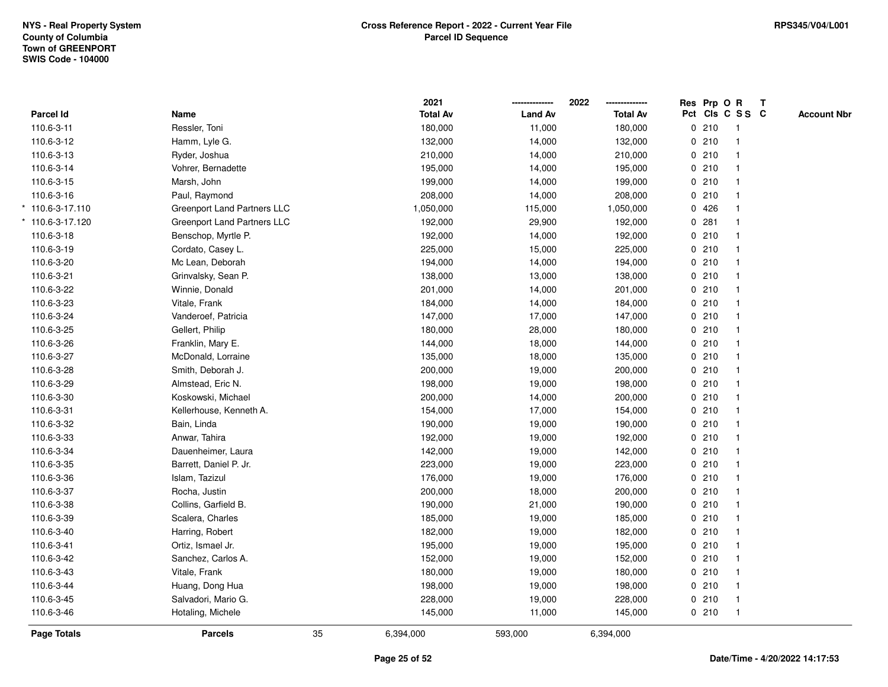|                  |                             |    | 2021            |                | 2022            | Res Prp O R |                 | T |                    |
|------------------|-----------------------------|----|-----------------|----------------|-----------------|-------------|-----------------|---|--------------------|
| <b>Parcel Id</b> | Name                        |    | <b>Total Av</b> | <b>Land Av</b> | <b>Total Av</b> |             | Pct Cls C S S C |   | <b>Account Nbr</b> |
| 110.6-3-11       | Ressler, Toni               |    | 180,000         | 11,000         | 180,000         | 0210        | $\overline{1}$  |   |                    |
| 110.6-3-12       | Hamm, Lyle G.               |    | 132,000         | 14,000         | 132,000         | 0210        | $\overline{1}$  |   |                    |
| 110.6-3-13       | Ryder, Joshua               |    | 210,000         | 14,000         | 210,000         | 0210        | $\mathbf{1}$    |   |                    |
| 110.6-3-14       | Vohrer, Bernadette          |    | 195,000         | 14,000         | 195,000         | 0210        |                 |   |                    |
| 110.6-3-15       | Marsh, John                 |    | 199,000         | 14,000         | 199,000         | 0210        |                 |   |                    |
| 110.6-3-16       | Paul, Raymond               |    | 208,000         | 14,000         | 208,000         | 0210        |                 |   |                    |
| 110.6-3-17.110   | Greenport Land Partners LLC |    | 1,050,000       | 115,000        | 1,050,000       | 0426        |                 |   |                    |
| 110.6-3-17.120   | Greenport Land Partners LLC |    | 192,000         | 29,900         | 192,000         | 0.281       | $\mathbf{1}$    |   |                    |
| 110.6-3-18       | Benschop, Myrtle P.         |    | 192,000         | 14,000         | 192,000         | 0210        | $\overline{1}$  |   |                    |
| 110.6-3-19       | Cordato, Casey L.           |    | 225,000         | 15,000         | 225,000         | 0210        | $\mathbf{1}$    |   |                    |
| 110.6-3-20       | Mc Lean, Deborah            |    | 194,000         | 14,000         | 194,000         | 0210        |                 |   |                    |
| 110.6-3-21       | Grinvalsky, Sean P.         |    | 138,000         | 13,000         | 138,000         | 0210        |                 |   |                    |
| 110.6-3-22       | Winnie, Donald              |    | 201,000         | 14,000         | 201,000         | 0210        |                 |   |                    |
| 110.6-3-23       | Vitale, Frank               |    | 184,000         | 14,000         | 184,000         | 0210        |                 |   |                    |
| 110.6-3-24       | Vanderoef, Patricia         |    | 147,000         | 17,000         | 147,000         | 0210        | $\mathbf{1}$    |   |                    |
| 110.6-3-25       | Gellert, Philip             |    | 180,000         | 28,000         | 180,000         | 0 210       | $\overline{1}$  |   |                    |
| 110.6-3-26       | Franklin, Mary E.           |    | 144,000         | 18,000         | 144,000         | 0210        | $\mathbf{1}$    |   |                    |
| 110.6-3-27       | McDonald, Lorraine          |    | 135,000         | 18,000         | 135,000         | 0210        |                 |   |                    |
| 110.6-3-28       | Smith, Deborah J.           |    | 200,000         | 19,000         | 200,000         | 0210        |                 |   |                    |
| 110.6-3-29       | Almstead, Eric N.           |    | 198,000         | 19,000         | 198,000         | 0210        |                 |   |                    |
| 110.6-3-30       | Koskowski, Michael          |    | 200,000         | 14,000         | 200,000         | 0210        |                 |   |                    |
| 110.6-3-31       | Kellerhouse, Kenneth A.     |    | 154,000         | 17,000         | 154,000         | 0210        | $\mathbf{1}$    |   |                    |
| 110.6-3-32       | Bain, Linda                 |    | 190,000         | 19,000         | 190,000         | 0210        | $\overline{1}$  |   |                    |
| 110.6-3-33       | Anwar, Tahira               |    | 192,000         | 19,000         | 192,000         | 0210        | $\mathbf{1}$    |   |                    |
| 110.6-3-34       | Dauenheimer, Laura          |    | 142,000         | 19,000         | 142,000         | 0210        |                 |   |                    |
| 110.6-3-35       | Barrett, Daniel P. Jr.      |    | 223,000         | 19,000         | 223,000         | 0210        |                 |   |                    |
| 110.6-3-36       | Islam, Tazizul              |    | 176,000         | 19,000         | 176,000         | 0210        |                 |   |                    |
| 110.6-3-37       | Rocha, Justin               |    | 200,000         | 18,000         | 200,000         | 0210        |                 |   |                    |
| 110.6-3-38       | Collins, Garfield B.        |    | 190,000         | 21,000         | 190,000         | 0210        | $\mathbf{1}$    |   |                    |
| 110.6-3-39       | Scalera, Charles            |    | 185,000         | 19,000         | 185,000         | 0210        | -1              |   |                    |
| 110.6-3-40       | Harring, Robert             |    | 182,000         | 19,000         | 182,000         | 0210        | $\mathbf{1}$    |   |                    |
| 110.6-3-41       | Ortiz, Ismael Jr.           |    | 195,000         | 19,000         | 195,000         | 0210        |                 |   |                    |
| 110.6-3-42       | Sanchez, Carlos A.          |    | 152,000         | 19,000         | 152,000         | 0210        |                 |   |                    |
| 110.6-3-43       | Vitale, Frank               |    | 180,000         | 19,000         | 180,000         | 0210        |                 |   |                    |
| 110.6-3-44       | Huang, Dong Hua             |    | 198,000         | 19,000         | 198,000         | 0210        |                 |   |                    |
| 110.6-3-45       | Salvadori, Mario G.         |    | 228,000         | 19,000         | 228,000         | 0210        | $\overline{1}$  |   |                    |
| 110.6-3-46       | Hotaling, Michele           |    | 145,000         | 11,000         | 145,000         | 0210        | $\overline{1}$  |   |                    |
| Page Totals      | <b>Parcels</b>              | 35 | 6,394,000       | 593,000        | 6,394,000       |             |                 |   |                    |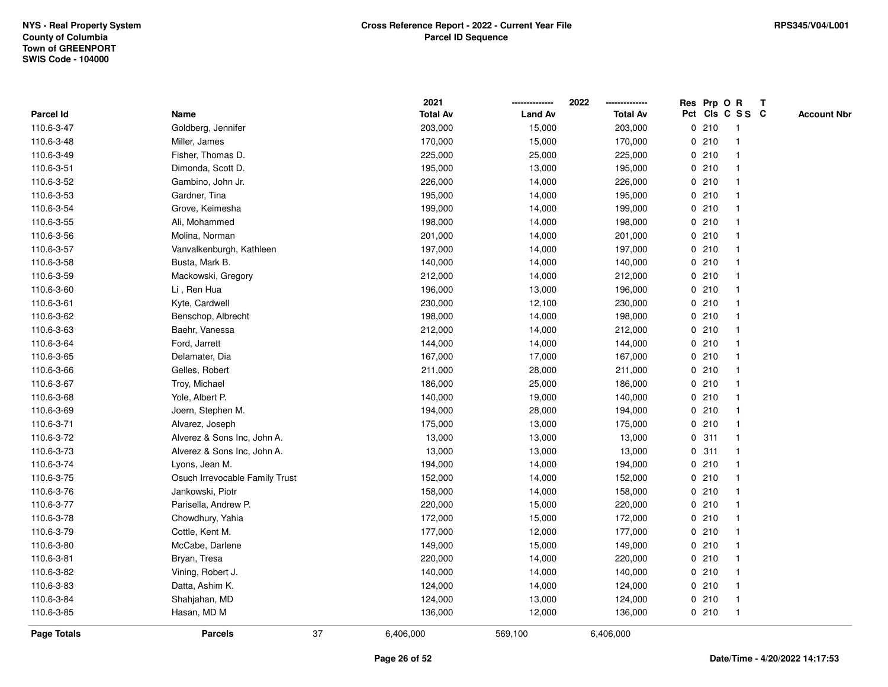|                    |                                |    | 2021            |                | 2022            |             | Res Prp O R |                 | T |                    |
|--------------------|--------------------------------|----|-----------------|----------------|-----------------|-------------|-------------|-----------------|---|--------------------|
| Parcel Id          | Name                           |    | <b>Total Av</b> | <b>Land Av</b> | <b>Total Av</b> |             |             | Pct Cls C S S C |   | <b>Account Nbr</b> |
| 110.6-3-47         | Goldberg, Jennifer             |    | 203,000         | 15,000         | 203,000         | 0           | 210         | $\mathbf{1}$    |   |                    |
| 110.6-3-48         | Miller, James                  |    | 170,000         | 15,000         | 170,000         | 0           | 210         |                 |   |                    |
| 110.6-3-49         | Fisher, Thomas D.              |    | 225,000         | 25,000         | 225,000         |             | 0210        | $\mathbf 1$     |   |                    |
| 110.6-3-51         | Dimonda, Scott D.              |    | 195,000         | 13,000         | 195,000         |             | 0210        |                 |   |                    |
| 110.6-3-52         | Gambino, John Jr.              |    | 226,000         | 14,000         | 226,000         |             | 0210        |                 |   |                    |
| 110.6-3-53         | Gardner, Tina                  |    | 195,000         | 14,000         | 195,000         |             | 0210        |                 |   |                    |
| 110.6-3-54         | Grove, Keimesha                |    | 199,000         | 14,000         | 199,000         |             | 0210        | $\mathbf{1}$    |   |                    |
| 110.6-3-55         | Ali, Mohammed                  |    | 198,000         | 14,000         | 198,000         | 0           | 210         |                 |   |                    |
| 110.6-3-56         | Molina, Norman                 |    | 201,000         | 14,000         | 201,000         |             | 0210        | $\mathbf 1$     |   |                    |
| 110.6-3-57         | Vanvalkenburgh, Kathleen       |    | 197,000         | 14,000         | 197,000         |             | 0210        |                 |   |                    |
| 110.6-3-58         | Busta, Mark B.                 |    | 140,000         | 14,000         | 140,000         |             | 0210        |                 |   |                    |
| 110.6-3-59         | Mackowski, Gregory             |    | 212,000         | 14,000         | 212,000         |             | 0210        |                 |   |                    |
| 110.6-3-60         | Li, Ren Hua                    |    | 196,000         | 13,000         | 196,000         |             | 0210        |                 |   |                    |
| 110.6-3-61         | Kyte, Cardwell                 |    | 230,000         | 12,100         | 230,000         |             | 0210        |                 |   |                    |
| 110.6-3-62         | Benschop, Albrecht             |    | 198,000         | 14,000         | 198,000         |             | 0210        |                 |   |                    |
| 110.6-3-63         | Baehr, Vanessa                 |    | 212,000         | 14,000         | 212,000         | 0           | 210         | $\mathbf 1$     |   |                    |
| 110.6-3-64         | Ford, Jarrett                  |    | 144,000         | 14,000         | 144,000         |             | 0210        |                 |   |                    |
| 110.6-3-65         | Delamater, Dia                 |    | 167,000         | 17,000         | 167,000         |             | 0210        |                 |   |                    |
| 110.6-3-66         | Gelles, Robert                 |    | 211,000         | 28,000         | 211,000         |             | 0210        |                 |   |                    |
| 110.6-3-67         | Troy, Michael                  |    | 186,000         | 25,000         | 186,000         |             | 0210        |                 |   |                    |
| 110.6-3-68         | Yole, Albert P.                |    | 140,000         | 19,000         | 140,000         |             | 0210        |                 |   |                    |
| 110.6-3-69         | Joern, Stephen M.              |    | 194,000         | 28,000         | 194,000         |             | 0210        |                 |   |                    |
| 110.6-3-71         | Alvarez, Joseph                |    | 175,000         | 13,000         | 175,000         |             | 0210        | $\mathbf 1$     |   |                    |
| 110.6-3-72         | Alverez & Sons Inc, John A.    |    | 13,000          | 13,000         | 13,000          | $\mathbf 0$ | 311         |                 |   |                    |
| 110.6-3-73         | Alverez & Sons Inc, John A.    |    | 13,000          | 13,000         | 13,000          |             | 0.311       |                 |   |                    |
| 110.6-3-74         | Lyons, Jean M.                 |    | 194,000         | 14,000         | 194,000         |             | 0210        |                 |   |                    |
| 110.6-3-75         | Osuch Irrevocable Family Trust |    | 152,000         | 14,000         | 152,000         |             | 0210        |                 |   |                    |
| 110.6-3-76         | Jankowski, Piotr               |    | 158,000         | 14,000         | 158,000         |             | 0210        |                 |   |                    |
| 110.6-3-77         | Parisella, Andrew P.           |    | 220,000         | 15,000         | 220,000         |             | 0210        |                 |   |                    |
| 110.6-3-78         | Chowdhury, Yahia               |    | 172,000         | 15,000         | 172,000         |             | 0210        | $\mathbf{1}$    |   |                    |
| 110.6-3-79         | Cottle, Kent M.                |    | 177,000         | 12,000         | 177,000         |             | 0210        |                 |   |                    |
| 110.6-3-80         | McCabe, Darlene                |    | 149,000         | 15,000         | 149,000         |             | 0210        |                 |   |                    |
| 110.6-3-81         | Bryan, Tresa                   |    | 220,000         | 14,000         | 220,000         |             | 0210        |                 |   |                    |
| 110.6-3-82         | Vining, Robert J.              |    | 140,000         | 14,000         | 140,000         |             | 0210        |                 |   |                    |
| 110.6-3-83         | Datta, Ashim K.                |    | 124,000         | 14,000         | 124,000         |             | 0210        |                 |   |                    |
| 110.6-3-84         | Shahjahan, MD                  |    | 124,000         | 13,000         | 124,000         |             | 0210        | $\mathbf 1$     |   |                    |
| 110.6-3-85         | Hasan, MD M                    |    | 136,000         | 12,000         | 136,000         |             | 0210        | $\mathbf{1}$    |   |                    |
| <b>Page Totals</b> | <b>Parcels</b>                 | 37 | 6,406,000       | 569,100        | 6,406,000       |             |             |                 |   |                    |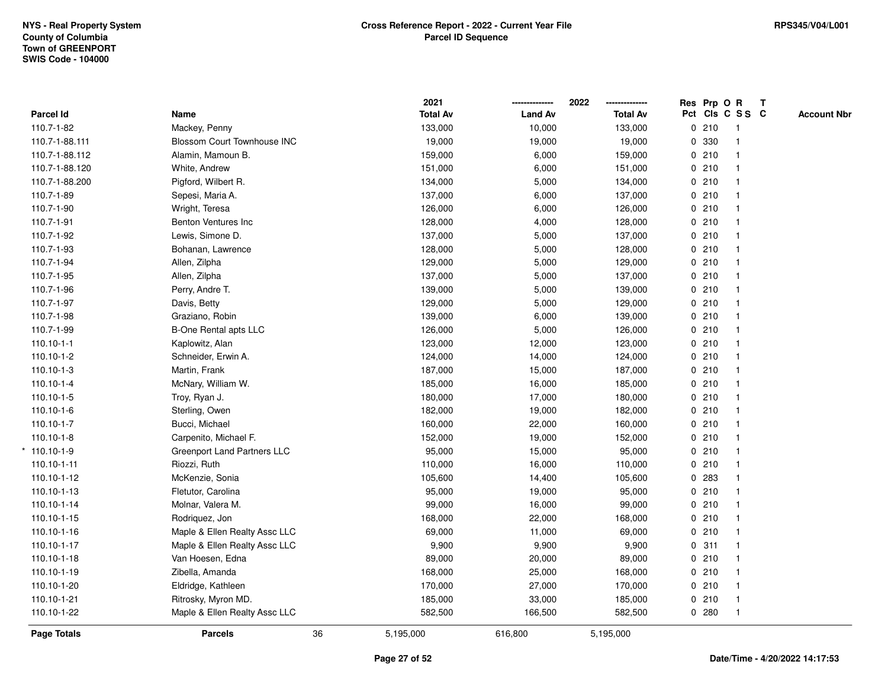|                  |                                    |    | 2021            |                | 2022            | Res Prp O R |                         | $\mathbf{T}$ |                    |
|------------------|------------------------------------|----|-----------------|----------------|-----------------|-------------|-------------------------|--------------|--------------------|
| Parcel Id        | Name                               |    | <b>Total Av</b> | <b>Land Av</b> | <b>Total Av</b> |             | Pct Cls C S S C         |              | <b>Account Nbr</b> |
| 110.7-1-82       | Mackey, Penny                      |    | 133,000         | 10,000         | 133,000         | 0210        | $\overline{1}$          |              |                    |
| 110.7-1-88.111   | <b>Blossom Court Townhouse INC</b> |    | 19,000          | 19,000         | 19,000          | 0 330       | $\mathbf{1}$            |              |                    |
| 110.7-1-88.112   | Alamin, Mamoun B.                  |    | 159,000         | 6,000          | 159,000         | 0210        | $\mathbf{1}$            |              |                    |
| 110.7-1-88.120   | White, Andrew                      |    | 151,000         | 6,000          | 151,000         | 0210        |                         |              |                    |
| 110.7-1-88.200   | Pigford, Wilbert R.                |    | 134,000         | 5,000          | 134,000         | 0210        |                         |              |                    |
| 110.7-1-89       | Sepesi, Maria A.                   |    | 137,000         | 6,000          | 137,000         | 0210        |                         |              |                    |
| 110.7-1-90       | Wright, Teresa                     |    | 126,000         | 6,000          | 126,000         | 0210        |                         |              |                    |
| 110.7-1-91       | Benton Ventures Inc                |    | 128,000         | 4,000          | 128,000         | 0210        | $\overline{1}$          |              |                    |
| 110.7-1-92       | Lewis, Simone D.                   |    | 137,000         | 5,000          | 137,000         | 0210        | $\mathbf{1}$            |              |                    |
| 110.7-1-93       | Bohanan, Lawrence                  |    | 128,000         | 5,000          | 128,000         | 0210        | $\mathbf{1}$            |              |                    |
| 110.7-1-94       | Allen, Zilpha                      |    | 129,000         | 5,000          | 129,000         | 0210        |                         |              |                    |
| 110.7-1-95       | Allen, Zilpha                      |    | 137,000         | 5,000          | 137,000         | 0210        |                         |              |                    |
| 110.7-1-96       | Perry, Andre T.                    |    | 139,000         | 5,000          | 139,000         | 0210        |                         |              |                    |
| 110.7-1-97       | Davis, Betty                       |    | 129,000         | 5,000          | 129,000         | 0210        |                         |              |                    |
| 110.7-1-98       | Graziano, Robin                    |    | 139,000         | 6,000          | 139,000         | 0210        | $\overline{\mathbf{1}}$ |              |                    |
| 110.7-1-99       | B-One Rental apts LLC              |    | 126,000         | 5,000          | 126,000         | 0210        | $\mathbf{1}$            |              |                    |
| $110.10 - 1 - 1$ | Kaplowitz, Alan                    |    | 123,000         | 12,000         | 123,000         | 0210        | $\mathbf{1}$            |              |                    |
| 110.10-1-2       | Schneider, Erwin A.                |    | 124,000         | 14,000         | 124,000         | 0210        |                         |              |                    |
| $110.10 - 1 - 3$ | Martin, Frank                      |    | 187,000         | 15,000         | 187,000         | 0210        |                         |              |                    |
| 110.10-1-4       | McNary, William W.                 |    | 185,000         | 16,000         | 185,000         | 0210        |                         |              |                    |
| 110.10-1-5       | Troy, Ryan J.                      |    | 180,000         | 17,000         | 180,000         | 0210        |                         |              |                    |
| 110.10-1-6       | Sterling, Owen                     |    | 182,000         | 19,000         | 182,000         | 0210        | $\overline{\mathbf{1}}$ |              |                    |
| 110.10-1-7       | Bucci, Michael                     |    | 160,000         | 22,000         | 160,000         | 0210        |                         |              |                    |
| $110.10 - 1 - 8$ | Carpenito, Michael F.              |    | 152,000         | 19,000         | 152,000         | 0210        | $\mathbf{1}$            |              |                    |
| $*110.10-1-9$    | Greenport Land Partners LLC        |    | 95,000          | 15,000         | 95,000          | 0210        |                         |              |                    |
| 110.10-1-11      | Riozzi, Ruth                       |    | 110,000         | 16,000         | 110,000         | 0210        |                         |              |                    |
| 110.10-1-12      | McKenzie, Sonia                    |    | 105,600         | 14,400         | 105,600         | 0.283       |                         |              |                    |
| 110.10-1-13      | Fletutor, Carolina                 |    | 95,000          | 19,000         | 95,000          | 0210        |                         |              |                    |
| 110.10-1-14      | Molnar, Valera M.                  |    | 99,000          | 16,000         | 99,000          | 0210        |                         |              |                    |
| 110.10-1-15      | Rodriquez, Jon                     |    | 168,000         | 22,000         | 168,000         | 0210        | $\overline{1}$          |              |                    |
| 110.10-1-16      | Maple & Ellen Realty Assc LLC      |    | 69,000          | 11,000         | 69,000          | 0210        | $\mathbf{1}$            |              |                    |
| 110.10-1-17      | Maple & Ellen Realty Assc LLC      |    | 9,900           | 9,900          | 9,900           | 0.311       | $\mathbf{1}$            |              |                    |
| 110.10-1-18      | Van Hoesen, Edna                   |    | 89,000          | 20,000         | 89,000          | 0210        |                         |              |                    |
| 110.10-1-19      | Zibella, Amanda                    |    | 168,000         | 25,000         | 168,000         | 0210        |                         |              |                    |
| 110.10-1-20      | Eldridge, Kathleen                 |    | 170,000         | 27,000         | 170,000         | 0210        |                         |              |                    |
| 110.10-1-21      | Ritrosky, Myron MD.                |    | 185,000         | 33,000         | 185,000         | 0210        | $\mathbf{1}$            |              |                    |
| 110.10-1-22      | Maple & Ellen Realty Assc LLC      |    | 582,500         | 166,500        | 582,500         | 0.280       | $\mathbf{1}$            |              |                    |
| Page Totals      | <b>Parcels</b>                     | 36 | 5,195,000       | 616,800        | 5,195,000       |             |                         |              |                    |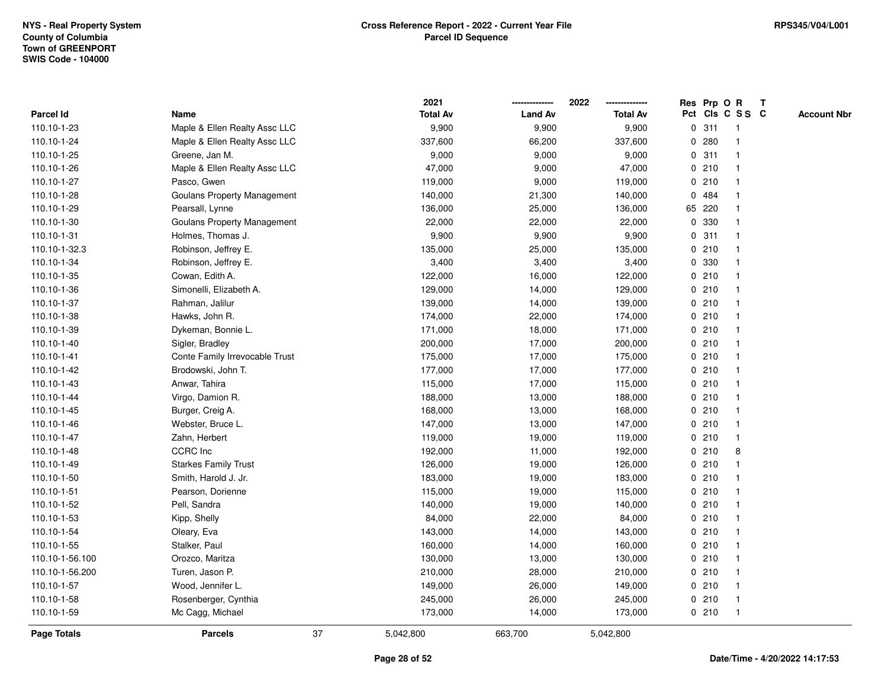|                 |                                |    | 2021            |                | 2022            |   |        | Res Prp O R     | T |                    |
|-----------------|--------------------------------|----|-----------------|----------------|-----------------|---|--------|-----------------|---|--------------------|
| Parcel Id       | Name                           |    | <b>Total Av</b> | <b>Land Av</b> | <b>Total Av</b> |   |        | Pct Cls C S S C |   | <b>Account Nbr</b> |
| 110.10-1-23     | Maple & Ellen Realty Assc LLC  |    | 9,900           | 9,900          | 9,900           | 0 | 311    | $\mathbf{1}$    |   |                    |
| 110.10-1-24     | Maple & Ellen Realty Assc LLC  |    | 337,600         | 66,200         | 337,600         | 0 | 280    |                 |   |                    |
| 110.10-1-25     | Greene, Jan M.                 |    | 9,000           | 9,000          | 9,000           |   | 0.311  | $\mathbf 1$     |   |                    |
| 110.10-1-26     | Maple & Ellen Realty Assc LLC  |    | 47,000          | 9,000          | 47,000          |   | 0210   |                 |   |                    |
| 110.10-1-27     | Pasco, Gwen                    |    | 119,000         | 9,000          | 119,000         |   | 0210   |                 |   |                    |
| 110.10-1-28     | Goulans Property Management    |    | 140,000         | 21,300         | 140,000         |   | 0 484  |                 |   |                    |
| 110.10-1-29     | Pearsall, Lynne                |    | 136,000         | 25,000         | 136,000         |   | 65 220 |                 |   |                    |
| 110.10-1-30     | Goulans Property Management    |    | 22,000          | 22,000         | 22,000          | 0 | 330    |                 |   |                    |
| 110.10-1-31     | Holmes, Thomas J.              |    | 9,900           | 9,900          | 9,900           | 0 | 311    |                 |   |                    |
| 110.10-1-32.3   | Robinson, Jeffrey E.           |    | 135,000         | 25,000         | 135,000         |   | 0210   |                 |   |                    |
| 110.10-1-34     | Robinson, Jeffrey E.           |    | 3,400           | 3,400          | 3,400           |   | 0 330  |                 |   |                    |
| 110.10-1-35     | Cowan, Edith A.                |    | 122,000         | 16,000         | 122,000         |   | 0210   |                 |   |                    |
| 110.10-1-36     | Simonelli, Elizabeth A.        |    | 129,000         | 14,000         | 129,000         |   | 0210   |                 |   |                    |
| 110.10-1-37     | Rahman, Jalilur                |    | 139,000         | 14,000         | 139,000         |   | 0210   |                 |   |                    |
| 110.10-1-38     | Hawks, John R.                 |    | 174,000         | 22,000         | 174,000         |   | 0210   |                 |   |                    |
| 110.10-1-39     | Dykeman, Bonnie L.             |    | 171,000         | 18,000         | 171,000         |   | 0210   | $\mathbf{1}$    |   |                    |
| 110.10-1-40     | Sigler, Bradley                |    | 200,000         | 17,000         | 200,000         |   | 0210   | $\mathbf{1}$    |   |                    |
| 110.10-1-41     | Conte Family Irrevocable Trust |    | 175,000         | 17,000         | 175,000         |   | 0210   |                 |   |                    |
| 110.10-1-42     | Brodowski, John T.             |    | 177,000         | 17,000         | 177,000         |   | 0210   |                 |   |                    |
| 110.10-1-43     | Anwar, Tahira                  |    | 115,000         | 17,000         | 115,000         |   | 0210   |                 |   |                    |
| 110.10-1-44     | Virgo, Damion R.               |    | 188,000         | 13,000         | 188,000         |   | 0210   |                 |   |                    |
| 110.10-1-45     | Burger, Creig A.               |    | 168,000         | 13,000         | 168,000         |   | 0210   |                 |   |                    |
| 110.10-1-46     | Webster, Bruce L.              |    | 147,000         | 13,000         | 147,000         |   | 0210   | $\mathbf 1$     |   |                    |
| 110.10-1-47     | Zahn, Herbert                  |    | 119,000         | 19,000         | 119,000         |   | 0210   | $\overline{1}$  |   |                    |
| 110.10-1-48     | CCRC Inc                       |    | 192,000         | 11,000         | 192,000         |   | 0210   | 8               |   |                    |
| 110.10-1-49     | <b>Starkes Family Trust</b>    |    | 126,000         | 19,000         | 126,000         |   | 0210   |                 |   |                    |
| 110.10-1-50     | Smith, Harold J. Jr.           |    | 183,000         | 19,000         | 183,000         |   | 0210   |                 |   |                    |
| 110.10-1-51     | Pearson, Dorienne              |    | 115,000         | 19,000         | 115,000         |   | 0210   |                 |   |                    |
| 110.10-1-52     | Pell, Sandra                   |    | 140,000         | 19,000         | 140,000         |   | 0210   |                 |   |                    |
| 110.10-1-53     | Kipp, Shelly                   |    | 84,000          | 22,000         | 84,000          | 0 | 210    |                 |   |                    |
| 110.10-1-54     | Oleary, Eva                    |    | 143,000         | 14,000         | 143,000         |   | 0210   |                 |   |                    |
| 110.10-1-55     | Stalker, Paul                  |    | 160,000         | 14,000         | 160,000         |   | 0210   | -1              |   |                    |
| 110.10-1-56.100 | Orozco, Maritza                |    | 130,000         | 13,000         | 130,000         |   | 0210   |                 |   |                    |
| 110.10-1-56.200 | Turen, Jason P.                |    | 210,000         | 28,000         | 210,000         |   | 0210   |                 |   |                    |
| 110.10-1-57     | Wood, Jennifer L.              |    | 149,000         | 26,000         | 149,000         |   | 0210   |                 |   |                    |
| 110.10-1-58     | Rosenberger, Cynthia           |    | 245,000         | 26,000         | 245,000         |   | 0210   | $\mathbf{1}$    |   |                    |
| 110.10-1-59     | Mc Cagg, Michael               |    | 173,000         | 14,000         | 173,000         |   | 0210   | $\overline{1}$  |   |                    |
| Page Totals     | <b>Parcels</b>                 | 37 | 5,042,800       | 663,700        | 5,042,800       |   |        |                 |   |                    |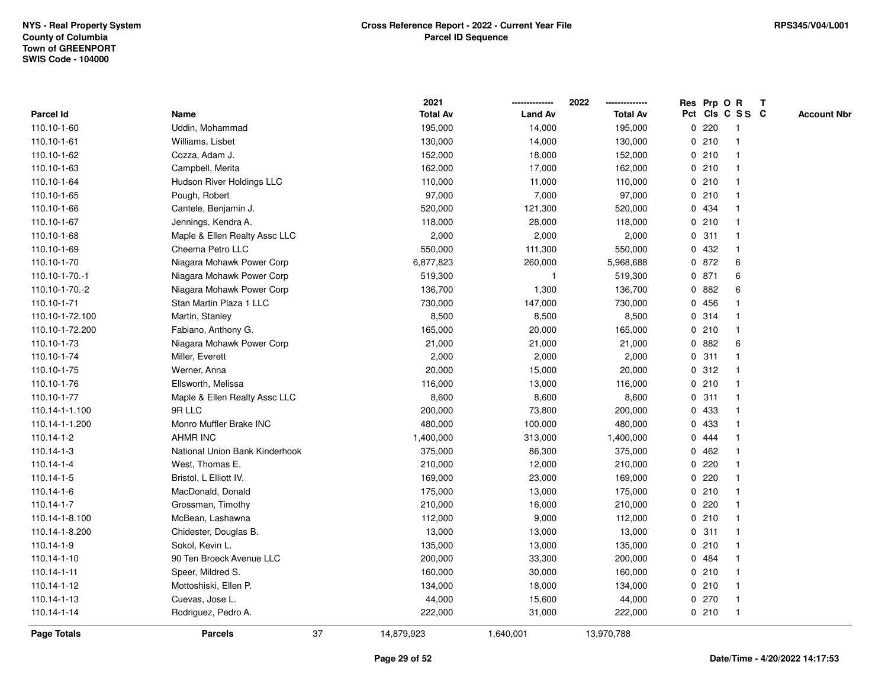|                    |                                |    | 2021            |                | 2022            |             |       | Res Prp O R     | T |                    |
|--------------------|--------------------------------|----|-----------------|----------------|-----------------|-------------|-------|-----------------|---|--------------------|
| <b>Parcel Id</b>   | Name                           |    | <b>Total Av</b> | <b>Land Av</b> | <b>Total Av</b> |             |       | Pct Cls C S S C |   | <b>Account Nbr</b> |
| 110.10-1-60        | Uddin, Mohammad                |    | 195,000         | 14,000         | 195,000         | 0           | 220   | -1              |   |                    |
| 110.10-1-61        | Williams, Lisbet               |    | 130,000         | 14,000         | 130,000         | 0           | 210   | -1              |   |                    |
| 110.10-1-62        | Cozza, Adam J.                 |    | 152,000         | 18,000         | 152,000         |             | 0210  | -1              |   |                    |
| 110.10-1-63        | Campbell, Merita               |    | 162,000         | 17,000         | 162,000         |             | 0210  |                 |   |                    |
| 110.10-1-64        | Hudson River Holdings LLC      |    | 110,000         | 11,000         | 110,000         |             | 0210  |                 |   |                    |
| 110.10-1-65        | Pough, Robert                  |    | 97,000          | 7,000          | 97,000          |             | 0210  |                 |   |                    |
| 110.10-1-66        | Cantele, Benjamin J.           |    | 520,000         | 121,300        | 520,000         |             | 0 434 |                 |   |                    |
| 110.10-1-67        | Jennings, Kendra A.            |    | 118,000         | 28,000         | 118,000         | 0           | 210   |                 |   |                    |
| 110.10-1-68        | Maple & Ellen Realty Assc LLC  |    | 2,000           | 2,000          | 2,000           |             | 0.311 | -1              |   |                    |
| 110.10-1-69        | Cheema Petro LLC               |    | 550,000         | 111,300        | 550,000         |             | 0 432 | -1              |   |                    |
| 110.10-1-70        | Niagara Mohawk Power Corp      |    | 6,877,823       | 260,000        | 5,968,688       |             | 0 872 | 6               |   |                    |
| 110.10-1-70.-1     | Niagara Mohawk Power Corp      |    | 519,300         | $\overline{1}$ | 519,300         |             | 0 871 | 6               |   |                    |
| 110.10-1-70.-2     | Niagara Mohawk Power Corp      |    | 136,700         | 1,300          | 136,700         |             | 0 882 | 6               |   |                    |
| 110.10-1-71        | Stan Martin Plaza 1 LLC        |    | 730,000         | 147,000        | 730,000         |             | 0 456 |                 |   |                    |
| 110.10-1-72.100    | Martin, Stanley                |    | 8,500           | 8,500          | 8,500           | $\mathbf 0$ | 314   |                 |   |                    |
| 110.10-1-72.200    | Fabiano, Anthony G.            |    | 165,000         | 20,000         | 165,000         | 0           | 210   | $\mathbf{1}$    |   |                    |
| 110.10-1-73        | Niagara Mohawk Power Corp      |    | 21,000          | 21,000         | 21,000          |             | 0 882 | 6               |   |                    |
| 110.10-1-74        | Miller, Everett                |    | 2,000           | 2,000          | 2,000           |             | 0.311 |                 |   |                    |
| 110.10-1-75        | Werner, Anna                   |    | 20,000          | 15,000         | 20,000          |             | 0.312 |                 |   |                    |
| 110.10-1-76        | Ellsworth, Melissa             |    | 116,000         | 13,000         | 116,000         |             | 0210  |                 |   |                    |
| 110.10-1-77        | Maple & Ellen Realty Assc LLC  |    | 8,600           | 8,600          | 8,600           |             | 0.311 |                 |   |                    |
| 110.14-1-1.100     | 9R LLC                         |    | 200,000         | 73,800         | 200,000         | 0           | 433   |                 |   |                    |
| 110.14-1-1.200     | Monro Muffler Brake INC        |    | 480,000         | 100,000        | 480,000         | 0           | 433   | -1              |   |                    |
| 110.14-1-2         | <b>AHMR INC</b>                |    | 1,400,000       | 313,000        | 1,400,000       | $\mathbf 0$ | 444   |                 |   |                    |
| $110.14 - 1 - 3$   | National Union Bank Kinderhook |    | 375,000         | 86,300         | 375,000         |             | 0462  |                 |   |                    |
| 110.14-1-4         | West, Thomas E.                |    | 210,000         | 12,000         | 210,000         |             | 0220  |                 |   |                    |
| 110.14-1-5         | Bristol, L Elliott IV.         |    | 169,000         | 23,000         | 169,000         |             | 0.220 |                 |   |                    |
| 110.14-1-6         | MacDonald, Donald              |    | 175,000         | 13,000         | 175,000         |             | 0210  |                 |   |                    |
| 110.14-1-7         | Grossman, Timothy              |    | 210,000         | 16,000         | 210,000         |             | 0220  |                 |   |                    |
| 110.14-1-8.100     | McBean, Lashawna               |    | 112,000         | 9,000          | 112,000         | 0           | 210   |                 |   |                    |
| 110.14-1-8.200     | Chidester, Douglas B.          |    | 13,000          | 13,000         | 13,000          | 0           | 311   | -1              |   |                    |
| 110.14-1-9         | Sokol, Kevin L.                |    | 135,000         | 13,000         | 135,000         |             | 0210  | -1              |   |                    |
| 110.14-1-10        | 90 Ten Broeck Avenue LLC       |    | 200,000         | 33,300         | 200,000         |             | 0 484 |                 |   |                    |
| 110.14-1-11        | Speer, Mildred S.              |    | 160,000         | 30,000         | 160,000         |             | 0210  |                 |   |                    |
| 110.14-1-12        | Mottoshiski, Ellen P.          |    | 134,000         | 18,000         | 134,000         |             | 0210  |                 |   |                    |
| 110.14-1-13        | Cuevas, Jose L.                |    | 44,000          | 15,600         | 44,000          |             | 0270  |                 |   |                    |
| 110.14-1-14        | Rodriguez, Pedro A.            |    | 222,000         | 31,000         | 222,000         |             | 0210  | $\overline{1}$  |   |                    |
| <b>Page Totals</b> | <b>Parcels</b>                 | 37 | 14,879,923      | 1,640,001      | 13,970,788      |             |       |                 |   |                    |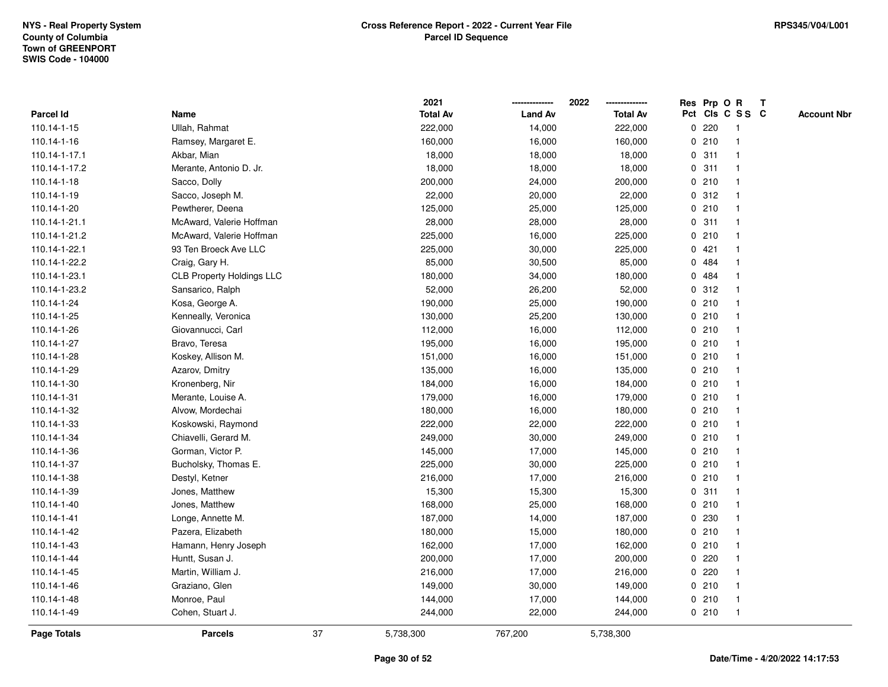|               |                                  |    | 2021            |                | 2022            |             |         | Res Prp O R             | T |                    |
|---------------|----------------------------------|----|-----------------|----------------|-----------------|-------------|---------|-------------------------|---|--------------------|
| Parcel Id     | Name                             |    | <b>Total Av</b> | <b>Land Av</b> | <b>Total Av</b> |             |         | Pct Cls C S S C         |   | <b>Account Nbr</b> |
| 110.14-1-15   | Ullah, Rahmat                    |    | 222,000         | 14,000         | 222,000         | 0           | 220     | $\mathbf{1}$            |   |                    |
| 110.14-1-16   | Ramsey, Margaret E.              |    | 160,000         | 16,000         | 160,000         | 0           | 210     | $\mathbf{1}$            |   |                    |
| 110.14-1-17.1 | Akbar, Mian                      |    | 18,000          | 18,000         | 18,000          |             | 0.311   | $\mathbf{1}$            |   |                    |
| 110.14-1-17.2 | Merante, Antonio D. Jr.          |    | 18,000          | 18,000         | 18,000          |             | 0.311   |                         |   |                    |
| 110.14-1-18   | Sacco, Dolly                     |    | 200,000         | 24,000         | 200,000         |             | 0210    |                         |   |                    |
| 110.14-1-19   | Sacco, Joseph M.                 |    | 22,000          | 20,000         | 22,000          |             | 0.312   |                         |   |                    |
| 110.14-1-20   | Pewtherer, Deena                 |    | 125,000         | 25,000         | 125,000         |             | 0210    |                         |   |                    |
| 110.14-1-21.1 | McAward, Valerie Hoffman         |    | 28,000          | 28,000         | 28,000          | 0           | 311     | $\overline{\mathbf{1}}$ |   |                    |
| 110.14-1-21.2 | McAward, Valerie Hoffman         |    | 225,000         | 16,000         | 225,000         |             | 0210    | -1                      |   |                    |
| 110.14-1-22.1 | 93 Ten Broeck Ave LLC            |    | 225,000         | 30,000         | 225,000         |             | 0421    | -1                      |   |                    |
| 110.14-1-22.2 | Craig, Gary H.                   |    | 85,000          | 30,500         | 85,000          |             | 0 484   |                         |   |                    |
| 110.14-1-23.1 | <b>CLB Property Holdings LLC</b> |    | 180,000         | 34,000         | 180,000         |             | 0 484   |                         |   |                    |
| 110.14-1-23.2 | Sansarico, Ralph                 |    | 52,000          | 26,200         | 52,000          |             | 0.312   |                         |   |                    |
| 110.14-1-24   | Kosa, George A.                  |    | 190,000         | 25,000         | 190,000         |             | 0210    |                         |   |                    |
| 110.14-1-25   | Kenneally, Veronica              |    | 130,000         | 25,200         | 130,000         | $\mathbf 0$ | 210     |                         |   |                    |
| 110.14-1-26   | Giovannucci, Carl                |    | 112,000         | 16,000         | 112,000         |             | 0210    | $\mathbf{1}$            |   |                    |
| 110.14-1-27   | Bravo, Teresa                    |    | 195,000         | 16,000         | 195,000         |             | 0210    | $\mathbf{1}$            |   |                    |
| 110.14-1-28   | Koskey, Allison M.               |    | 151,000         | 16,000         | 151,000         |             | 0210    |                         |   |                    |
| 110.14-1-29   | Azarov, Dmitry                   |    | 135,000         | 16,000         | 135,000         |             | 0210    |                         |   |                    |
| 110.14-1-30   | Kronenberg, Nir                  |    | 184,000         | 16,000         | 184,000         |             | 0210    |                         |   |                    |
| 110.14-1-31   | Merante, Louise A.               |    | 179,000         | 16,000         | 179,000         |             | 0210    |                         |   |                    |
| 110.14-1-32   | Alvow, Mordechai                 |    | 180,000         | 16,000         | 180,000         |             | 0210    |                         |   |                    |
| 110.14-1-33   | Koskowski, Raymond               |    | 222,000         | 22,000         | 222,000         |             | 0210    | $\mathbf{1}$            |   |                    |
| 110.14-1-34   | Chiavelli, Gerard M.             |    | 249,000         | 30,000         | 249,000         |             | 0210    | $\overline{\mathbf{1}}$ |   |                    |
| 110.14-1-36   | Gorman, Victor P.                |    | 145,000         | 17,000         | 145,000         |             | 0210    |                         |   |                    |
| 110.14-1-37   | Bucholsky, Thomas E.             |    | 225,000         | 30,000         | 225,000         |             | 0210    |                         |   |                    |
| 110.14-1-38   | Destyl, Ketner                   |    | 216,000         | 17,000         | 216,000         |             | 0210    |                         |   |                    |
| 110.14-1-39   | Jones, Matthew                   |    | 15,300          | 15,300         | 15,300          |             | 0.311   |                         |   |                    |
| 110.14-1-40   | Jones, Matthew                   |    | 168,000         | 25,000         | 168,000         |             | 0210    |                         |   |                    |
| 110.14-1-41   | Longe, Annette M.                |    | 187,000         | 14,000         | 187,000         | 0           | 230     |                         |   |                    |
| 110.14-1-42   | Pazera, Elizabeth                |    | 180,000         | 15,000         | 180,000         |             | 0210    | -1                      |   |                    |
| 110.14-1-43   | Hamann, Henry Joseph             |    | 162,000         | 17,000         | 162,000         |             | 0210    | $\mathbf 1$             |   |                    |
| 110.14-1-44   | Huntt, Susan J.                  |    | 200,000         | 17,000         | 200,000         |             | 0.220   |                         |   |                    |
| 110.14-1-45   | Martin, William J.               |    | 216,000         | 17,000         | 216,000         |             | $0$ 220 |                         |   |                    |
| 110.14-1-46   | Graziano, Glen                   |    | 149,000         | 30,000         | 149,000         |             | 0210    | -1                      |   |                    |
| 110.14-1-48   | Monroe, Paul                     |    | 144,000         | 17,000         | 144,000         |             | 0210    | -1                      |   |                    |
| 110.14-1-49   | Cohen, Stuart J.                 |    | 244,000         | 22,000         | 244,000         |             | 0210    | $\mathbf{1}$            |   |                    |
| Page Totals   | <b>Parcels</b>                   | 37 | 5,738,300       | 767,200        | 5,738,300       |             |         |                         |   |                    |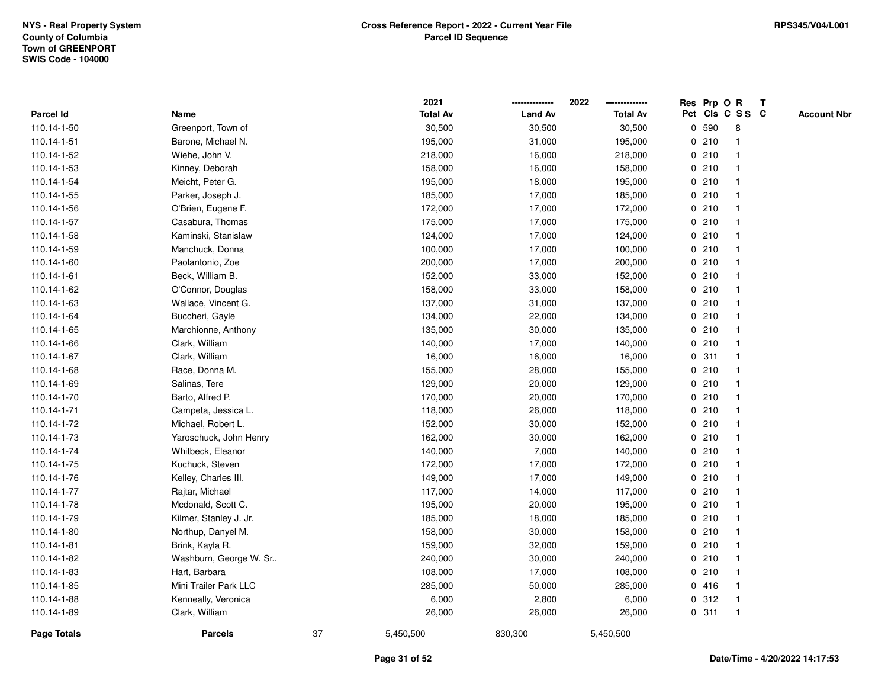|             |                        |    | 2021            |                | 2022            |       | Res Prp O R     | Т |                    |
|-------------|------------------------|----|-----------------|----------------|-----------------|-------|-----------------|---|--------------------|
| Parcel Id   | Name                   |    | <b>Total Av</b> | <b>Land Av</b> | <b>Total Av</b> |       | Pct Cls C S S C |   | <b>Account Nbr</b> |
| 110.14-1-50 | Greenport, Town of     |    | 30,500          | 30,500         | 30,500          | 0 590 | 8               |   |                    |
| 110.14-1-51 | Barone, Michael N.     |    | 195,000         | 31,000         | 195,000         | 0210  | $\mathbf{1}$    |   |                    |
| 110.14-1-52 | Wiehe, John V.         |    | 218,000         | 16,000         | 218,000         | 0210  | $\mathbf{1}$    |   |                    |
| 110.14-1-53 | Kinney, Deborah        |    | 158,000         | 16,000         | 158,000         | 0210  | $\mathbf{1}$    |   |                    |
| 110.14-1-54 | Meicht, Peter G.       |    | 195,000         | 18,000         | 195,000         | 0210  | 1               |   |                    |
| 110.14-1-55 | Parker, Joseph J.      |    | 185,000         | 17,000         | 185,000         | 0210  | $\mathbf{1}$    |   |                    |
| 110.14-1-56 | O'Brien, Eugene F.     |    | 172,000         | 17,000         | 172,000         | 0210  | $\mathbf{1}$    |   |                    |
| 110.14-1-57 | Casabura, Thomas       |    | 175,000         | 17,000         | 175,000         | 0210  | $\mathbf{1}$    |   |                    |
| 110.14-1-58 | Kaminski, Stanislaw    |    | 124,000         | 17,000         | 124,000         | 0210  | $\mathbf{1}$    |   |                    |
| 110.14-1-59 | Manchuck, Donna        |    | 100,000         | 17,000         | 100,000         | 0210  | $\mathbf{1}$    |   |                    |
| 110.14-1-60 | Paolantonio, Zoe       |    | 200,000         | 17,000         | 200,000         | 0210  | $\mathbf{1}$    |   |                    |
| 110.14-1-61 | Beck, William B.       |    | 152,000         | 33,000         | 152,000         | 0210  | $\mathbf{1}$    |   |                    |
| 110.14-1-62 | O'Connor, Douglas      |    | 158,000         | 33,000         | 158,000         | 0210  | 1               |   |                    |
| 110.14-1-63 | Wallace, Vincent G.    |    | 137,000         | 31,000         | 137,000         | 0210  | $\mathbf{1}$    |   |                    |
| 110.14-1-64 | Buccheri, Gayle        |    | 134,000         | 22,000         | 134,000         | 0210  | $\mathbf{1}$    |   |                    |
| 110.14-1-65 | Marchionne, Anthony    |    | 135,000         | 30,000         | 135,000         | 0210  | $\mathbf{1}$    |   |                    |
| 110.14-1-66 | Clark, William         |    | 140,000         | 17,000         | 140,000         | 0210  | $\mathbf{1}$    |   |                    |
| 110.14-1-67 | Clark, William         |    | 16,000          | 16,000         | 16,000          | 0.311 | -1              |   |                    |
| 110.14-1-68 | Race, Donna M.         |    | 155,000         | 28,000         | 155,000         | 0210  | 1               |   |                    |
| 110.14-1-69 | Salinas, Tere          |    | 129,000         | 20,000         | 129,000         | 0210  | $\mathbf{1}$    |   |                    |
| 110.14-1-70 | Barto, Alfred P.       |    | 170,000         | 20,000         | 170,000         | 0210  | $\mathbf{1}$    |   |                    |
| 110.14-1-71 | Campeta, Jessica L.    |    | 118,000         | 26,000         | 118,000         | 0210  | $\mathbf{1}$    |   |                    |
| 110.14-1-72 | Michael, Robert L.     |    | 152,000         | 30,000         | 152,000         | 0210  | $\mathbf{1}$    |   |                    |
| 110.14-1-73 | Yaroschuck, John Henry |    | 162,000         | 30,000         | 162,000         | 0210  | $\mathbf{1}$    |   |                    |
| 110.14-1-74 | Whitbeck, Eleanor      |    | 140,000         | 7,000          | 140,000         | 0210  | $\mathbf{1}$    |   |                    |
| 110.14-1-75 | Kuchuck, Steven        |    | 172,000         | 17,000         | 172,000         | 0210  | 1               |   |                    |
| 110.14-1-76 | Kelley, Charles III.   |    | 149,000         | 17,000         | 149,000         | 0210  | 1               |   |                    |
| 110.14-1-77 | Rajtar, Michael        |    | 117,000         | 14,000         | 117,000         | 0210  | $\mathbf{1}$    |   |                    |
| 110.14-1-78 | Mcdonald, Scott C.     |    | 195,000         | 20,000         | 195,000         | 0210  | $\mathbf{1}$    |   |                    |
| 110.14-1-79 | Kilmer, Stanley J. Jr. |    | 185,000         | 18,000         | 185,000         | 0210  | $\mathbf{1}$    |   |                    |
| 110.14-1-80 | Northup, Danyel M.     |    | 158,000         | 30,000         | 158,000         | 0210  | $\mathbf{1}$    |   |                    |
| 110.14-1-81 | Brink, Kayla R.        |    | 159,000         | 32,000         | 159,000         | 0210  | $\mathbf{1}$    |   |                    |
| 110.14-1-82 | Washburn, George W. Sr |    | 240,000         | 30,000         | 240,000         | 0210  | $\mathbf{1}$    |   |                    |
| 110.14-1-83 | Hart, Barbara          |    | 108,000         | 17,000         | 108,000         | 0210  | $\mathbf{1}$    |   |                    |
| 110.14-1-85 | Mini Trailer Park LLC  |    | 285,000         | 50,000         | 285,000         | 0416  | $\mathbf{1}$    |   |                    |
| 110.14-1-88 | Kenneally, Veronica    |    | 6,000           | 2,800          | 6,000           | 0.312 | $\overline{1}$  |   |                    |
| 110.14-1-89 | Clark, William         |    | 26,000          | 26,000         | 26,000          | 0.311 | $\mathbf{1}$    |   |                    |
| Page Totals | <b>Parcels</b>         | 37 | 5,450,500       | 830,300        | 5,450,500       |       |                 |   |                    |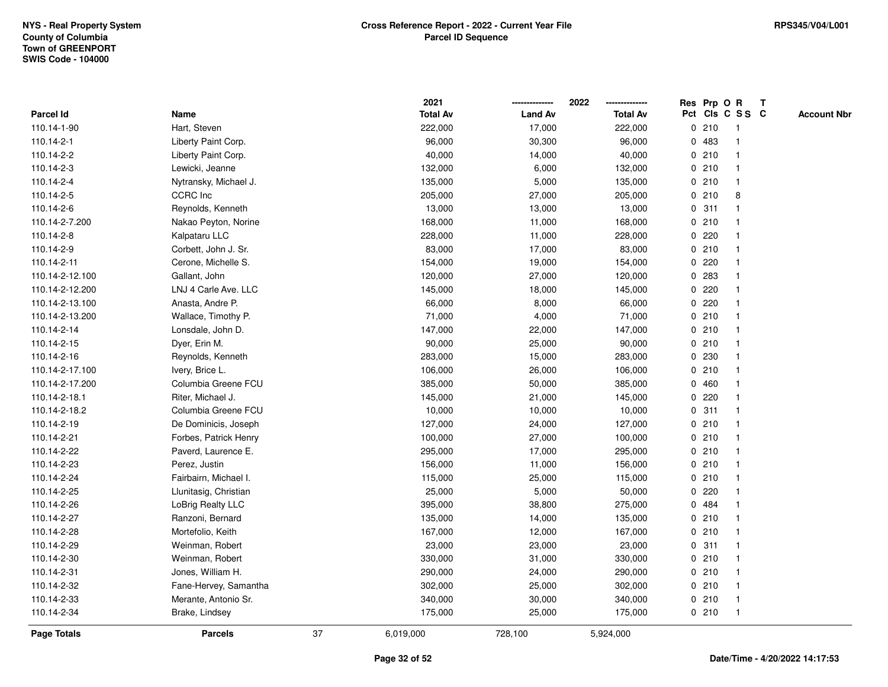|                 |                       |    | 2021            |                | 2022            |             |       | Res Prp O R             | T |                    |
|-----------------|-----------------------|----|-----------------|----------------|-----------------|-------------|-------|-------------------------|---|--------------------|
| Parcel Id       | Name                  |    | <b>Total Av</b> | <b>Land Av</b> | <b>Total Av</b> |             |       | Pct Cls C S S C         |   | <b>Account Nbr</b> |
| 110.14-1-90     | Hart, Steven          |    | 222,000         | 17,000         | 222,000         | 0           | 210   | $\mathbf{1}$            |   |                    |
| 110.14-2-1      | Liberty Paint Corp.   |    | 96,000          | 30,300         | 96,000          |             | 0 483 | -1                      |   |                    |
| 110.14-2-2      | Liberty Paint Corp.   |    | 40,000          | 14,000         | 40,000          |             | 0210  | $\mathbf{1}$            |   |                    |
| 110.14-2-3      | Lewicki, Jeanne       |    | 132,000         | 6,000          | 132,000         |             | 0210  |                         |   |                    |
| 110.14-2-4      | Nytransky, Michael J. |    | 135,000         | 5,000          | 135,000         |             | 0210  |                         |   |                    |
| 110.14-2-5      | <b>CCRC</b> Inc       |    | 205,000         | 27,000         | 205,000         |             | 0210  | 8                       |   |                    |
| 110.14-2-6      | Reynolds, Kenneth     |    | 13,000          | 13,000         | 13,000          |             | 0.311 | $\mathbf{1}$            |   |                    |
| 110.14-2-7.200  | Nakao Peyton, Norine  |    | 168,000         | 11,000         | 168,000         | 0           | 210   |                         |   |                    |
| 110.14-2-8      | Kalpataru LLC         |    | 228,000         | 11,000         | 228,000         | 0           | 220   |                         |   |                    |
| 110.14-2-9      | Corbett, John J. Sr.  |    | 83,000          | 17,000         | 83,000          |             | 0210  | $\mathbf{1}$            |   |                    |
| 110.14-2-11     | Cerone, Michelle S.   |    | 154,000         | 19,000         | 154,000         |             | 0.220 |                         |   |                    |
| 110.14-2-12.100 | Gallant, John         |    | 120,000         | 27,000         | 120,000         |             | 0 283 |                         |   |                    |
| 110.14-2-12.200 | LNJ 4 Carle Ave. LLC  |    | 145,000         | 18,000         | 145,000         |             | 0.220 |                         |   |                    |
| 110.14-2-13.100 | Anasta, Andre P.      |    | 66,000          | 8,000          | 66,000          |             | 0220  |                         |   |                    |
| 110.14-2-13.200 | Wallace, Timothy P.   |    | 71,000          | 4,000          | 71,000          | $\mathbf 0$ | 210   |                         |   |                    |
| 110.14-2-14     | Lonsdale, John D.     |    | 147,000         | 22,000         | 147,000         |             | 0210  | $\mathbf{1}$            |   |                    |
| 110.14-2-15     | Dyer, Erin M.         |    | 90,000          | 25,000         | 90,000          |             | 0210  | $\mathbf{1}$            |   |                    |
| 110.14-2-16     | Reynolds, Kenneth     |    | 283,000         | 15,000         | 283,000         |             | 0 230 |                         |   |                    |
| 110.14-2-17.100 | Ivery, Brice L.       |    | 106,000         | 26,000         | 106,000         |             | 0210  |                         |   |                    |
| 110.14-2-17.200 | Columbia Greene FCU   |    | 385,000         | 50,000         | 385,000         |             | 0460  |                         |   |                    |
| 110.14-2-18.1   | Riter, Michael J.     |    | 145,000         | 21,000         | 145,000         |             | 0220  |                         |   |                    |
| 110.14-2-18.2   | Columbia Greene FCU   |    | 10,000          | 10,000         | 10,000          |             | 0.311 |                         |   |                    |
| 110.14-2-19     | De Dominicis, Joseph  |    | 127,000         | 24,000         | 127,000         | 0           | 210   | $\mathbf{1}$            |   |                    |
| 110.14-2-21     | Forbes, Patrick Henry |    | 100,000         | 27,000         | 100,000         |             | 0210  | $\mathbf{1}$            |   |                    |
| 110.14-2-22     | Paverd, Laurence E.   |    | 295,000         | 17,000         | 295,000         |             | 0210  |                         |   |                    |
| 110.14-2-23     | Perez, Justin         |    | 156,000         | 11,000         | 156,000         |             | 0210  |                         |   |                    |
| 110.14-2-24     | Fairbairn, Michael I. |    | 115,000         | 25,000         | 115,000         |             | 0210  |                         |   |                    |
| 110.14-2-25     | Llunitasig, Christian |    | 25,000          | 5,000          | 50,000          | 0           | 220   |                         |   |                    |
| 110.14-2-26     | LoBrig Realty LLC     |    | 395,000         | 38,800         | 275,000         | $\mathbf 0$ | 484   |                         |   |                    |
| 110.14-2-27     | Ranzoni, Bernard      |    | 135,000         | 14,000         | 135,000         | 0           | 210   | -1                      |   |                    |
| 110.14-2-28     | Mortefolio, Keith     |    | 167,000         | 12,000         | 167,000         | 0           | 210   | $\mathbf{1}$            |   |                    |
| 110.14-2-29     | Weinman, Robert       |    | 23,000          | 23,000         | 23,000          |             | 0.311 | $\mathbf 1$             |   |                    |
| 110.14-2-30     | Weinman, Robert       |    | 330,000         | 31,000         | 330,000         |             | 0210  |                         |   |                    |
| 110.14-2-31     | Jones, William H.     |    | 290,000         | 24,000         | 290,000         |             | 0210  |                         |   |                    |
| 110.14-2-32     | Fane-Hervey, Samantha |    | 302,000         | 25,000         | 302,000         |             | 0210  | $\mathbf{1}$            |   |                    |
| 110.14-2-33     | Merante, Antonio Sr.  |    | 340,000         | 30,000         | 340,000         |             | 0210  | $\overline{\mathbf{1}}$ |   |                    |
| 110.14-2-34     | Brake, Lindsey        |    | 175,000         | 25,000         | 175,000         |             | 0210  | $\mathbf{1}$            |   |                    |
| Page Totals     | <b>Parcels</b>        | 37 | 6,019,000       | 728,100        | 5,924,000       |             |       |                         |   |                    |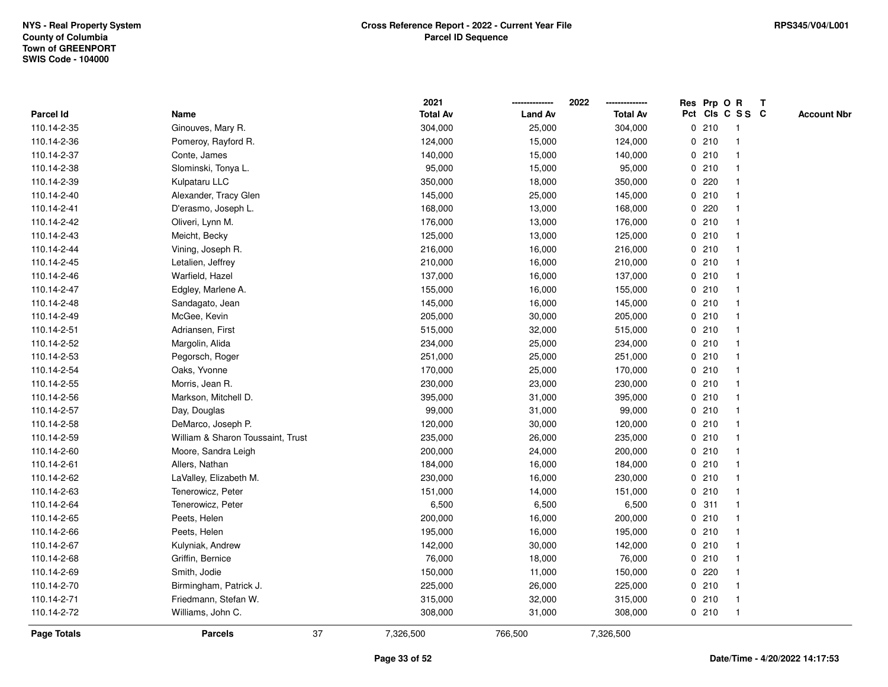|             |                                   |    | 2021            |                | 2022            |   | Res Prp O R |                 | T |                    |
|-------------|-----------------------------------|----|-----------------|----------------|-----------------|---|-------------|-----------------|---|--------------------|
| Parcel Id   | Name                              |    | <b>Total Av</b> | <b>Land Av</b> | <b>Total Av</b> |   |             | Pct Cls C S S C |   | <b>Account Nbr</b> |
| 110.14-2-35 | Ginouves, Mary R.                 |    | 304,000         | 25,000         | 304,000         |   | 0210        | $\mathbf{1}$    |   |                    |
| 110.14-2-36 | Pomeroy, Rayford R.               |    | 124,000         | 15,000         | 124,000         |   | 0210        |                 |   |                    |
| 110.14-2-37 | Conte, James                      |    | 140,000         | 15,000         | 140,000         |   | 0210        |                 |   |                    |
| 110.14-2-38 | Slominski, Tonya L.               |    | 95,000          | 15,000         | 95,000          |   | 0210        |                 |   |                    |
| 110.14-2-39 | Kulpataru LLC                     |    | 350,000         | 18,000         | 350,000         |   | 0.220       |                 |   |                    |
| 110.14-2-40 | Alexander, Tracy Glen             |    | 145,000         | 25,000         | 145,000         |   | 0210        |                 |   |                    |
| 110.14-2-41 | D'erasmo, Joseph L.               |    | 168,000         | 13,000         | 168,000         |   | 0.220       |                 |   |                    |
| 110.14-2-42 | Oliveri, Lynn M.                  |    | 176,000         | 13,000         | 176,000         | 0 | 210         |                 |   |                    |
| 110.14-2-43 | Meicht, Becky                     |    | 125,000         | 13,000         | 125,000         |   | 0210        |                 |   |                    |
| 110.14-2-44 | Vining, Joseph R.                 |    | 216,000         | 16,000         | 216,000         |   | 0210        |                 |   |                    |
| 110.14-2-45 | Letalien, Jeffrey                 |    | 210,000         | 16,000         | 210,000         |   | 0210        |                 |   |                    |
| 110.14-2-46 | Warfield, Hazel                   |    | 137,000         | 16,000         | 137,000         |   | 0210        |                 |   |                    |
| 110.14-2-47 | Edgley, Marlene A.                |    | 155,000         | 16,000         | 155,000         |   | 0210        |                 |   |                    |
| 110.14-2-48 | Sandagato, Jean                   |    | 145,000         | 16,000         | 145,000         |   | 0210        |                 |   |                    |
| 110.14-2-49 | McGee, Kevin                      |    | 205,000         | 30,000         | 205,000         |   | 0210        |                 |   |                    |
| 110.14-2-51 | Adriansen, First                  |    | 515,000         | 32,000         | 515,000         |   | 0210        |                 |   |                    |
| 110.14-2-52 | Margolin, Alida                   |    | 234,000         | 25,000         | 234,000         |   | 0210        |                 |   |                    |
| 110.14-2-53 | Pegorsch, Roger                   |    | 251,000         | 25,000         | 251,000         |   | 0210        |                 |   |                    |
| 110.14-2-54 | Oaks, Yvonne                      |    | 170,000         | 25,000         | 170,000         |   | 0210        |                 |   |                    |
| 110.14-2-55 | Morris, Jean R.                   |    | 230,000         | 23,000         | 230,000         |   | 0210        |                 |   |                    |
| 110.14-2-56 | Markson, Mitchell D.              |    | 395,000         | 31,000         | 395,000         |   | 0210        |                 |   |                    |
| 110.14-2-57 | Day, Douglas                      |    | 99,000          | 31,000         | 99,000          |   | 0210        |                 |   |                    |
| 110.14-2-58 | DeMarco, Joseph P.                |    | 120,000         | 30,000         | 120,000         |   | 0210        |                 |   |                    |
| 110.14-2-59 | William & Sharon Toussaint, Trust |    | 235,000         | 26,000         | 235,000         |   | 0210        |                 |   |                    |
| 110.14-2-60 | Moore, Sandra Leigh               |    | 200,000         | 24,000         | 200,000         |   | 0210        |                 |   |                    |
| 110.14-2-61 | Allers, Nathan                    |    | 184,000         | 16,000         | 184,000         |   | 0210        |                 |   |                    |
| 110.14-2-62 | LaValley, Elizabeth M.            |    | 230,000         | 16,000         | 230,000         |   | 0210        |                 |   |                    |
| 110.14-2-63 | Tenerowicz, Peter                 |    | 151,000         | 14,000         | 151,000         |   | 0210        |                 |   |                    |
| 110.14-2-64 | Tenerowicz, Peter                 |    | 6,500           | 6,500          | 6,500           |   | 0.311       |                 |   |                    |
| 110.14-2-65 | Peets, Helen                      |    | 200,000         | 16,000         | 200,000         |   | 0210        |                 |   |                    |
| 110.14-2-66 | Peets, Helen                      |    | 195,000         | 16,000         | 195,000         |   | 0210        |                 |   |                    |
| 110.14-2-67 | Kulyniak, Andrew                  |    | 142,000         | 30,000         | 142,000         |   | 0210        |                 |   |                    |
| 110.14-2-68 | Griffin, Bernice                  |    | 76,000          | 18,000         | 76,000          |   | 0210        |                 |   |                    |
| 110.14-2-69 | Smith, Jodie                      |    | 150,000         | 11,000         | 150,000         |   | 0.220       |                 |   |                    |
| 110.14-2-70 | Birmingham, Patrick J.            |    | 225,000         | 26,000         | 225,000         |   | 0210        |                 |   |                    |
| 110.14-2-71 | Friedmann, Stefan W.              |    | 315,000         | 32,000         | 315,000         |   | 0210        | $\mathbf 1$     |   |                    |
| 110.14-2-72 | Williams, John C.                 |    | 308,000         | 31,000         | 308,000         |   | 0210        | $\mathbf{1}$    |   |                    |
| Page Totals | <b>Parcels</b>                    | 37 | 7,326,500       | 766,500        | 7,326,500       |   |             |                 |   |                    |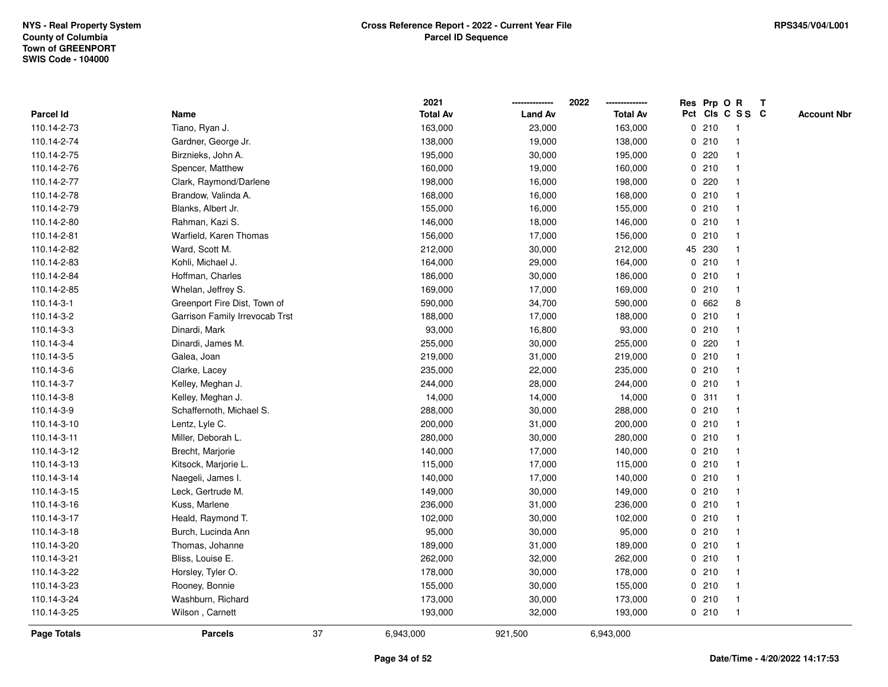|                  |                                |    | 2021            |                | 2022            |   | Res Prp O R |                 | T |                    |
|------------------|--------------------------------|----|-----------------|----------------|-----------------|---|-------------|-----------------|---|--------------------|
| <b>Parcel Id</b> | Name                           |    | <b>Total Av</b> | <b>Land Av</b> | <b>Total Av</b> |   |             | Pct Cls C S S C |   | <b>Account Nbr</b> |
| 110.14-2-73      | Tiano, Ryan J.                 |    | 163,000         | 23,000         | 163,000         | 0 | 210         | $\mathbf{1}$    |   |                    |
| 110.14-2-74      | Gardner, George Jr.            |    | 138,000         | 19,000         | 138,000         |   | 0210        |                 |   |                    |
| 110.14-2-75      | Birznieks, John A.             |    | 195,000         | 30,000         | 195,000         |   | 0.220       |                 |   |                    |
| 110.14-2-76      | Spencer, Matthew               |    | 160,000         | 19,000         | 160,000         |   | 0210        |                 |   |                    |
| 110.14-2-77      | Clark, Raymond/Darlene         |    | 198,000         | 16,000         | 198,000         |   | 0.220       |                 |   |                    |
| 110.14-2-78      | Brandow, Valinda A.            |    | 168,000         | 16,000         | 168,000         |   | 0210        |                 |   |                    |
| 110.14-2-79      | Blanks, Albert Jr.             |    | 155,000         | 16,000         | 155,000         |   | 0210        |                 |   |                    |
| 110.14-2-80      | Rahman, Kazi S.                |    | 146,000         | 18,000         | 146,000         | 0 | 210         |                 |   |                    |
| 110.14-2-81      | Warfield, Karen Thomas         |    | 156,000         | 17,000         | 156,000         | 0 | 210         |                 |   |                    |
| 110.14-2-82      | Ward, Scott M.                 |    | 212,000         | 30,000         | 212,000         |   | 45 230      |                 |   |                    |
| 110.14-2-83      | Kohli, Michael J.              |    | 164,000         | 29,000         | 164,000         |   | 0210        |                 |   |                    |
| 110.14-2-84      | Hoffman, Charles               |    | 186,000         | 30,000         | 186,000         |   | 0210        |                 |   |                    |
| 110.14-2-85      | Whelan, Jeffrey S.             |    | 169,000         | 17,000         | 169,000         |   | 0210        |                 |   |                    |
| 110.14-3-1       | Greenport Fire Dist, Town of   |    | 590,000         | 34,700         | 590,000         |   | 0 662       | 8               |   |                    |
| 110.14-3-2       | Garrison Family Irrevocab Trst |    | 188,000         | 17,000         | 188,000         | 0 | 210         |                 |   |                    |
| 110.14-3-3       | Dinardi, Mark                  |    | 93,000          | 16,800         | 93,000          | 0 | 210         |                 |   |                    |
| 110.14-3-4       | Dinardi, James M.              |    | 255,000         | 30,000         | 255,000         | 0 | 220         |                 |   |                    |
| 110.14-3-5       | Galea, Joan                    |    | 219,000         | 31,000         | 219,000         |   | 0210        |                 |   |                    |
| 110.14-3-6       | Clarke, Lacey                  |    | 235,000         | 22,000         | 235,000         |   | 0210        |                 |   |                    |
| 110.14-3-7       | Kelley, Meghan J.              |    | 244,000         | 28,000         | 244,000         |   | 0210        |                 |   |                    |
| 110.14-3-8       | Kelley, Meghan J.              |    | 14,000          | 14,000         | 14,000          |   | 0.311       |                 |   |                    |
| 110.14-3-9       | Schaffernoth, Michael S.       |    | 288,000         | 30,000         | 288,000         |   | 0210        |                 |   |                    |
| 110.14-3-10      | Lentz, Lyle C.                 |    | 200,000         | 31,000         | 200,000         |   | 0210        |                 |   |                    |
| 110.14-3-11      | Miller, Deborah L.             |    | 280,000         | 30,000         | 280,000         |   | 0210        |                 |   |                    |
| 110.14-3-12      | Brecht, Marjorie               |    | 140,000         | 17,000         | 140,000         |   | 0210        |                 |   |                    |
| 110.14-3-13      | Kitsock, Marjorie L.           |    | 115,000         | 17,000         | 115,000         |   | 0210        |                 |   |                    |
| 110.14-3-14      | Naegeli, James I.              |    | 140,000         | 17,000         | 140,000         |   | 0210        |                 |   |                    |
| 110.14-3-15      | Leck, Gertrude M.              |    | 149,000         | 30,000         | 149,000         |   | 0210        |                 |   |                    |
| 110.14-3-16      | Kuss, Marlene                  |    | 236,000         | 31,000         | 236,000         |   | 0210        |                 |   |                    |
| 110.14-3-17      | Heald, Raymond T.              |    | 102,000         | 30,000         | 102,000         |   | 0210        |                 |   |                    |
| 110.14-3-18      | Burch, Lucinda Ann             |    | 95,000          | 30,000         | 95,000          |   | 0210        |                 |   |                    |
| 110.14-3-20      | Thomas, Johanne                |    | 189,000         | 31,000         | 189,000         |   | 0210        |                 |   |                    |
| 110.14-3-21      | Bliss, Louise E.               |    | 262,000         | 32,000         | 262,000         |   | 0210        |                 |   |                    |
| 110.14-3-22      | Horsley, Tyler O.              |    | 178,000         | 30,000         | 178,000         |   | 0210        |                 |   |                    |
| 110.14-3-23      | Rooney, Bonnie                 |    | 155,000         | 30,000         | 155,000         |   | 0210        |                 |   |                    |
| 110.14-3-24      | Washburn, Richard              |    | 173,000         | 30,000         | 173,000         |   | 0210        | $\mathbf{1}$    |   |                    |
| 110.14-3-25      | Wilson, Carnett                |    | 193,000         | 32,000         | 193,000         |   | 0210        | $\mathbf{1}$    |   |                    |
| Page Totals      | <b>Parcels</b>                 | 37 | 6,943,000       | 921,500        | 6,943,000       |   |             |                 |   |                    |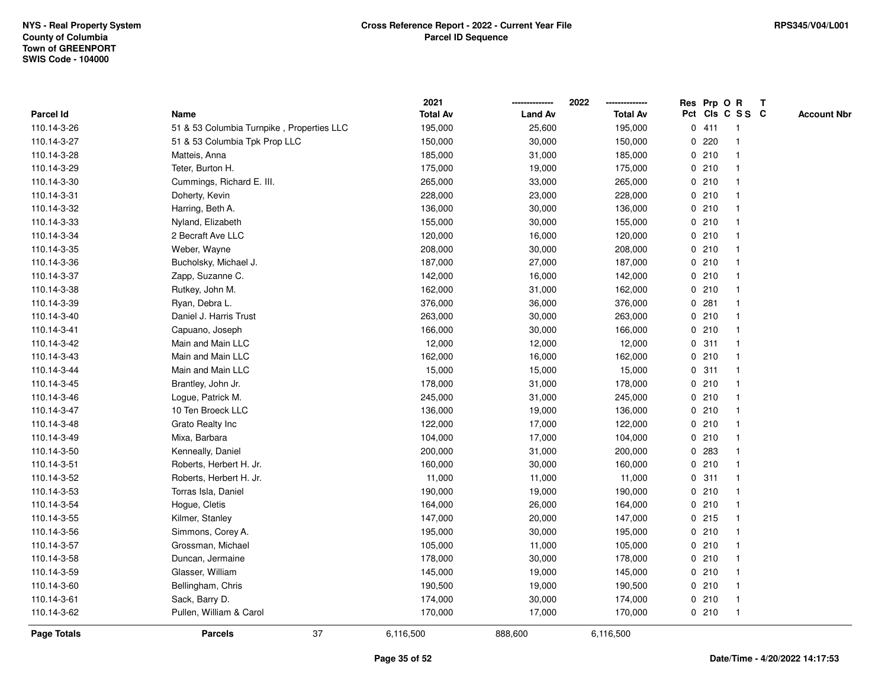|             |                                           |    | 2021            |                | 2022            |              |       | Res Prp O R     | T |                    |
|-------------|-------------------------------------------|----|-----------------|----------------|-----------------|--------------|-------|-----------------|---|--------------------|
| Parcel Id   | Name                                      |    | <b>Total Av</b> | <b>Land Av</b> | <b>Total Av</b> |              |       | Pct Cls C S S C |   | <b>Account Nbr</b> |
| 110.14-3-26 | 51 & 53 Columbia Turnpike, Properties LLC |    | 195,000         | 25,600         | 195,000         |              | 0411  | -1              |   |                    |
| 110.14-3-27 | 51 & 53 Columbia Tpk Prop LLC             |    | 150,000         | 30,000         | 150,000         | 0            | 220   |                 |   |                    |
| 110.14-3-28 | Matteis, Anna                             |    | 185,000         | 31,000         | 185,000         |              | 0210  | $\mathbf{1}$    |   |                    |
| 110.14-3-29 | Teter, Burton H.                          |    | 175,000         | 19,000         | 175,000         |              | 0210  |                 |   |                    |
| 110.14-3-30 | Cummings, Richard E. III.                 |    | 265,000         | 33,000         | 265,000         |              | 0210  |                 |   |                    |
| 110.14-3-31 | Doherty, Kevin                            |    | 228,000         | 23,000         | 228,000         |              | 0210  |                 |   |                    |
| 110.14-3-32 | Harring, Beth A.                          |    | 136,000         | 30,000         | 136,000         |              | 0210  |                 |   |                    |
| 110.14-3-33 | Nyland, Elizabeth                         |    | 155,000         | 30,000         | 155,000         | 0            | 210   | $\overline{1}$  |   |                    |
| 110.14-3-34 | 2 Becraft Ave LLC                         |    | 120,000         | 16,000         | 120,000         |              | 0210  | -1              |   |                    |
| 110.14-3-35 | Weber, Wayne                              |    | 208,000         | 30,000         | 208,000         |              | 0210  | $\mathbf 1$     |   |                    |
| 110.14-3-36 | Bucholsky, Michael J.                     |    | 187,000         | 27,000         | 187,000         |              | 0210  |                 |   |                    |
| 110.14-3-37 | Zapp, Suzanne C.                          |    | 142,000         | 16,000         | 142,000         |              | 0210  |                 |   |                    |
| 110.14-3-38 | Rutkey, John M.                           |    | 162,000         | 31,000         | 162,000         |              | 0210  |                 |   |                    |
| 110.14-3-39 | Ryan, Debra L.                            |    | 376,000         | 36,000         | 376,000         |              | 0.281 |                 |   |                    |
| 110.14-3-40 | Daniel J. Harris Trust                    |    | 263,000         | 30,000         | 263,000         | $\mathbf 0$  | 210   |                 |   |                    |
| 110.14-3-41 | Capuano, Joseph                           |    | 166,000         | 30,000         | 166,000         |              | 0210  | $\overline{1}$  |   |                    |
| 110.14-3-42 | Main and Main LLC                         |    | 12,000          | 12,000         | 12,000          |              | 0.311 | $\mathbf{1}$    |   |                    |
| 110.14-3-43 | Main and Main LLC                         |    | 162,000         | 16,000         | 162,000         |              | 0210  |                 |   |                    |
| 110.14-3-44 | Main and Main LLC                         |    | 15,000          | 15,000         | 15,000          |              | 0.311 |                 |   |                    |
| 110.14-3-45 | Brantley, John Jr.                        |    | 178,000         | 31,000         | 178,000         |              | 0210  |                 |   |                    |
| 110.14-3-46 | Logue, Patrick M.                         |    | 245,000         | 31,000         | 245,000         |              | 0210  |                 |   |                    |
| 110.14-3-47 | 10 Ten Broeck LLC                         |    | 136,000         | 19,000         | 136,000         |              | 0210  |                 |   |                    |
| 110.14-3-48 | Grato Realty Inc                          |    | 122,000         | 17,000         | 122,000         |              | 0210  | $\overline{1}$  |   |                    |
| 110.14-3-49 | Mixa, Barbara                             |    | 104,000         | 17,000         | 104,000         | $\mathbf{0}$ | 210   | $\overline{1}$  |   |                    |
| 110.14-3-50 | Kenneally, Daniel                         |    | 200,000         | 31,000         | 200,000         |              | 0 283 | -1              |   |                    |
| 110.14-3-51 | Roberts, Herbert H. Jr.                   |    | 160,000         | 30,000         | 160,000         |              | 0210  |                 |   |                    |
| 110.14-3-52 | Roberts, Herbert H. Jr.                   |    | 11,000          | 11,000         | 11,000          |              | 0.311 |                 |   |                    |
| 110.14-3-53 | Torras Isla, Daniel                       |    | 190,000         | 19,000         | 190,000         | 0            | 210   |                 |   |                    |
| 110.14-3-54 | Hogue, Cletis                             |    | 164,000         | 26,000         | 164,000         |              | 0210  |                 |   |                    |
| 110.14-3-55 | Kilmer, Stanley                           |    | 147,000         | 20,000         | 147,000         | 0            | 215   | 1               |   |                    |
| 110.14-3-56 | Simmons, Corey A.                         |    | 195,000         | 30,000         | 195,000         | 0            | 210   | -1              |   |                    |
| 110.14-3-57 | Grossman, Michael                         |    | 105,000         | 11,000         | 105,000         |              | 0210  | $\mathbf 1$     |   |                    |
| 110.14-3-58 | Duncan, Jermaine                          |    | 178,000         | 30,000         | 178,000         |              | 0210  |                 |   |                    |
| 110.14-3-59 | Glasser, William                          |    | 145,000         | 19,000         | 145,000         |              | 0210  |                 |   |                    |
| 110.14-3-60 | Bellingham, Chris                         |    | 190,500         | 19,000         | 190,500         |              | 0210  |                 |   |                    |
| 110.14-3-61 | Sack, Barry D.                            |    | 174,000         | 30,000         | 174,000         |              | 0210  | -1              |   |                    |
| 110.14-3-62 | Pullen, William & Carol                   |    | 170,000         | 17,000         | 170,000         |              | 0210  | $\overline{1}$  |   |                    |
| Page Totals | <b>Parcels</b>                            | 37 | 6,116,500       | 888,600        | 6,116,500       |              |       |                 |   |                    |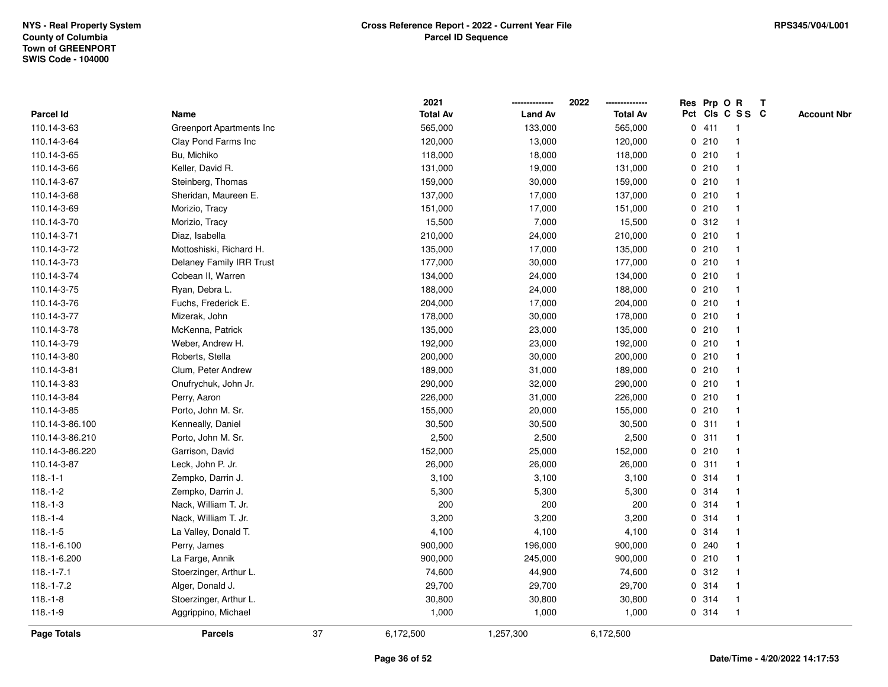|                 |                          |    | 2021            |                | 2022<br>        |             |       | Res Prp O R     | $\mathbf{T}$       |
|-----------------|--------------------------|----|-----------------|----------------|-----------------|-------------|-------|-----------------|--------------------|
| Parcel Id       | Name                     |    | <b>Total Av</b> | <b>Land Av</b> | <b>Total Av</b> |             |       | Pct Cls C S S C | <b>Account Nbr</b> |
| 110.14-3-63     | Greenport Apartments Inc |    | 565,000         | 133,000        | 565,000         |             | 0411  | $\mathbf{1}$    |                    |
| 110.14-3-64     | Clay Pond Farms Inc      |    | 120,000         | 13,000         | 120,000         | $\mathbf 0$ | 210   |                 |                    |
| 110.14-3-65     | Bu, Michiko              |    | 118,000         | 18,000         | 118,000         |             | 0210  |                 |                    |
| 110.14-3-66     | Keller, David R.         |    | 131,000         | 19,000         | 131,000         | 0           | 210   | -1              |                    |
| 110.14-3-67     | Steinberg, Thomas        |    | 159,000         | 30,000         | 159,000         |             | 0210  | -1              |                    |
| 110.14-3-68     | Sheridan, Maureen E.     |    | 137,000         | 17,000         | 137,000         |             | 0210  | $\mathbf 1$     |                    |
| 110.14-3-69     | Morizio, Tracy           |    | 151,000         | 17,000         | 151,000         |             | 0210  |                 |                    |
| 110.14-3-70     | Morizio, Tracy           |    | 15,500          | 7,000          | 15,500          |             | 0.312 |                 |                    |
| 110.14-3-71     | Diaz, Isabella           |    | 210,000         | 24,000         | 210,000         |             | 0210  |                 |                    |
| 110.14-3-72     | Mottoshiski, Richard H.  |    | 135,000         | 17,000         | 135,000         |             | 0210  |                 |                    |
| 110.14-3-73     | Delaney Family IRR Trust |    | 177,000         | 30,000         | 177,000         | 0           | 210   | $\overline{1}$  |                    |
| 110.14-3-74     | Cobean II, Warren        |    | 134,000         | 24,000         | 134,000         |             | 0210  | $\mathbf 1$     |                    |
| 110.14-3-75     | Ryan, Debra L.           |    | 188,000         | 24,000         | 188,000         |             | 0210  |                 |                    |
| 110.14-3-76     | Fuchs, Frederick E.      |    | 204,000         | 17,000         | 204,000         |             | 0210  |                 |                    |
| 110.14-3-77     | Mizerak, John            |    | 178,000         | 30,000         | 178,000         |             | 0210  |                 |                    |
| 110.14-3-78     | McKenna, Patrick         |    | 135,000         | 23,000         | 135,000         |             | 0210  |                 |                    |
| 110.14-3-79     | Weber, Andrew H.         |    | 192,000         | 23,000         | 192,000         | 0           | 210   | -1              |                    |
| 110.14-3-80     | Roberts, Stella          |    | 200,000         | 30,000         | 200,000         | $\mathbf 0$ | 210   |                 |                    |
| 110.14-3-81     | Clum, Peter Andrew       |    | 189,000         | 31,000         | 189,000         |             | 0210  | -1              |                    |
| 110.14-3-83     | Onufrychuk, John Jr.     |    | 290,000         | 32,000         | 290,000         |             | 0210  |                 |                    |
| 110.14-3-84     | Perry, Aaron             |    | 226,000         | 31,000         | 226,000         |             | 0210  |                 |                    |
| 110.14-3-85     | Porto, John M. Sr.       |    | 155,000         | 20,000         | 155,000         |             | 0210  |                 |                    |
| 110.14-3-86.100 | Kenneally, Daniel        |    | 30,500          | 30,500         | 30,500          |             | 0.311 |                 |                    |
| 110.14-3-86.210 | Porto, John M. Sr.       |    | 2,500           | 2,500          | 2,500           | 0           | 311   | $\mathbf 1$     |                    |
| 110.14-3-86.220 | Garrison, David          |    | 152,000         | 25,000         | 152,000         | 0           | 210   | $\mathbf{1}$    |                    |
| 110.14-3-87     | Leck, John P. Jr.        |    | 26,000          | 26,000         | 26,000          |             | 0.311 |                 |                    |
| $118.-1-1$      | Zempko, Darrin J.        |    | 3,100           | 3,100          | 3,100           |             | 0.314 |                 |                    |
| $118.-1-2$      | Zempko, Darrin J.        |    | 5,300           | 5,300          | 5,300           |             | 0.314 |                 |                    |
| $118.-1-3$      | Nack, William T. Jr.     |    | 200             | 200            | 200             |             | 0.314 |                 |                    |
| $118.-1-4$      | Nack, William T. Jr.     |    | 3,200           | 3,200          | 3,200           | 0           | 314   | -1              |                    |
| $118.-1-5$      | La Valley, Donald T.     |    | 4,100           | 4,100          | 4,100           | 0           | 314   | $\mathbf{1}$    |                    |
| 118.-1-6.100    | Perry, James             |    | 900,000         | 196,000        | 900,000         |             | 0.240 | $\mathbf 1$     |                    |
| 118.-1-6.200    | La Farge, Annik          |    | 900,000         | 245,000        | 900,000         |             | 0210  |                 |                    |
| $118.-1-7.1$    | Stoerzinger, Arthur L.   |    | 74,600          | 44,900         | 74,600          |             | 0.312 |                 |                    |
| $118.-1-7.2$    | Alger, Donald J.         |    | 29,700          | 29,700         | 29,700          |             | 0.314 |                 |                    |
| $118.-1-8$      | Stoerzinger, Arthur L.   |    | 30,800          | 30,800         | 30,800          |             | 0 314 | $\overline{1}$  |                    |
| $118.-1-9$      | Aggrippino, Michael      |    | 1,000           | 1,000          | 1,000           |             | 0 314 | $\mathbf{1}$    |                    |
| Page Totals     | <b>Parcels</b>           | 37 | 6,172,500       | 1,257,300      | 6,172,500       |             |       |                 |                    |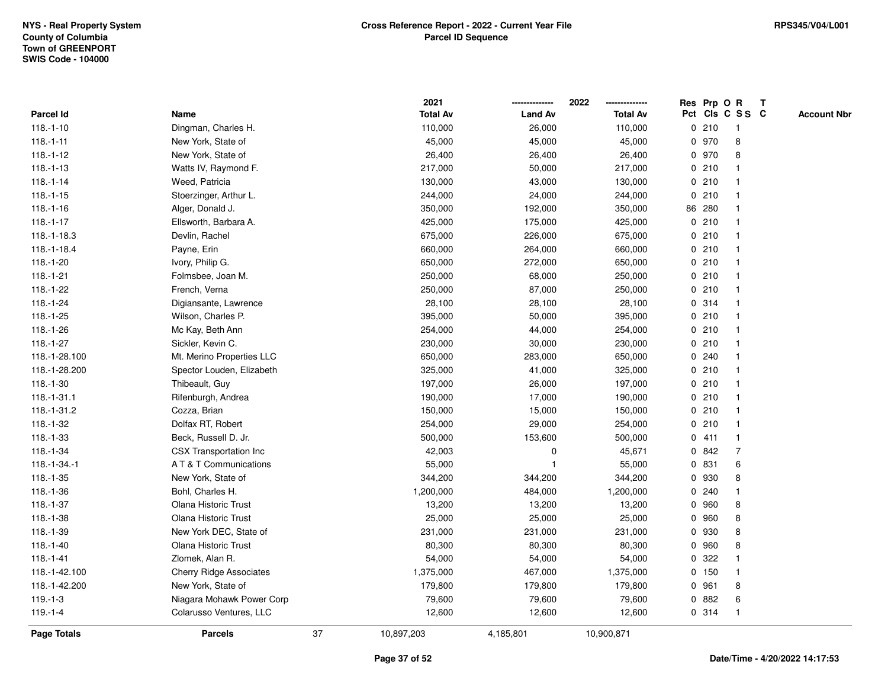|                      |                                |    | 2021            |                | 2022            | Res Prp O |        | $\mathbf R$             | $\mathbf{T}$       |
|----------------------|--------------------------------|----|-----------------|----------------|-----------------|-----------|--------|-------------------------|--------------------|
| <b>Parcel Id</b>     | Name                           |    | <b>Total Av</b> | <b>Land Av</b> | <b>Total Av</b> |           |        | Pct Cls C S S C         | <b>Account Nbr</b> |
| $118.-1-10$          | Dingman, Charles H.            |    | 110,000         | 26,000         | 110,000         |           | 0210   |                         |                    |
| $118.-1-11$          | New York, State of             |    | 45,000          | 45,000         | 45,000          | 0         | 970    | 8                       |                    |
| $118.-1-12$          | New York, State of             |    | 26,400          | 26,400         | 26,400          |           | 0 970  | 8                       |                    |
| $118.-1-13$          | Watts IV, Raymond F.           |    | 217,000         | 50,000         | 217,000         | 0         | 210    |                         |                    |
| $118.-1-14$          | Weed, Patricia                 |    | 130,000         | 43,000         | 130,000         |           | 0210   |                         |                    |
| $118.-1-15$          | Stoerzinger, Arthur L.         |    | 244,000         | 24,000         | 244,000         |           | 0210   |                         |                    |
| $118.-1-16$          | Alger, Donald J.               |    | 350,000         | 192,000        | 350,000         |           | 86 280 |                         |                    |
| $118.-1-17$          | Ellsworth, Barbara A.          |    | 425,000         | 175,000        | 425,000         |           | 0210   |                         |                    |
| 118.-1-18.3          | Devlin, Rachel                 |    | 675,000         | 226,000        | 675,000         |           | 0210   |                         |                    |
| 118.-1-18.4          | Payne, Erin                    |    | 660,000         | 264,000        | 660,000         |           | 0210   |                         |                    |
| $118.-1-20$          | Ivory, Philip G.               |    | 650,000         | 272,000        | 650,000         |           | 0210   |                         |                    |
| $118.-1-21$          | Folmsbee, Joan M.              |    | 250,000         | 68,000         | 250,000         |           | 0210   |                         |                    |
| 118.-1-22            | French, Verna                  |    | 250,000         | 87,000         | 250,000         |           | 0210   |                         |                    |
| 118.-1-24            | Digiansante, Lawrence          |    | 28,100          | 28,100         | 28,100          |           | 0.314  |                         |                    |
| $118.-1-25$          | Wilson, Charles P.             |    | 395,000         | 50,000         | 395,000         |           | 0210   |                         |                    |
| 118.-1-26            | Mc Kay, Beth Ann               |    | 254,000         | 44,000         | 254,000         |           | 0210   |                         |                    |
| $118.-1-27$          | Sickler, Kevin C.              |    | 230,000         | 30,000         | 230,000         | 0         | 210    |                         |                    |
| 118.-1-28.100        | Mt. Merino Properties LLC      |    | 650,000         | 283,000        | 650,000         | 0         | 240    |                         |                    |
| 118.-1-28.200        | Spector Louden, Elizabeth      |    | 325,000         | 41,000         | 325,000         |           | 0210   |                         |                    |
| $118.-1-30$          | Thibeault, Guy                 |    | 197,000         | 26,000         | 197,000         |           | 0210   |                         |                    |
| $118.-1-31.1$        | Rifenburgh, Andrea             |    | 190,000         | 17,000         | 190,000         |           | 0210   |                         |                    |
| 118.-1-31.2          | Cozza, Brian                   |    | 150,000         | 15,000         | 150,000         |           | 0210   |                         |                    |
| $118.-1-32$          | Dolfax RT, Robert              |    | 254,000         | 29,000         | 254,000         |           | 0210   |                         |                    |
| $118.-1-33$          | Beck, Russell D. Jr.           |    | 500,000         | 153,600        | 500,000         | 0         | 411    | $\overline{\mathbf{1}}$ |                    |
| $118.-1-34$          | CSX Transportation Inc         |    | 42,003          | 0              | 45,671          | 0         | 842    | 7                       |                    |
| $118. - 1 - 34. - 1$ | A T & T Communications         |    | 55,000          | $\overline{1}$ | 55,000          |           | 0 831  | 6                       |                    |
| $118.-1-35$          | New York, State of             |    | 344,200         | 344,200        | 344,200         |           | 0 930  | 8                       |                    |
| 118.-1-36            | Bohl, Charles H.               |    | 1,200,000       | 484,000        | 1,200,000       |           | 0.240  |                         |                    |
| 118.-1-37            | Olana Historic Trust           |    | 13,200          | 13,200         | 13,200          | 0         | 960    | 8                       |                    |
| $118.-1-38$          | Olana Historic Trust           |    | 25,000          | 25,000         | 25,000          | 0         | 960    | 8                       |                    |
| 118.-1-39            | New York DEC, State of         |    | 231,000         | 231,000        | 231,000         | 0         | 930    | 8                       |                    |
| $118.-1-40$          | Olana Historic Trust           |    | 80,300          | 80,300         | 80,300          | 0         | 960    | 8                       |                    |
| $118.-1-41$          | Zlomek, Alan R.                |    | 54,000          | 54,000         | 54,000          |           | 0.322  |                         |                    |
| 118.-1-42.100        | <b>Cherry Ridge Associates</b> |    | 1,375,000       | 467,000        | 1,375,000       |           | 0 150  |                         |                    |
| 118.-1-42.200        | New York, State of             |    | 179,800         | 179,800        | 179,800         | 0         | 961    | 8                       |                    |
| $119.-1-3$           | Niagara Mohawk Power Corp      |    | 79,600          | 79,600         | 79,600          | 0         | 882    | 6                       |                    |
| $119.-1-4$           | Colarusso Ventures, LLC        |    | 12,600          | 12,600         | 12,600          |           | 0 314  |                         |                    |
| Page Totals          | <b>Parcels</b>                 | 37 | 10,897,203      | 4,185,801      | 10,900,871      |           |        |                         |                    |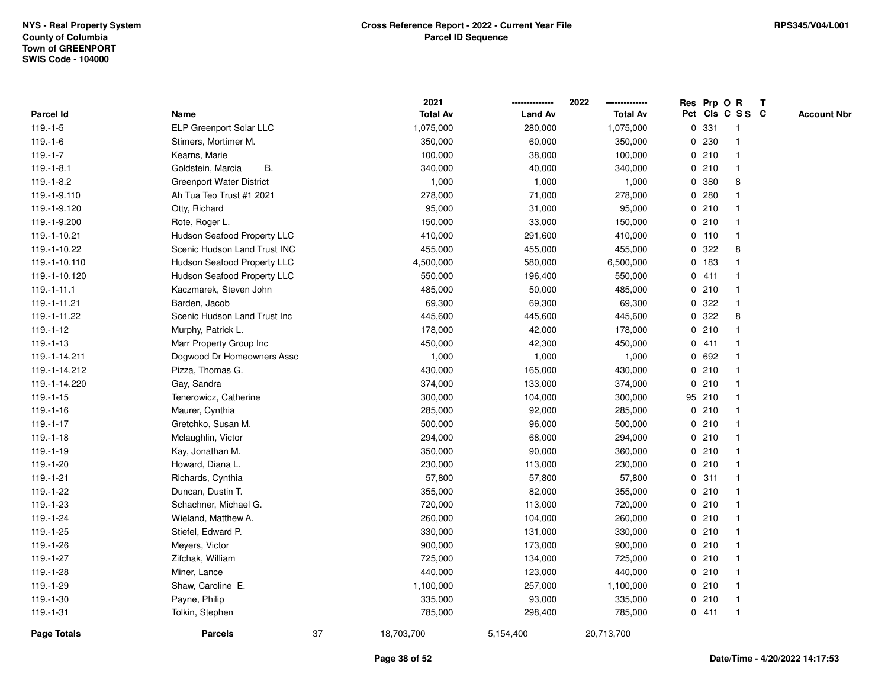|                   |                                    |    | 2021            |                | 2022            |             |         | Res Prp O R             | T |                    |
|-------------------|------------------------------------|----|-----------------|----------------|-----------------|-------------|---------|-------------------------|---|--------------------|
| Parcel Id         | Name                               |    | <b>Total Av</b> | <b>Land Av</b> | <b>Total Av</b> |             |         | Pct Cls C S S C         |   | <b>Account Nbr</b> |
| $119.-1-5$        | ELP Greenport Solar LLC            |    | 1,075,000       | 280,000        | 1,075,000       | $\mathbf 0$ | 331     | $\mathbf{1}$            |   |                    |
| $119.-1-6$        | Stimers, Mortimer M.               |    | 350,000         | 60,000         | 350,000         | 0           | 230     | -1                      |   |                    |
| $119.-1-7$        | Kearns, Marie                      |    | 100,000         | 38,000         | 100,000         |             | 0210    | $\mathbf 1$             |   |                    |
| $119.-1-8.1$      | В.<br>Goldstein, Marcia            |    | 340,000         | 40,000         | 340,000         |             | 0210    |                         |   |                    |
| $119.-1-8.2$      | <b>Greenport Water District</b>    |    | 1,000           | 1,000          | 1,000           |             | 0 380   | 8                       |   |                    |
| 119.-1-9.110      | Ah Tua Teo Trust #1 2021           |    | 278,000         | 71,000         | 278,000         |             | 0.280   |                         |   |                    |
| 119.-1-9.120      | Otty, Richard                      |    | 95,000          | 31,000         | 95,000          |             | 0210    |                         |   |                    |
| 119.-1-9.200      | Rote, Roger L.                     |    | 150,000         | 33,000         | 150,000         | 0           | 210     | -1                      |   |                    |
| 119.-1-10.21      | <b>Hudson Seafood Property LLC</b> |    | 410,000         | 291,600        | 410,000         |             | $0$ 110 | $\mathbf{1}$            |   |                    |
| 119.-1-10.22      | Scenic Hudson Land Trust INC       |    | 455,000         | 455,000        | 455,000         |             | 0.322   | 8                       |   |                    |
| 119.-1-10.110     | Hudson Seafood Property LLC        |    | 4,500,000       | 580,000        | 6,500,000       |             | 0 183   |                         |   |                    |
| 119.-1-10.120     | Hudson Seafood Property LLC        |    | 550,000         | 196,400        | 550,000         |             | 0411    |                         |   |                    |
| $119. - 1 - 11.1$ | Kaczmarek, Steven John             |    | 485,000         | 50,000         | 485,000         |             | 0210    |                         |   |                    |
| 119.-1-11.21      | Barden, Jacob                      |    | 69,300          | 69,300         | 69,300          |             | 0.322   | -1                      |   |                    |
| 119.-1-11.22      | Scenic Hudson Land Trust Inc       |    | 445,600         | 445,600        | 445,600         | 0           | 322     | 8                       |   |                    |
| 119.-1-12         | Murphy, Patrick L.                 |    | 178,000         | 42,000         | 178,000         | 0           | 210     | $\mathbf{1}$            |   |                    |
| $119. - 1 - 13$   | Marr Property Group Inc            |    | 450,000         | 42,300         | 450,000         |             | 0411    | -1                      |   |                    |
| 119.-1-14.211     | Dogwood Dr Homeowners Assc         |    | 1,000           | 1,000          | 1,000           |             | 0 692   |                         |   |                    |
| 119.-1-14.212     | Pizza, Thomas G.                   |    | 430,000         | 165,000        | 430,000         |             | 0210    |                         |   |                    |
| 119.-1-14.220     | Gay, Sandra                        |    | 374,000         | 133,000        | 374,000         |             | 0210    |                         |   |                    |
| $119. - 1 - 15$   | Tenerowicz, Catherine              |    | 300,000         | 104,000        | 300,000         |             | 95 210  |                         |   |                    |
| $119.-1-16$       | Maurer, Cynthia                    |    | 285,000         | 92,000         | 285,000         |             | 0210    |                         |   |                    |
| $119.-1-17$       | Gretchko, Susan M.                 |    | 500,000         | 96,000         | 500,000         | $\mathbf 0$ | 210     | $\overline{\mathbf{1}}$ |   |                    |
| $119.-1-18$       | Mclaughlin, Victor                 |    | 294,000         | 68,000         | 294,000         |             | 0210    | $\mathbf{1}$            |   |                    |
| $119. - 1 - 19$   | Kay, Jonathan M.                   |    | 350,000         | 90,000         | 360,000         |             | 0210    |                         |   |                    |
| 119.-1-20         | Howard, Diana L.                   |    | 230,000         | 113,000        | 230,000         |             | 0210    |                         |   |                    |
| 119.-1-21         | Richards, Cynthia                  |    | 57,800          | 57,800         | 57,800          |             | 0.311   |                         |   |                    |
| 119.-1-22         | Duncan, Dustin T.                  |    | 355,000         | 82,000         | 355,000         |             | 0210    |                         |   |                    |
| 119.-1-23         | Schachner, Michael G.              |    | 720,000         | 113,000        | 720,000         | $\mathbf 0$ | 210     |                         |   |                    |
| 119.-1-24         | Wieland, Matthew A.                |    | 260,000         | 104,000        | 260,000         | 0           | 210     | $\mathbf{1}$            |   |                    |
| 119.-1-25         | Stiefel, Edward P.                 |    | 330,000         | 131,000        | 330,000         |             | 0210    | $\mathbf{1}$            |   |                    |
| 119.-1-26         | Meyers, Victor                     |    | 900,000         | 173,000        | 900,000         |             | 0210    |                         |   |                    |
| 119.-1-27         | Zifchak, William                   |    | 725,000         | 134,000        | 725,000         |             | 0210    |                         |   |                    |
| 119.-1-28         | Miner, Lance                       |    | 440,000         | 123,000        | 440,000         |             | 0210    |                         |   |                    |
| 119.-1-29         | Shaw, Caroline E.                  |    | 1,100,000       | 257,000        | 1,100,000       |             | 0210    |                         |   |                    |
| 119.-1-30         | Payne, Philip                      |    | 335,000         | 93,000         | 335,000         | 0           | 210     | -1                      |   |                    |
| $119.-1-31$       | Tolkin, Stephen                    |    | 785,000         | 298,400        | 785,000         |             | 0411    | $\mathbf{1}$            |   |                    |
| Page Totals       | <b>Parcels</b>                     | 37 | 18,703,700      | 5,154,400      | 20,713,700      |             |         |                         |   |                    |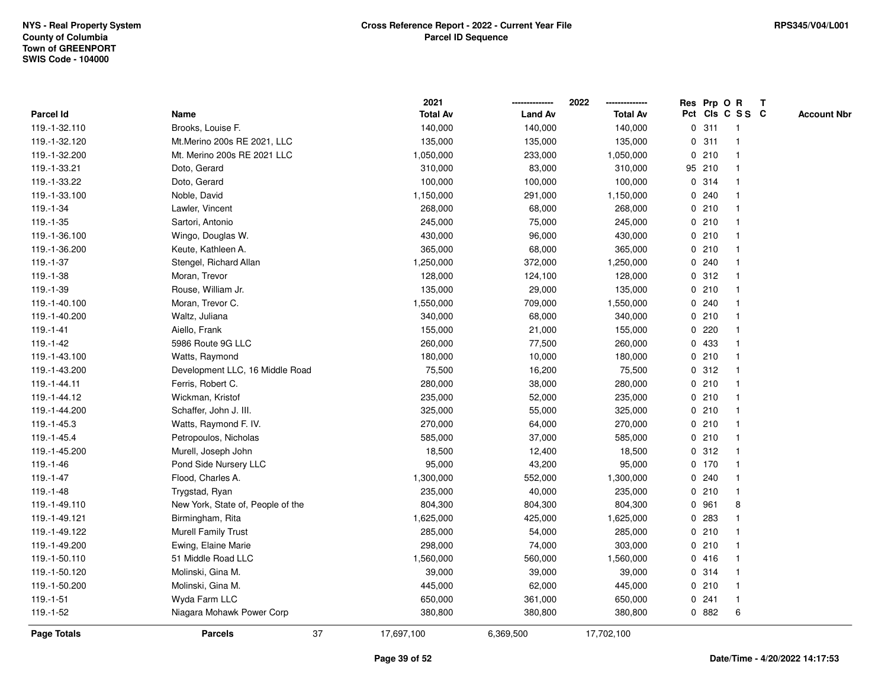|               |                                   | 2021            |                | 2022            |              |         | Res Prp O R     |                | T |                    |
|---------------|-----------------------------------|-----------------|----------------|-----------------|--------------|---------|-----------------|----------------|---|--------------------|
| Parcel Id     | Name                              | <b>Total Av</b> | <b>Land Av</b> | <b>Total Av</b> |              |         | Pct Cls C S S C |                |   | <b>Account Nbr</b> |
| 119.-1-32.110 | Brooks, Louise F.                 | 140,000         | 140,000        | 140,000         | $\mathbf 0$  | 311     |                 | -1             |   |                    |
| 119.-1-32.120 | Mt.Merino 200s RE 2021, LLC       | 135,000         | 135,000        | 135,000         | 0            | 311     |                 | -1             |   |                    |
| 119.-1-32.200 | Mt. Merino 200s RE 2021 LLC       | 1,050,000       | 233,000        | 1,050,000       |              | 0210    |                 | $\mathbf 1$    |   |                    |
| 119.-1-33.21  | Doto, Gerard                      | 310,000         | 83,000         | 310,000         |              | 95 210  |                 |                |   |                    |
| 119.-1-33.22  | Doto, Gerard                      | 100,000         | 100,000        | 100,000         |              | 0 314   |                 |                |   |                    |
| 119.-1-33.100 | Noble, David                      | 1,150,000       | 291,000        | 1,150,000       |              | 0.240   |                 |                |   |                    |
| 119.-1-34     | Lawler, Vincent                   | 268,000         | 68,000         | 268,000         |              | 0210    |                 |                |   |                    |
| 119.-1-35     | Sartori, Antonio                  | 245,000         | 75,000         | 245,000         | 0            | 210     |                 | $\overline{1}$ |   |                    |
| 119.-1-36.100 | Wingo, Douglas W.                 | 430,000         | 96,000         | 430,000         |              | 0210    |                 | -1             |   |                    |
| 119.-1-36.200 | Keute, Kathleen A.                | 365,000         | 68,000         | 365,000         |              | 0210    |                 | $\mathbf 1$    |   |                    |
| 119.-1-37     | Stengel, Richard Allan            | 1,250,000       | 372,000        | 1,250,000       |              | 0.240   |                 |                |   |                    |
| 119.-1-38     | Moran, Trevor                     | 128,000         | 124,100        | 128,000         |              | 0.312   |                 |                |   |                    |
| 119.-1-39     | Rouse, William Jr.                | 135,000         | 29,000         | 135,000         |              | 0210    |                 |                |   |                    |
| 119.-1-40.100 | Moran, Trevor C.                  | 1,550,000       | 709,000        | 1,550,000       |              | 0.240   |                 |                |   |                    |
| 119.-1-40.200 | Waltz, Juliana                    | 340,000         | 68,000         | 340,000         | $\mathbf 0$  | 210     |                 |                |   |                    |
| $119.-1-41$   | Aiello, Frank                     | 155,000         | 21,000         | 155,000         | 0            | 220     |                 |                |   |                    |
| 119.-1-42     | 5986 Route 9G LLC                 | 260,000         | 77,500         | 260,000         |              | 0 433   |                 |                |   |                    |
| 119.-1-43.100 | Watts, Raymond                    | 180,000         | 10,000         | 180,000         |              | 0210    |                 |                |   |                    |
| 119.-1-43.200 | Development LLC, 16 Middle Road   | 75,500          | 16,200         | 75,500          |              | 0.312   |                 |                |   |                    |
| 119.-1-44.11  | Ferris, Robert C.                 | 280,000         | 38,000         | 280,000         |              | 0210    |                 |                |   |                    |
| 119.-1-44.12  | Wickman, Kristof                  | 235,000         | 52,000         | 235,000         |              | 0210    |                 |                |   |                    |
| 119.-1-44.200 | Schaffer, John J. III.            | 325,000         | 55,000         | 325,000         |              | 0210    |                 |                |   |                    |
| 119.-1-45.3   | Watts, Raymond F. IV.             | 270,000         | 64,000         | 270,000         |              | 0210    |                 | -1             |   |                    |
| 119.-1-45.4   | Petropoulos, Nicholas             | 585,000         | 37,000         | 585,000         | $\mathbf{0}$ | 210     |                 | $\overline{1}$ |   |                    |
| 119.-1-45.200 | Murell, Joseph John               | 18,500          | 12,400         | 18,500          |              | 0.312   |                 |                |   |                    |
| 119.-1-46     | Pond Side Nursery LLC             | 95,000          | 43,200         | 95,000          |              | $0$ 170 |                 |                |   |                    |
| 119.-1-47     | Flood, Charles A.                 | 1,300,000       | 552,000        | 1,300,000       |              | 0.240   |                 |                |   |                    |
| 119.-1-48     | Trygstad, Ryan                    | 235,000         | 40,000         | 235,000         |              | 0210    |                 |                |   |                    |
| 119.-1-49.110 | New York, State of, People of the | 804,300         | 804,300        | 804,300         | 0            | 961     |                 | 8              |   |                    |
| 119.-1-49.121 | Birmingham, Rita                  | 1,625,000       | 425,000        | 1,625,000       | 0            | 283     |                 |                |   |                    |
| 119.-1-49.122 | <b>Murell Family Trust</b>        | 285,000         | 54,000         | 285,000         | 0            | 210     |                 | $\mathbf 1$    |   |                    |
| 119.-1-49.200 | Ewing, Elaine Marie               | 298,000         | 74,000         | 303,000         |              | 0210    |                 | $\mathbf 1$    |   |                    |
| 119.-1-50.110 | 51 Middle Road LLC                | 1,560,000       | 560,000        | 1,560,000       |              | 0416    |                 |                |   |                    |
| 119.-1-50.120 | Molinski, Gina M.                 | 39,000          | 39,000         | 39,000          |              | 0 314   |                 |                |   |                    |
| 119.-1-50.200 | Molinski, Gina M.                 | 445,000         | 62,000         | 445,000         |              | 0210    |                 |                |   |                    |
| $119.-1-51$   | Wyda Farm LLC                     | 650,000         | 361,000        | 650,000         | 0            | 241     |                 | -1             |   |                    |
| 119.-1-52     | Niagara Mohawk Power Corp         | 380,800         | 380,800        | 380,800         |              | 0 882   |                 | 6              |   |                    |
| Page Totals   | 37<br><b>Parcels</b>              | 17,697,100      | 6,369,500      | 17,702,100      |              |         |                 |                |   |                    |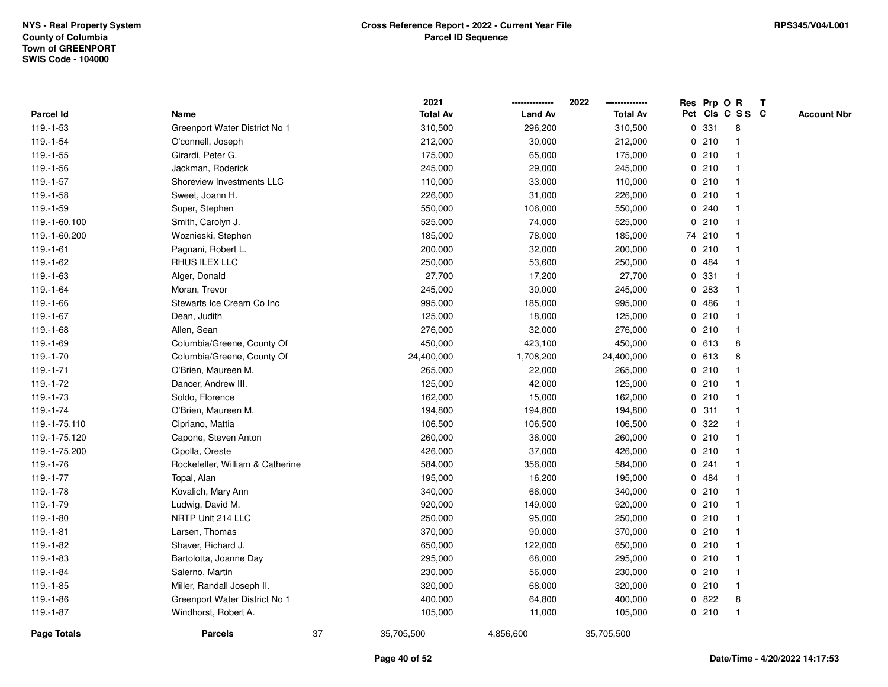|                    |                                  |    | 2021            |                | 2022            |             |        | Res Prp O R     | T |                    |
|--------------------|----------------------------------|----|-----------------|----------------|-----------------|-------------|--------|-----------------|---|--------------------|
| <b>Parcel Id</b>   | Name                             |    | <b>Total Av</b> | <b>Land Av</b> | <b>Total Av</b> |             |        | Pct Cls C S S C |   | <b>Account Nbr</b> |
| 119.-1-53          | Greenport Water District No 1    |    | 310,500         | 296,200        | 310,500         | 0           | 331    | 8               |   |                    |
| 119.-1-54          | O'connell, Joseph                |    | 212,000         | 30,000         | 212,000         | 0           | 210    | -1              |   |                    |
| $119.-1-55$        | Girardi, Peter G.                |    | 175,000         | 65,000         | 175,000         |             | 0210   | -1              |   |                    |
| 119.-1-56          | Jackman, Roderick                |    | 245,000         | 29,000         | 245,000         |             | 0210   |                 |   |                    |
| $119.-1-57$        | Shoreview Investments LLC        |    | 110,000         | 33,000         | 110,000         |             | 0210   |                 |   |                    |
| 119.-1-58          | Sweet, Joann H.                  |    | 226,000         | 31,000         | 226,000         |             | 0210   |                 |   |                    |
| 119.-1-59          | Super, Stephen                   |    | 550,000         | 106,000        | 550,000         |             | 0.240  |                 |   |                    |
| 119.-1-60.100      | Smith, Carolyn J.                |    | 525,000         | 74,000         | 525,000         | 0           | 210    |                 |   |                    |
| 119.-1-60.200      | Woznieski, Stephen               |    | 185,000         | 78,000         | 185,000         |             | 74 210 | -1              |   |                    |
| $119.-1-61$        | Pagnani, Robert L.               |    | 200,000         | 32,000         | 200,000         |             | 0210   | -1              |   |                    |
| 119.-1-62          | RHUS ILEX LLC                    |    | 250,000         | 53,600         | 250,000         |             | 0 484  |                 |   |                    |
| $119.-1-63$        | Alger, Donald                    |    | 27,700          | 17,200         | 27,700          |             | 0 331  |                 |   |                    |
| 119.-1-64          | Moran, Trevor                    |    | 245,000         | 30,000         | 245,000         | 0           | 283    |                 |   |                    |
| 119.-1-66          | Stewarts Ice Cream Co Inc        |    | 995,000         | 185,000        | 995,000         |             | 0486   |                 |   |                    |
| 119.-1-67          | Dean, Judith                     |    | 125,000         | 18,000         | 125,000         | 0           | 210    |                 |   |                    |
| 119.-1-68          | Allen, Sean                      |    | 276,000         | 32,000         | 276,000         | 0           | 210    | $\mathbf{1}$    |   |                    |
| 119.-1-69          | Columbia/Greene, County Of       |    | 450,000         | 423,100        | 450,000         |             | 0 613  | 8               |   |                    |
| 119.-1-70          | Columbia/Greene, County Of       |    | 24,400,000      | 1,708,200      | 24,400,000      |             | 0613   | 8               |   |                    |
| $119.-1-71$        | O'Brien, Maureen M.              |    | 265,000         | 22,000         | 265,000         |             | 0210   |                 |   |                    |
| 119.-1-72          | Dancer, Andrew III.              |    | 125,000         | 42,000         | 125,000         |             | 0210   |                 |   |                    |
| 119.-1-73          | Soldo, Florence                  |    | 162,000         | 15,000         | 162,000         |             | 0210   |                 |   |                    |
| 119.-1-74          | O'Brien, Maureen M.              |    | 194,800         | 194,800        | 194,800         | 0           | 311    |                 |   |                    |
| 119.-1-75.110      | Cipriano, Mattia                 |    | 106,500         | 106,500        | 106,500         | 0           | 322    |                 |   |                    |
| 119.-1-75.120      | Capone, Steven Anton             |    | 260,000         | 36,000         | 260,000         | $\mathbf 0$ | 210    | $\overline{1}$  |   |                    |
| 119.-1-75.200      | Cipolla, Oreste                  |    | 426,000         | 37,000         | 426,000         |             | 0210   |                 |   |                    |
| 119.-1-76          | Rockefeller, William & Catherine |    | 584,000         | 356,000        | 584,000         |             | 0.241  |                 |   |                    |
| 119.-1-77          | Topal, Alan                      |    | 195,000         | 16,200         | 195,000         |             | 0.484  |                 |   |                    |
| 119.-1-78          | Kovalich, Mary Ann               |    | 340,000         | 66,000         | 340,000         | 0           | 210    |                 |   |                    |
| 119.-1-79          | Ludwig, David M.                 |    | 920,000         | 149,000        | 920,000         |             | 0210   |                 |   |                    |
| 119.-1-80          | NRTP Unit 214 LLC                |    | 250,000         | 95,000         | 250,000         | 0           | 210    |                 |   |                    |
| 119.-1-81          | Larsen, Thomas                   |    | 370,000         | 90,000         | 370,000         |             | 0210   | -1              |   |                    |
| 119.-1-82          | Shaver, Richard J.               |    | 650,000         | 122,000        | 650,000         |             | 0210   | -1              |   |                    |
| 119.-1-83          | Bartolotta, Joanne Day           |    | 295,000         | 68,000         | 295,000         |             | 0210   |                 |   |                    |
| 119.-1-84          | Salerno, Martin                  |    | 230,000         | 56,000         | 230,000         |             | 0210   |                 |   |                    |
| 119.-1-85          | Miller, Randall Joseph II.       |    | 320,000         | 68,000         | 320,000         |             | 0210   | -1              |   |                    |
| 119.-1-86          | Greenport Water District No 1    |    | 400,000         | 64,800         | 400,000         | 0           | 822    | 8               |   |                    |
| $119.-1-87$        | Windhorst, Robert A.             |    | 105,000         | 11,000         | 105,000         |             | 0210   | $\overline{1}$  |   |                    |
| <b>Page Totals</b> | <b>Parcels</b>                   | 37 | 35,705,500      | 4,856,600      | 35,705,500      |             |        |                 |   |                    |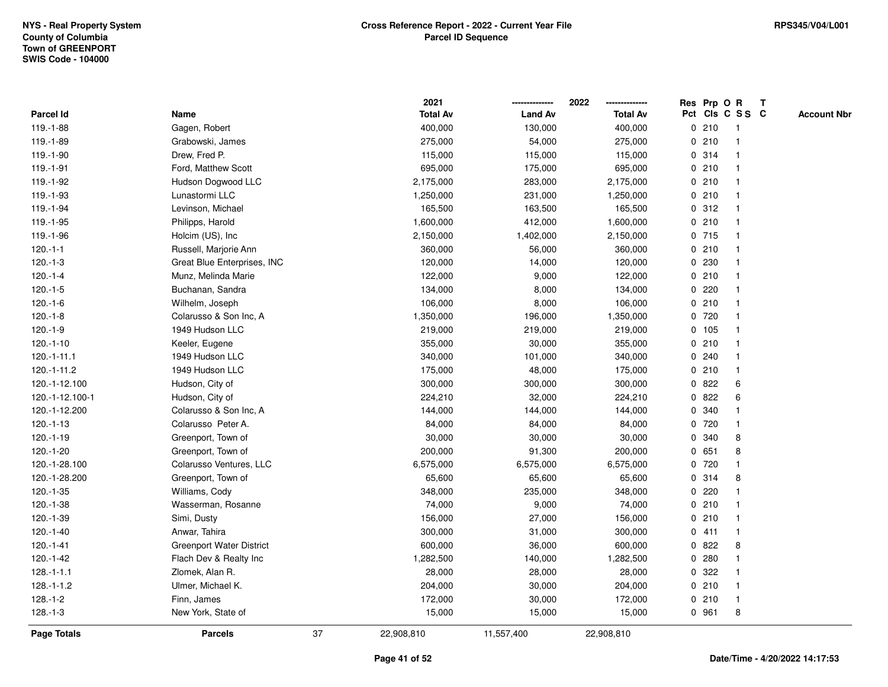|                    |                                 |    | 2021            |                | 2022            | Res Prp O R |                 |                | T |                    |
|--------------------|---------------------------------|----|-----------------|----------------|-----------------|-------------|-----------------|----------------|---|--------------------|
| Parcel Id          | Name                            |    | <b>Total Av</b> | <b>Land Av</b> | <b>Total Av</b> |             | Pct Cls C S S C |                |   | <b>Account Nbr</b> |
| 119.-1-88          | Gagen, Robert                   |    | 400,000         | 130,000        | 400,000         | 0           | 210             | -1             |   |                    |
| 119.-1-89          | Grabowski, James                |    | 275,000         | 54,000         | 275,000         | 0           | 210             | -1             |   |                    |
| 119.-1-90          | Drew, Fred P.                   |    | 115,000         | 115,000        | 115,000         |             | 0 314           | $\mathbf{1}$   |   |                    |
| 119.-1-91          | Ford, Matthew Scott             |    | 695,000         | 175,000        | 695,000         |             | 0210            |                |   |                    |
| 119.-1-92          | Hudson Dogwood LLC              |    | 2,175,000       | 283,000        | 2,175,000       |             | 0210            |                |   |                    |
| 119.-1-93          | Lunastormi LLC                  |    | 1,250,000       | 231,000        | 1,250,000       |             | 0210            |                |   |                    |
| 119.-1-94          | Levinson, Michael               |    | 165,500         | 163,500        | 165,500         |             | 0.312           |                |   |                    |
| 119.-1-95          | Philipps, Harold                |    | 1,600,000       | 412,000        | 1,600,000       | 0           | 210             | $\overline{1}$ |   |                    |
| 119.-1-96          | Holcim (US), Inc                |    | 2,150,000       | 1,402,000      | 2,150,000       |             | 0 715           | -1             |   |                    |
| $120.-1-1$         | Russell, Marjorie Ann           |    | 360,000         | 56,000         | 360,000         |             | 0210            | -1             |   |                    |
| $120.-1-3$         | Great Blue Enterprises, INC     |    | 120,000         | 14,000         | 120,000         |             | 0 230           |                |   |                    |
| $120.-1-4$         | Munz, Melinda Marie             |    | 122,000         | 9,000          | 122,000         |             | 0210            |                |   |                    |
| $120.-1-5$         | Buchanan, Sandra                |    | 134,000         | 8,000          | 134,000         | 0           | 220             |                |   |                    |
| $120.-1-6$         | Wilhelm, Joseph                 |    | 106,000         | 8,000          | 106,000         |             | 0210            |                |   |                    |
| $120.-1-8$         | Colarusso & Son Inc, A          |    | 1,350,000       | 196,000        | 1,350,000       | 0           | 720             |                |   |                    |
| $120.-1-9$         | 1949 Hudson LLC                 |    | 219,000         | 219,000        | 219,000         |             | 0, 105          | $\overline{1}$ |   |                    |
| $120.-1-10$        | Keeler, Eugene                  |    | 355,000         | 30,000         | 355,000         |             | 0210            | $\mathbf{1}$   |   |                    |
| $120.-1-11.1$      | 1949 Hudson LLC                 |    | 340,000         | 101,000        | 340,000         |             | 0.240           |                |   |                    |
| $120.-1-11.2$      | 1949 Hudson LLC                 |    | 175,000         | 48,000         | 175,000         |             | 0210            |                |   |                    |
| 120.-1-12.100      | Hudson, City of                 |    | 300,000         | 300,000        | 300,000         |             | 0822            | 6              |   |                    |
| 120.-1-12.100-1    | Hudson, City of                 |    | 224,210         | 32,000         | 224,210         |             | 0822            | 6              |   |                    |
| 120.-1-12.200      | Colarusso & Son Inc, A          |    | 144,000         | 144,000        | 144,000         | 0           | 340             |                |   |                    |
| $120.-1-13$        | Colarusso Peter A.              |    | 84,000          | 84,000         | 84,000          | 0           | 720             | $\overline{1}$ |   |                    |
| $120.-1-19$        | Greenport, Town of              |    | 30,000          | 30,000         | 30,000          | $\mathbf 0$ | 340             | 8              |   |                    |
| 120.-1-20          | Greenport, Town of              |    | 200,000         | 91,300         | 200,000         |             | 0 651           | 8              |   |                    |
| 120.-1-28.100      | Colarusso Ventures, LLC         |    | 6,575,000       | 6,575,000      | 6,575,000       |             | 0 720           |                |   |                    |
| 120.-1-28.200      | Greenport, Town of              |    | 65,600          | 65,600         | 65,600          |             | 0.314           | 8              |   |                    |
| $120.-1-35$        | Williams, Cody                  |    | 348,000         | 235,000        | 348,000         | 0           | 220             |                |   |                    |
| 120.-1-38          | Wasserman, Rosanne              |    | 74,000          | 9,000          | 74,000          |             | 0210            |                |   |                    |
| 120.-1-39          | Simi, Dusty                     |    | 156,000         | 27,000         | 156,000         | 0           | 210             | -1             |   |                    |
| 120.-1-40          | Anwar, Tahira                   |    | 300,000         | 31,000         | 300,000         |             | 0411            | $\mathbf{1}$   |   |                    |
| $120.-1-41$        | <b>Greenport Water District</b> |    | 600,000         | 36,000         | 600,000         |             | 0822            | 8              |   |                    |
| 120.-1-42          | Flach Dev & Realty Inc          |    | 1,282,500       | 140,000        | 1,282,500       |             | 0.280           |                |   |                    |
| $128.-1-1.1$       | Zlomek, Alan R.                 |    | 28,000          | 28,000         | 28,000          |             | 0 322           |                |   |                    |
| $128.-1-1.2$       | Ulmer, Michael K.               |    | 204,000         | 30,000         | 204,000         |             | 0210            | -1             |   |                    |
| $128.-1-2$         | Finn, James                     |    | 172,000         | 30,000         | 172,000         |             | 0210            | $\overline{1}$ |   |                    |
| $128.-1-3$         | New York, State of              |    | 15,000          | 15,000         | 15,000          |             | 0 961           | 8              |   |                    |
| <b>Page Totals</b> | <b>Parcels</b>                  | 37 | 22,908,810      | 11,557,400     | 22,908,810      |             |                 |                |   |                    |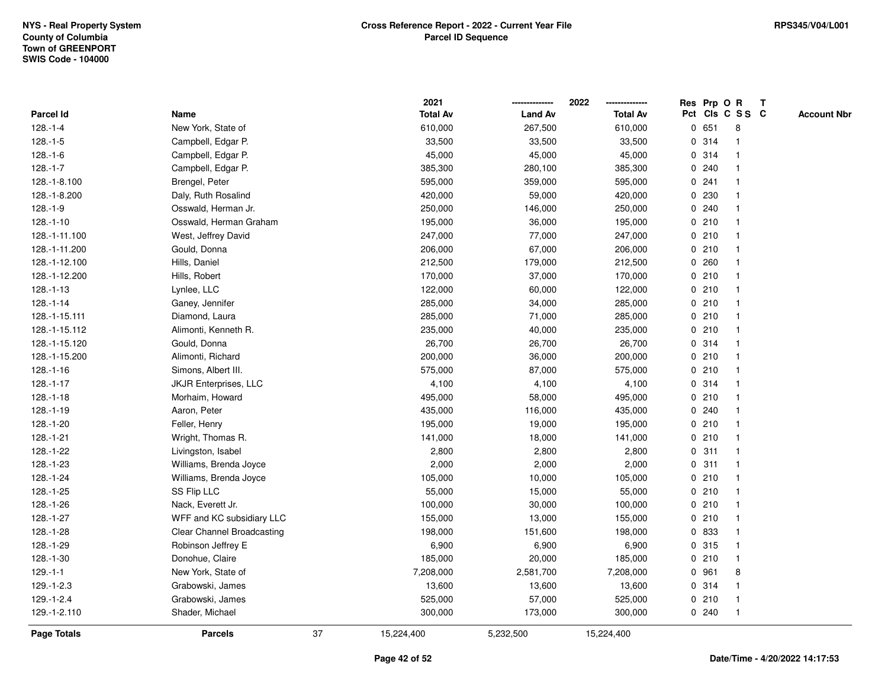|                    |                              |    | 2021            |                | 2022            |             |       | Res Prp O R             | $\mathbf{T}$ |                    |
|--------------------|------------------------------|----|-----------------|----------------|-----------------|-------------|-------|-------------------------|--------------|--------------------|
| Parcel Id          | Name                         |    | <b>Total Av</b> | <b>Land Av</b> | <b>Total Av</b> |             |       | Pct Cls C S S C         |              | <b>Account Nbr</b> |
| $128.-1-4$         | New York, State of           |    | 610,000         | 267,500        | 610,000         |             | 0 651 | 8                       |              |                    |
| $128.-1-5$         | Campbell, Edgar P.           |    | 33,500          | 33,500         | 33,500          |             | 0.314 |                         |              |                    |
| $128.-1-6$         | Campbell, Edgar P.           |    | 45,000          | 45,000         | 45,000          |             | 0.314 | -1                      |              |                    |
| $128.-1-7$         | Campbell, Edgar P.           |    | 385,300         | 280,100        | 385,300         |             | 0.240 | $\mathbf{1}$            |              |                    |
| 128.-1-8.100       | Brengel, Peter               |    | 595,000         | 359,000        | 595,000         |             | 0.241 | $\overline{\mathbf{1}}$ |              |                    |
| 128.-1-8.200       | Daly, Ruth Rosalind          |    | 420,000         | 59,000         | 420,000         |             | 0 230 | -1                      |              |                    |
| $128.-1-9$         | Osswald, Herman Jr.          |    | 250,000         | 146,000        | 250,000         |             | 0.240 |                         |              |                    |
| $128.-1-10$        | Osswald, Herman Graham       |    | 195,000         | 36,000         | 195,000         |             | 0210  |                         |              |                    |
| 128.-1-11.100      | West, Jeffrey David          |    | 247,000         | 77,000         | 247,000         |             | 0210  | $\mathbf{1}$            |              |                    |
| 128.-1-11.200      | Gould, Donna                 |    | 206,000         | 67,000         | 206,000         |             | 0210  |                         |              |                    |
| 128.-1-12.100      | Hills, Daniel                |    | 212,500         | 179,000        | 212,500         |             | 0.260 | $\mathbf{1}$            |              |                    |
| 128.-1-12.200      | Hills, Robert                |    | 170,000         | 37,000         | 170,000         |             | 0210  | $\mathbf{1}$            |              |                    |
| $128 - 1 - 13$     | Lynlee, LLC                  |    | 122,000         | 60,000         | 122,000         |             | 0210  | $\mathbf 1$             |              |                    |
| $128.-1-14$        | Ganey, Jennifer              |    | 285,000         | 34,000         | 285,000         |             | 0210  |                         |              |                    |
| 128.-1-15.111      | Diamond, Laura               |    | 285,000         | 71,000         | 285,000         |             | 0210  |                         |              |                    |
| 128.-1-15.112      | Alimonti, Kenneth R.         |    | 235,000         | 40,000         | 235,000         |             | 0210  | -1                      |              |                    |
| 128.-1-15.120      | Gould, Donna                 |    | 26,700          | 26,700         | 26,700          | $\mathbf 0$ | 314   | $\overline{\mathbf{1}}$ |              |                    |
| 128.-1-15.200      | Alimonti, Richard            |    | 200,000         | 36,000         | 200,000         |             | 0210  | -1                      |              |                    |
| $128.-1-16$        | Simons, Albert III.          |    | 575,000         | 87,000         | 575,000         |             | 0210  | $\mathbf{1}$            |              |                    |
| $128.-1-17$        | <b>JKJR Enterprises, LLC</b> |    | 4,100           | 4,100          | 4,100           |             | 0.314 |                         |              |                    |
| $128.-1-18$        | Morhaim, Howard              |    | 495,000         | 58,000         | 495,000         |             | 0210  |                         |              |                    |
| 128.-1-19          | Aaron, Peter                 |    | 435,000         | 116,000        | 435,000         |             | 0.240 |                         |              |                    |
| 128.-1-20          | Feller, Henry                |    | 195,000         | 19,000         | 195,000         |             | 0210  | -1                      |              |                    |
| $128.-1-21$        | Wright, Thomas R.            |    | 141,000         | 18,000         | 141,000         |             | 0210  | $\mathbf{1}$            |              |                    |
| 128.-1-22          | Livingston, Isabel           |    | 2,800           | 2,800          | 2,800           |             | 0.311 | $\mathbf 1$             |              |                    |
| 128.-1-23          | Williams, Brenda Joyce       |    | 2,000           | 2,000          | 2,000           |             | 0.311 | $\mathbf 1$             |              |                    |
| 128.-1-24          | Williams, Brenda Joyce       |    | 105,000         | 10,000         | 105,000         |             | 0210  |                         |              |                    |
| 128.-1-25          | SS Flip LLC                  |    | 55,000          | 15,000         | 55,000          |             | 0210  |                         |              |                    |
| 128.-1-26          | Nack, Everett Jr.            |    | 100,000         | 30,000         | 100,000         |             | 0210  | $\overline{\mathbf{1}}$ |              |                    |
| 128.-1-27          | WFF and KC subsidiary LLC    |    | 155,000         | 13,000         | 155,000         |             | 0210  | -1                      |              |                    |
| 128.-1-28          | Clear Channel Broadcasting   |    | 198,000         | 151,600        | 198,000         |             | 0 833 | $\mathbf{1}$            |              |                    |
| 128.-1-29          | Robinson Jeffrey E           |    | 6,900           | 6,900          | 6,900           |             | 0.315 | $\mathbf 1$             |              |                    |
| 128.-1-30          | Donohue, Claire              |    | 185,000         | 20,000         | 185,000         |             | 0210  | $\mathbf 1$             |              |                    |
| $129.-1-1$         | New York, State of           |    | 7,208,000       | 2,581,700      | 7,208,000       |             | 0 961 | 8                       |              |                    |
| $129.-1-2.3$       | Grabowski, James             |    | 13,600          | 13,600         | 13,600          |             | 0.314 | $\mathbf 1$             |              |                    |
| $129.-1-2.4$       | Grabowski, James             |    | 525,000         | 57,000         | 525,000         |             | 0210  | $\mathbf{1}$            |              |                    |
| 129.-1-2.110       | Shader, Michael              |    | 300,000         | 173,000        | 300,000         |             | 0.240 | $\mathbf{1}$            |              |                    |
| <b>Page Totals</b> | <b>Parcels</b>               | 37 | 15,224,400      | 5,232,500      | 15,224,400      |             |       |                         |              |                    |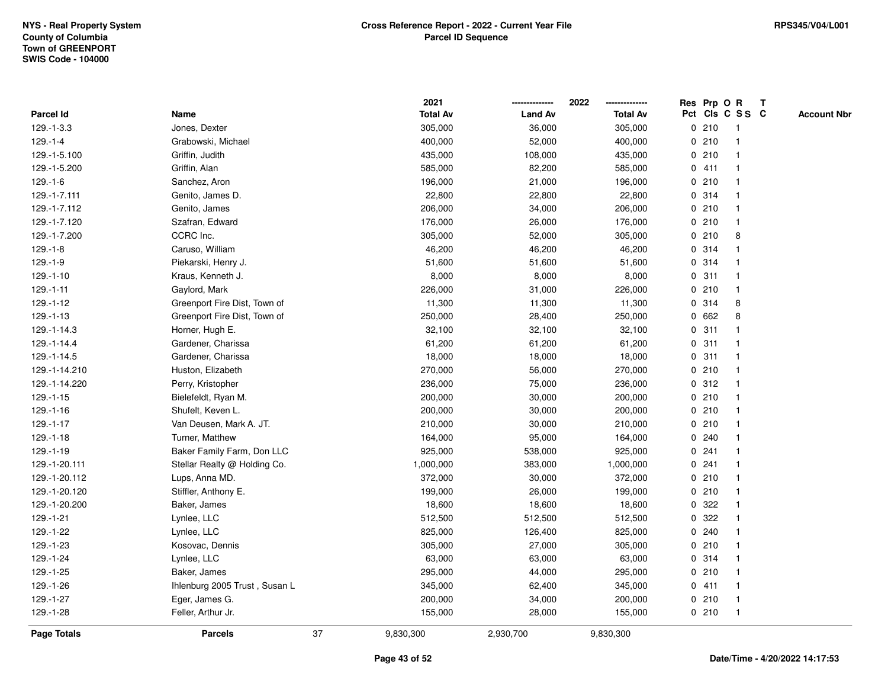|                 |                               |    | 2021            |                | 2022            |       | Res Prp O R     | Т |                    |
|-----------------|-------------------------------|----|-----------------|----------------|-----------------|-------|-----------------|---|--------------------|
| Parcel Id       | Name                          |    | <b>Total Av</b> | <b>Land Av</b> | <b>Total Av</b> |       | Pct Cls C S S C |   | <b>Account Nbr</b> |
| 129.-1-3.3      | Jones, Dexter                 |    | 305,000         | 36,000         | 305,000         | 0210  | $\mathbf{1}$    |   |                    |
| $129. - 1 - 4$  | Grabowski, Michael            |    | 400,000         | 52,000         | 400,000         | 0210  | $\mathbf{1}$    |   |                    |
| 129.-1-5.100    | Griffin, Judith               |    | 435,000         | 108,000        | 435,000         | 0210  | $\mathbf{1}$    |   |                    |
| 129.-1-5.200    | Griffin, Alan                 |    | 585,000         | 82,200         | 585,000         | 0411  | $\mathbf{1}$    |   |                    |
| $129.-1-6$      | Sanchez, Aron                 |    | 196,000         | 21,000         | 196,000         | 0210  | $\mathbf{1}$    |   |                    |
| 129.-1-7.111    | Genito, James D.              |    | 22,800          | 22,800         | 22,800          | 0.314 | $\mathbf{1}$    |   |                    |
| 129.-1-7.112    | Genito, James                 |    | 206,000         | 34,000         | 206,000         | 0210  | $\mathbf{1}$    |   |                    |
| 129.-1-7.120    | Szafran, Edward               |    | 176,000         | 26,000         | 176,000         | 0210  | $\mathbf{1}$    |   |                    |
| 129.-1-7.200    | CCRC Inc.                     |    | 305,000         | 52,000         | 305,000         | 0210  | 8               |   |                    |
| $129. - 1 - 8$  | Caruso, William               |    | 46,200          | 46,200         | 46,200          | 0.314 | $\mathbf{1}$    |   |                    |
| $129.-1-9$      | Piekarski, Henry J.           |    | 51,600          | 51,600         | 51,600          | 0.314 | $\mathbf{1}$    |   |                    |
| $129.-1-10$     | Kraus, Kenneth J.             |    | 8,000           | 8,000          | 8,000           | 0.311 | $\mathbf{1}$    |   |                    |
| $129.-1-11$     | Gaylord, Mark                 |    | 226,000         | 31,000         | 226,000         | 0210  | 1               |   |                    |
| $129.-1-12$     | Greenport Fire Dist, Town of  |    | 11,300          | 11,300         | 11,300          | 0.314 | 8               |   |                    |
| $129. - 1 - 13$ | Greenport Fire Dist, Town of  |    | 250,000         | 28,400         | 250,000         | 0 662 | 8               |   |                    |
| 129.-1-14.3     | Horner, Hugh E.               |    | 32,100          | 32,100         | 32,100          | 0.311 | $\mathbf{1}$    |   |                    |
| 129.-1-14.4     | Gardener, Charissa            |    | 61,200          | 61,200         | 61,200          | 0.311 | $\mathbf{1}$    |   |                    |
| 129.-1-14.5     | Gardener, Charissa            |    | 18,000          | 18,000         | 18,000          | 0.311 | $\mathbf{1}$    |   |                    |
| 129.-1-14.210   | Huston, Elizabeth             |    | 270,000         | 56,000         | 270,000         | 0210  | $\mathbf{1}$    |   |                    |
| 129.-1-14.220   | Perry, Kristopher             |    | 236,000         | 75,000         | 236,000         | 0.312 | $\mathbf{1}$    |   |                    |
| $129. - 1 - 15$ | Bielefeldt, Ryan M.           |    | 200,000         | 30,000         | 200,000         | 0210  | $\mathbf{1}$    |   |                    |
| 129.-1-16       | Shufelt, Keven L.             |    | 200,000         | 30,000         | 200,000         | 0210  | $\mathbf{1}$    |   |                    |
| $129. - 1 - 17$ | Van Deusen, Mark A. JT.       |    | 210,000         | 30,000         | 210,000         | 0210  | $\mathbf{1}$    |   |                    |
| $129. - 1 - 18$ | Turner, Matthew               |    | 164,000         | 95,000         | 164,000         | 0.240 | $\mathbf{1}$    |   |                    |
| 129.-1-19       | Baker Family Farm, Don LLC    |    | 925,000         | 538,000        | 925,000         | 0.241 | $\mathbf{1}$    |   |                    |
| 129.-1-20.111   | Stellar Realty @ Holding Co.  |    | 1,000,000       | 383,000        | 1,000,000       | 0.241 | 1               |   |                    |
| 129.-1-20.112   | Lups, Anna MD.                |    | 372,000         | 30,000         | 372,000         | 0210  | 1               |   |                    |
| 129.-1-20.120   | Stiffler, Anthony E.          |    | 199,000         | 26,000         | 199,000         | 0210  | $\mathbf{1}$    |   |                    |
| 129.-1-20.200   | Baker, James                  |    | 18,600          | 18,600         | 18,600          | 0.322 | $\mathbf{1}$    |   |                    |
| 129.-1-21       | Lynlee, LLC                   |    | 512,500         | 512,500        | 512,500         | 0.322 | $\mathbf{1}$    |   |                    |
| 129.-1-22       | Lynlee, LLC                   |    | 825,000         | 126,400        | 825,000         | 0.240 | $\mathbf{1}$    |   |                    |
| 129.-1-23       | Kosovac, Dennis               |    | 305,000         | 27,000         | 305,000         | 0210  | $\mathbf{1}$    |   |                    |
| 129.-1-24       | Lynlee, LLC                   |    | 63,000          | 63,000         | 63,000          | 0.314 | $\mathbf{1}$    |   |                    |
| 129.-1-25       | Baker, James                  |    | 295,000         | 44,000         | 295,000         | 0210  | $\mathbf{1}$    |   |                    |
| 129.-1-26       | Ihlenburg 2005 Trust, Susan L |    | 345,000         | 62,400         | 345,000         | 0411  | $\mathbf{1}$    |   |                    |
| 129.-1-27       | Eger, James G.                |    | 200,000         | 34,000         | 200,000         | 0210  | $\mathbf{1}$    |   |                    |
| 129.-1-28       | Feller, Arthur Jr.            |    | 155,000         | 28,000         | 155,000         | 0210  | $\mathbf{1}$    |   |                    |
| Page Totals     | <b>Parcels</b>                | 37 | 9,830,300       | 2,930,700      | 9,830,300       |       |                 |   |                    |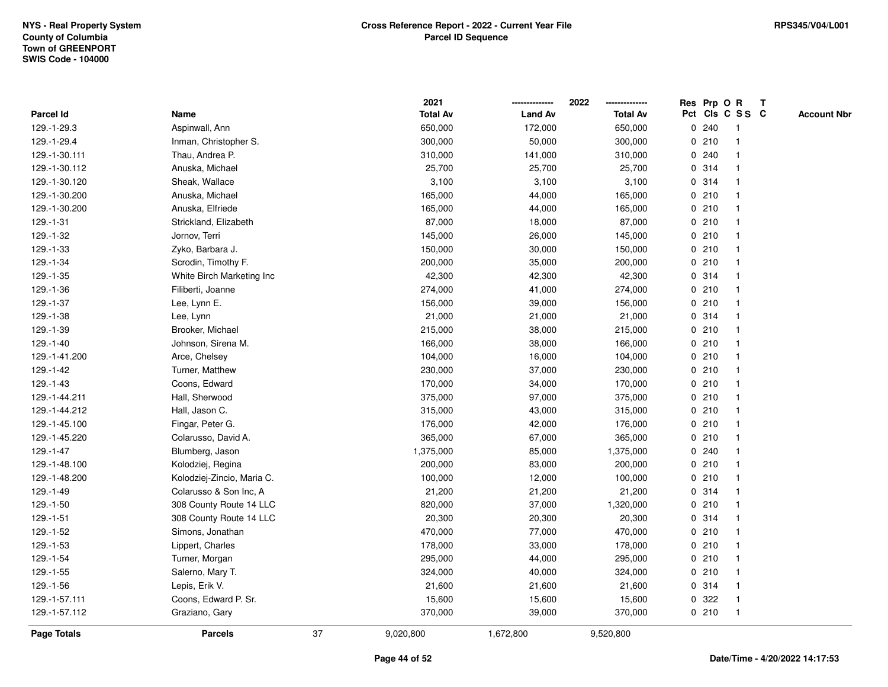|               |                            |    | 2021            |                | 2022            | Res Prp O R |                 | Т |                    |
|---------------|----------------------------|----|-----------------|----------------|-----------------|-------------|-----------------|---|--------------------|
| Parcel Id     | Name                       |    | <b>Total Av</b> | <b>Land Av</b> | <b>Total Av</b> |             | Pct Cls C S S C |   | <b>Account Nbr</b> |
| 129.-1-29.3   | Aspinwall, Ann             |    | 650,000         | 172,000        | 650,000         | 0.240       | $\mathbf{1}$    |   |                    |
| 129.-1-29.4   | Inman, Christopher S.      |    | 300,000         | 50,000         | 300,000         | 0210        | 1               |   |                    |
| 129.-1-30.111 | Thau, Andrea P.            |    | 310,000         | 141,000        | 310,000         | 0.240       | $\mathbf{1}$    |   |                    |
| 129.-1-30.112 | Anuska, Michael            |    | 25,700          | 25,700         | 25,700          | 0.314       |                 |   |                    |
| 129.-1-30.120 | Sheak, Wallace             |    | 3,100           | 3,100          | 3,100           | 0.314       |                 |   |                    |
| 129.-1-30.200 | Anuska, Michael            |    | 165,000         | 44,000         | 165,000         | 0210        |                 |   |                    |
| 129.-1-30.200 | Anuska, Elfriede           |    | 165,000         | 44,000         | 165,000         | 0210        | $\mathbf{1}$    |   |                    |
| 129.-1-31     | Strickland, Elizabeth      |    | 87,000          | 18,000         | 87,000          | 0210        | $\mathbf{1}$    |   |                    |
| 129.-1-32     | Jornov, Terri              |    | 145,000         | 26,000         | 145,000         | 0210        | 1               |   |                    |
| 129.-1-33     | Zyko, Barbara J.           |    | 150,000         | 30,000         | 150,000         | 0210        | $\mathbf{1}$    |   |                    |
| 129.-1-34     | Scrodin, Timothy F.        |    | 200,000         | 35,000         | 200,000         | 0210        | $\mathbf 1$     |   |                    |
| 129.-1-35     | White Birch Marketing Inc  |    | 42,300          | 42,300         | 42,300          | 0.314       |                 |   |                    |
| 129.-1-36     | Filiberti, Joanne          |    | 274,000         | 41,000         | 274,000         | 0210        |                 |   |                    |
| 129.-1-37     | Lee, Lynn E.               |    | 156,000         | 39,000         | 156,000         | 0210        | 1               |   |                    |
| 129.-1-38     | Lee, Lynn                  |    | 21,000          | 21,000         | 21,000          | 0.314       | $\mathbf{1}$    |   |                    |
| 129.-1-39     | Brooker, Michael           |    | 215,000         | 38,000         | 215,000         | 0210        | $\mathbf{1}$    |   |                    |
| 129.-1-40     | Johnson, Sirena M.         |    | 166,000         | 38,000         | 166,000         | 0210        | $\mathbf{1}$    |   |                    |
| 129.-1-41.200 | Arce, Chelsey              |    | 104,000         | 16,000         | 104,000         | 0210        | 1               |   |                    |
| 129.-1-42     | Turner, Matthew            |    | 230,000         | 37,000         | 230,000         | 0210        | 1               |   |                    |
| 129.-1-43     | Coons, Edward              |    | 170,000         | 34,000         | 170,000         | 0210        |                 |   |                    |
| 129.-1-44.211 | Hall, Sherwood             |    | 375,000         | 97,000         | 375,000         | 0210        | $\mathbf{1}$    |   |                    |
| 129.-1-44.212 | Hall, Jason C.             |    | 315,000         | 43,000         | 315,000         | 0210        | $\mathbf{1}$    |   |                    |
| 129.-1-45.100 | Fingar, Peter G.           |    | 176,000         | 42,000         | 176,000         | 0210        | $\mathbf{1}$    |   |                    |
| 129.-1-45.220 | Colarusso, David A.        |    | 365,000         | 67,000         | 365,000         | 0210        | $\mathbf{1}$    |   |                    |
| $129.-1-47$   | Blumberg, Jason            |    | 1,375,000       | 85,000         | 1,375,000       | 0.240       | $\mathbf 1$     |   |                    |
| 129.-1-48.100 | Kolodziej, Regina          |    | 200,000         | 83,000         | 200,000         | 0210        |                 |   |                    |
| 129.-1-48.200 | Kolodziej-Zincio, Maria C. |    | 100,000         | 12,000         | 100,000         | 0210        |                 |   |                    |
| 129.-1-49     | Colarusso & Son Inc, A     |    | 21,200          | 21,200         | 21,200          | 0.314       | $\mathbf{1}$    |   |                    |
| 129.-1-50     | 308 County Route 14 LLC    |    | 820,000         | 37,000         | 1,320,000       | 0210        | $\mathbf{1}$    |   |                    |
| $129.-1-51$   | 308 County Route 14 LLC    |    | 20,300          | 20,300         | 20,300          | 0.314       | $\mathbf{1}$    |   |                    |
| 129.-1-52     | Simons, Jonathan           |    | 470,000         | 77,000         | 470,000         | 0210        | 1               |   |                    |
| 129.-1-53     | Lippert, Charles           |    | 178,000         | 33,000         | 178,000         | 0210        | $\mathbf 1$     |   |                    |
| 129.-1-54     | Turner, Morgan             |    | 295,000         | 44,000         | 295,000         | 0210        |                 |   |                    |
| 129.-1-55     | Salerno, Mary T.           |    | 324,000         | 40,000         | 324,000         | 0210        |                 |   |                    |
| 129.-1-56     | Lepis, Erik V.             |    | 21,600          | 21,600         | 21,600          | 0.314       | $\mathbf 1$     |   |                    |
| 129.-1-57.111 | Coons, Edward P. Sr.       |    | 15,600          | 15,600         | 15,600          | 0.322       | $\mathbf{1}$    |   |                    |
| 129.-1-57.112 | Graziano, Gary             |    | 370,000         | 39,000         | 370,000         | 0210        | $\mathbf{1}$    |   |                    |
| Page Totals   | <b>Parcels</b>             | 37 | 9,020,800       | 1,672,800      | 9,520,800       |             |                 |   |                    |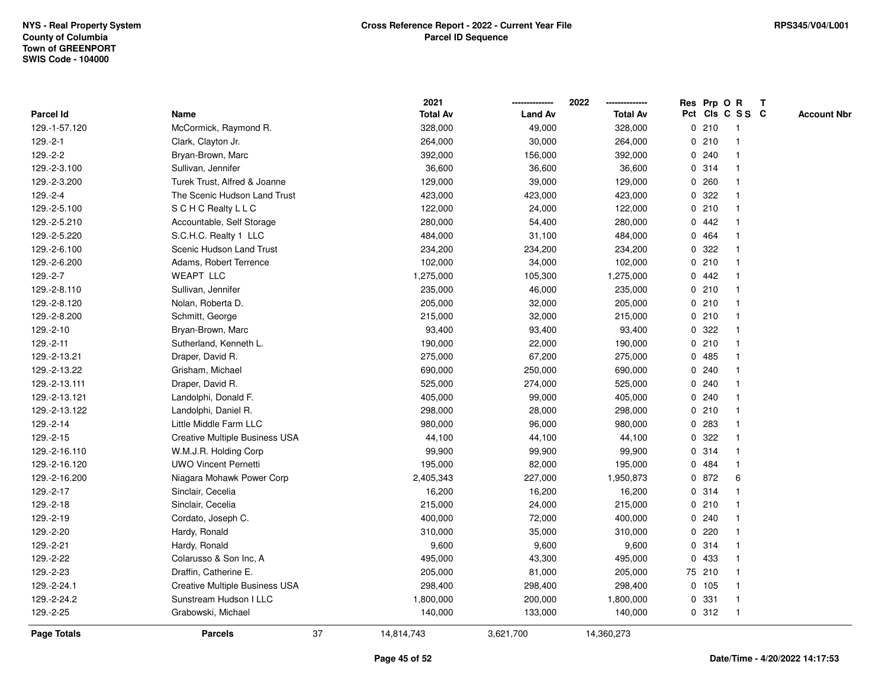|               |                                       |    | 2021            |                | 2022            |             |        | Res Prp O R     | T |                    |
|---------------|---------------------------------------|----|-----------------|----------------|-----------------|-------------|--------|-----------------|---|--------------------|
| Parcel Id     | Name                                  |    | <b>Total Av</b> | <b>Land Av</b> | <b>Total Av</b> |             |        | Pct Cls C S S C |   | <b>Account Nbr</b> |
| 129.-1-57.120 | McCormick, Raymond R.                 |    | 328,000         | 49,000         | 328,000         |             | 0210   | -1              |   |                    |
| $129.-2-1$    | Clark, Clayton Jr.                    |    | 264,000         | 30,000         | 264,000         | 0           | 210    | $\overline{1}$  |   |                    |
| 129.-2-2      | Bryan-Brown, Marc                     |    | 392,000         | 156,000        | 392,000         |             | 0.240  | $\mathbf{1}$    |   |                    |
| 129.-2-3.100  | Sullivan, Jennifer                    |    | 36,600          | 36,600         | 36,600          |             | 0 314  |                 |   |                    |
| 129.-2-3.200  | Turek Trust, Alfred & Joanne          |    | 129,000         | 39,000         | 129,000         |             | 0.260  |                 |   |                    |
| 129.-2-4      | The Scenic Hudson Land Trust          |    | 423,000         | 423,000        | 423,000         |             | 0.322  |                 |   |                    |
| 129.-2-5.100  | <b>SCHC Realty LLC</b>                |    | 122,000         | 24,000         | 122,000         |             | 0210   |                 |   |                    |
| 129.-2-5.210  | Accountable, Self Storage             |    | 280,000         | 54,400         | 280,000         | 0           | 442    |                 |   |                    |
| 129.-2-5.220  | S.C.H.C. Realty 1 LLC                 |    | 484,000         | 31,100         | 484,000         |             | 0 464  | -1              |   |                    |
| 129.-2-6.100  | Scenic Hudson Land Trust              |    | 234,200         | 234,200        | 234,200         |             | 0.322  | 1               |   |                    |
| 129.-2-6.200  | Adams, Robert Terrence                |    | 102,000         | 34,000         | 102,000         |             | 0210   |                 |   |                    |
| 129.-2-7      | <b>WEAPT LLC</b>                      |    | 1,275,000       | 105,300        | 1,275,000       |             | 0.442  |                 |   |                    |
| 129.-2-8.110  | Sullivan, Jennifer                    |    | 235,000         | 46,000         | 235,000         |             | 0210   |                 |   |                    |
| 129.-2-8.120  | Nolan, Roberta D.                     |    | 205,000         | 32,000         | 205,000         |             | 0210   |                 |   |                    |
| 129.-2-8.200  | Schmitt, George                       |    | 215,000         | 32,000         | 215,000         | $\mathbf 0$ | 210    |                 |   |                    |
| 129.-2-10     | Bryan-Brown, Marc                     |    | 93,400          | 93,400         | 93,400          | 0           | 322    |                 |   |                    |
| 129.-2-11     | Sutherland, Kenneth L.                |    | 190,000         | 22,000         | 190,000         |             | 0210   | $\mathbf 1$     |   |                    |
| 129.-2-13.21  | Draper, David R.                      |    | 275,000         | 67,200         | 275,000         |             | 0.485  |                 |   |                    |
| 129.-2-13.22  | Grisham, Michael                      |    | 690,000         | 250,000        | 690,000         |             | 0.240  |                 |   |                    |
| 129.-2-13.111 | Draper, David R.                      |    | 525,000         | 274,000        | 525,000         |             | 0.240  |                 |   |                    |
| 129.-2-13.121 | Landolphi, Donald F.                  |    | 405,000         | 99,000         | 405,000         |             | 0.240  |                 |   |                    |
| 129.-2-13.122 | Landolphi, Daniel R.                  |    | 298,000         | 28,000         | 298,000         | 0           | 210    |                 |   |                    |
| 129.-2-14     | Little Middle Farm LLC                |    | 980,000         | 96,000         | 980,000         | $\mathbf 0$ | 283    | $\overline{1}$  |   |                    |
| 129.-2-15     | <b>Creative Multiple Business USA</b> |    | 44,100          | 44,100         | 44,100          |             | 0 322  |                 |   |                    |
| 129.-2-16.110 | W.M.J.R. Holding Corp                 |    | 99,900          | 99,900         | 99,900          |             | 0.314  |                 |   |                    |
| 129.-2-16.120 | <b>UWO Vincent Pernetti</b>           |    | 195,000         | 82,000         | 195,000         |             | 0 484  |                 |   |                    |
| 129.-2-16.200 | Niagara Mohawk Power Corp             |    | 2,405,343       | 227,000        | 1,950,873       |             | 0 872  | 6               |   |                    |
| 129.-2-17     | Sinclair, Cecelia                     |    | 16,200          | 16,200         | 16,200          |             | 0 314  |                 |   |                    |
| 129.-2-18     | Sinclair, Cecelia                     |    | 215,000         | 24,000         | 215,000         | $\mathbf 0$ | 210    |                 |   |                    |
| 129.-2-19     | Cordato, Joseph C.                    |    | 400,000         | 72,000         | 400,000         |             | 0.240  |                 |   |                    |
| 129.-2-20     | Hardy, Ronald                         |    | 310,000         | 35,000         | 310,000         | $\mathbf 0$ | 220    | $\mathbf{1}$    |   |                    |
| 129.-2-21     | Hardy, Ronald                         |    | 9,600           | 9,600          | 9,600           |             | 0.314  |                 |   |                    |
| 129.-2-22     | Colarusso & Son Inc, A                |    | 495,000         | 43,300         | 495,000         |             | 0 433  |                 |   |                    |
| 129.-2-23     | Draffin, Catherine E.                 |    | 205,000         | 81,000         | 205,000         |             | 75 210 |                 |   |                    |
| 129.-2-24.1   | <b>Creative Multiple Business USA</b> |    | 298,400         | 298,400        | 298,400         |             | 0 105  |                 |   |                    |
| 129.-2-24.2   | Sunstream Hudson I LLC                |    | 1,800,000       | 200,000        | 1,800,000       | 0           | 331    | $\overline{1}$  |   |                    |
| 129.-2-25     | Grabowski, Michael                    |    | 140,000         | 133,000        | 140,000         |             | 0.312  | $\overline{1}$  |   |                    |
| Page Totals   | <b>Parcels</b>                        | 37 | 14,814,743      | 3,621,700      | 14,360,273      |             |        |                 |   |                    |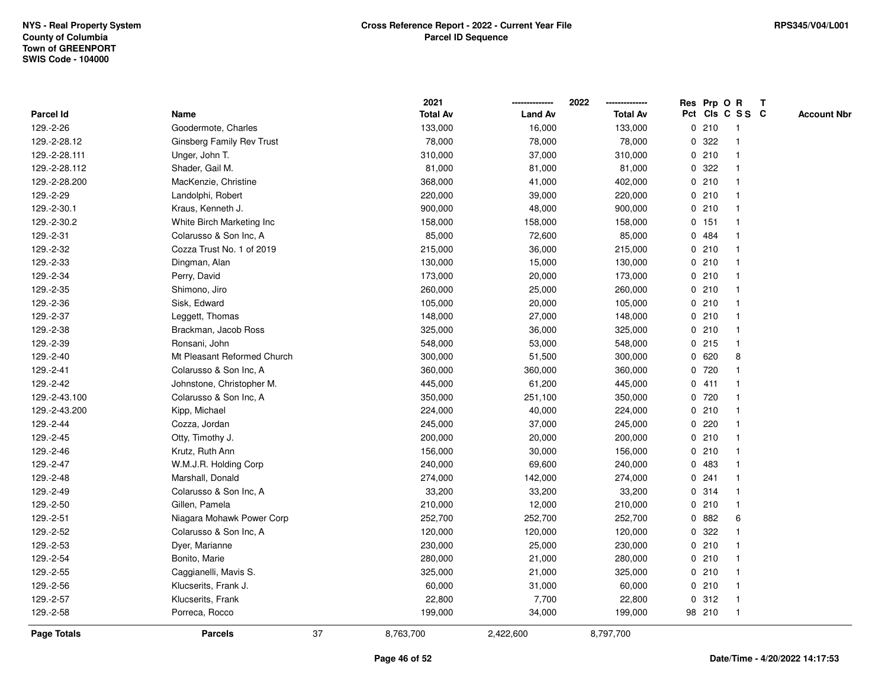|                    |                             |    | 2021            |                | 2022<br>-------------- |              | Res Prp O R |                 | T |                    |
|--------------------|-----------------------------|----|-----------------|----------------|------------------------|--------------|-------------|-----------------|---|--------------------|
| <b>Parcel Id</b>   | Name                        |    | <b>Total Av</b> | <b>Land Av</b> | <b>Total Av</b>        |              |             | Pct Cls C S S C |   | <b>Account Nbr</b> |
| 129.-2-26          | Goodermote, Charles         |    | 133,000         | 16,000         | 133,000                | 0            | 210         | -1              |   |                    |
| 129.-2-28.12       | Ginsberg Family Rev Trust   |    | 78,000          | 78,000         | 78,000                 | 0            | 322         |                 |   |                    |
| 129.-2-28.111      | Unger, John T.              |    | 310,000         | 37,000         | 310,000                |              | 0210        |                 |   |                    |
| 129.-2-28.112      | Shader, Gail M.             |    | 81,000          | 81,000         | 81,000                 | $\mathbf 0$  | 322         |                 |   |                    |
| 129.-2-28.200      | MacKenzie, Christine        |    | 368,000         | 41,000         | 402,000                | 0            | 210         | $\mathbf 1$     |   |                    |
| 129.-2-29          | Landolphi, Robert           |    | 220,000         | 39,000         | 220,000                |              | 0210        | $\mathbf{1}$    |   |                    |
| 129.-2-30.1        | Kraus, Kenneth J.           |    | 900,000         | 48,000         | 900,000                |              | 0210        |                 |   |                    |
| 129.-2-30.2        | White Birch Marketing Inc   |    | 158,000         | 158,000        | 158,000                |              | $0$ 151     |                 |   |                    |
| 129.-2-31          | Colarusso & Son Inc, A      |    | 85,000          | 72,600         | 85,000                 |              | 0 484       |                 |   |                    |
| 129.-2-32          | Cozza Trust No. 1 of 2019   |    | 215,000         | 36,000         | 215,000                |              | 0210        |                 |   |                    |
| 129.-2-33          | Dingman, Alan               |    | 130,000         | 15,000         | 130,000                | 0            | 210         |                 |   |                    |
| 129.-2-34          | Perry, David                |    | 173,000         | 20,000         | 173,000                | $\mathbf{0}$ | 210         | -1              |   |                    |
| 129.-2-35          | Shimono, Jiro               |    | 260,000         | 25,000         | 260,000                |              | 0210        | $\mathbf{1}$    |   |                    |
| 129.-2-36          | Sisk, Edward                |    | 105,000         | 20,000         | 105,000                |              | 0210        |                 |   |                    |
| 129.-2-37          | Leggett, Thomas             |    | 148,000         | 27,000         | 148,000                |              | 0210        |                 |   |                    |
| 129.-2-38          | Brackman, Jacob Ross        |    | 325,000         | 36,000         | 325,000                |              | 0210        |                 |   |                    |
| 129.-2-39          | Ronsani, John               |    | 548,000         | 53,000         | 548,000                | $\mathbf 0$  | 215         |                 |   |                    |
| 129.-2-40          | Mt Pleasant Reformed Church |    | 300,000         | 51,500         | 300,000                | 0            | 620         | 8               |   |                    |
| 129.-2-41          | Colarusso & Son Inc, A      |    | 360,000         | 360,000        | 360,000                | $\mathbf 0$  | 720         | $\mathbf{1}$    |   |                    |
| 129.-2-42          | Johnstone, Christopher M.   |    | 445,000         | 61,200         | 445,000                |              | 0411        |                 |   |                    |
| 129.-2-43.100      | Colarusso & Son Inc, A      |    | 350,000         | 251,100        | 350,000                |              | 0 720       |                 |   |                    |
| 129.-2-43.200      | Kipp, Michael               |    | 224,000         | 40,000         | 224,000                |              | 0210        |                 |   |                    |
| 129.-2-44          | Cozza, Jordan               |    | 245,000         | 37,000         | 245,000                |              | 0.220       |                 |   |                    |
| 129.-2-45          | Otty, Timothy J.            |    | 200,000         | 20,000         | 200,000                | 0            | 210         |                 |   |                    |
| 129.-2-46          | Krutz, Ruth Ann             |    | 156,000         | 30,000         | 156,000                | $\mathbf{0}$ | 210         | $\overline{1}$  |   |                    |
| 129.-2-47          | W.M.J.R. Holding Corp       |    | 240,000         | 69,600         | 240,000                |              | 0 483       | -1              |   |                    |
| 129.-2-48          | Marshall, Donald            |    | 274,000         | 142,000        | 274,000                |              | 0.241       |                 |   |                    |
| 129.-2-49          | Colarusso & Son Inc, A      |    | 33,200          | 33,200         | 33,200                 |              | 0.314       |                 |   |                    |
| 129.-2-50          | Gillen, Pamela              |    | 210,000         | 12,000         | 210,000                |              | 0210        |                 |   |                    |
| 129.-2-51          | Niagara Mohawk Power Corp   |    | 252,700         | 252,700        | 252,700                | $\mathbf 0$  | 882         | 6               |   |                    |
| 129.-2-52          | Colarusso & Son Inc, A      |    | 120,000         | 120,000        | 120,000                | 0            | 322         |                 |   |                    |
| 129.-2-53          | Dyer, Marianne              |    | 230,000         | 25,000         | 230,000                | $\mathbf 0$  | 210         | $\mathbf{1}$    |   |                    |
| 129.-2-54          | Bonito, Marie               |    | 280,000         | 21,000         | 280,000                |              | 0210        |                 |   |                    |
| 129.-2-55          | Caggianelli, Mavis S.       |    | 325,000         | 21,000         | 325,000                |              | 0210        |                 |   |                    |
| 129.-2-56          | Klucserits, Frank J.        |    | 60,000          | 31,000         | 60,000                 |              | 0210        |                 |   |                    |
| 129.-2-57          | Klucserits, Frank           |    | 22,800          | 7,700          | 22,800                 |              | 0.312       | $\overline{1}$  |   |                    |
| 129.-2-58          | Porreca, Rocco              |    | 199,000         | 34,000         | 199,000                |              | 98 210      | $\overline{1}$  |   |                    |
| <b>Page Totals</b> | <b>Parcels</b>              | 37 | 8,763,700       | 2,422,600      | 8,797,700              |              |             |                 |   |                    |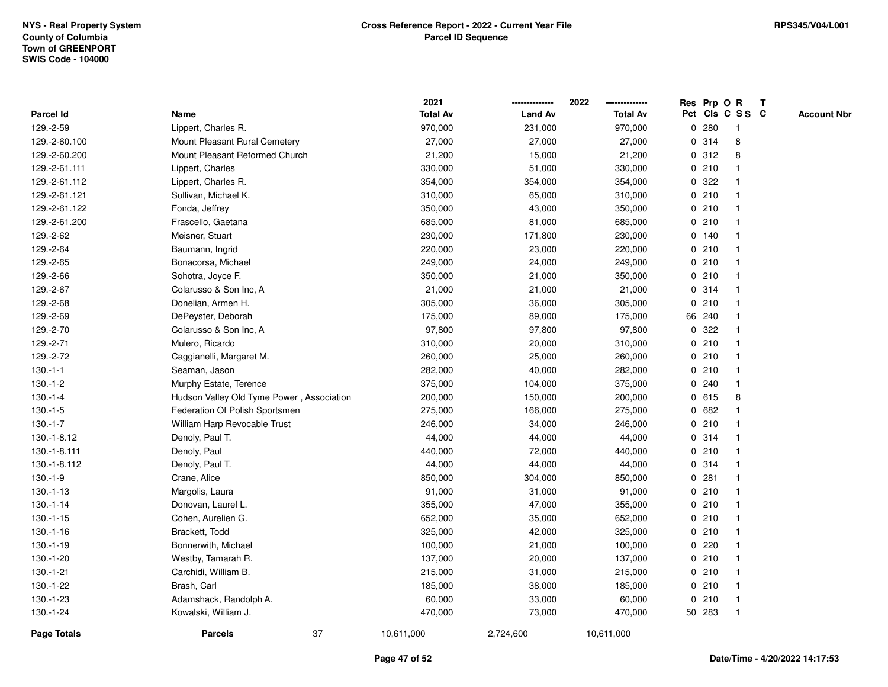|                    |                                           | 2021            |                | 2022            |             |        | Res Prp O R             | Т |                    |
|--------------------|-------------------------------------------|-----------------|----------------|-----------------|-------------|--------|-------------------------|---|--------------------|
| Parcel Id          | Name                                      | <b>Total Av</b> | <b>Land Av</b> | <b>Total Av</b> |             |        | Pct Cls C S S C         |   | <b>Account Nbr</b> |
| 129.-2-59          | Lippert, Charles R.                       | 970,000         | 231,000        | 970,000         | 0           | 280    | $\mathbf{1}$            |   |                    |
| 129.-2-60.100      | Mount Pleasant Rural Cemetery             | 27,000          | 27,000         | 27,000          | 0           | 314    | 8                       |   |                    |
| 129.-2-60.200      | Mount Pleasant Reformed Church            | 21,200          | 15,000         | 21,200          |             | 0.312  | 8                       |   |                    |
| 129.-2-61.111      | Lippert, Charles                          | 330,000         | 51,000         | 330,000         |             | 0210   |                         |   |                    |
| 129.-2-61.112      | Lippert, Charles R.                       | 354,000         | 354,000        | 354,000         |             | 0 322  |                         |   |                    |
| 129.-2-61.121      | Sullivan, Michael K.                      | 310,000         | 65,000         | 310,000         |             | 0210   |                         |   |                    |
| 129.-2-61.122      | Fonda, Jeffrey                            | 350,000         | 43,000         | 350,000         |             | 0210   |                         |   |                    |
| 129.-2-61.200      | Frascello, Gaetana                        | 685,000         | 81,000         | 685,000         |             | 0210   |                         |   |                    |
| 129.-2-62          | Meisner, Stuart                           | 230,000         | 171,800        | 230,000         |             | 0, 140 | -1                      |   |                    |
| 129.-2-64          | Baumann, Ingrid                           | 220,000         | 23,000         | 220,000         |             | 0210   | $\mathbf 1$             |   |                    |
| 129.-2-65          | Bonacorsa, Michael                        | 249,000         | 24,000         | 249,000         |             | 0210   | -1                      |   |                    |
| 129.-2-66          | Sohotra, Joyce F.                         | 350,000         | 21,000         | 350,000         |             | 0210   |                         |   |                    |
| 129.-2-67          | Colarusso & Son Inc, A                    | 21,000          | 21,000         | 21,000          |             | 0.314  |                         |   |                    |
| 129.-2-68          | Donelian, Armen H.                        | 305,000         | 36,000         | 305,000         |             | 0210   |                         |   |                    |
| 129.-2-69          | DePeyster, Deborah                        | 175,000         | 89,000         | 175,000         |             | 66 240 |                         |   |                    |
| 129.-2-70          | Colarusso & Son Inc, A                    | 97,800          | 97,800         | 97,800          | $\mathbf 0$ | 322    |                         |   |                    |
| 129.-2-71          | Mulero, Ricardo                           | 310,000         | 20,000         | 310,000         |             | 0210   | $\mathbf{1}$            |   |                    |
| 129.-2-72          | Caggianelli, Margaret M.                  | 260,000         | 25,000         | 260,000         |             | 0210   |                         |   |                    |
| $130.-1-1$         | Seaman, Jason                             | 282,000         | 40,000         | 282,000         |             | 0210   |                         |   |                    |
| $130.-1-2$         | Murphy Estate, Terence                    | 375,000         | 104,000        | 375,000         |             | 0.240  |                         |   |                    |
| $130.-1-4$         | Hudson Valley Old Tyme Power, Association | 200,000         | 150,000        | 200,000         |             | 0 615  | 8                       |   |                    |
| $130.-1-5$         | Federation Of Polish Sportsmen            | 275,000         | 166,000        | 275,000         |             | 0 682  |                         |   |                    |
| $130.-1-7$         | William Harp Revocable Trust              | 246,000         | 34,000         | 246,000         |             | 0210   | $\mathbf{1}$            |   |                    |
| 130.-1-8.12        | Denoly, Paul T.                           | 44,000          | 44,000         | 44,000          |             | 0.314  | -1                      |   |                    |
| 130.-1-8.111       | Denoly, Paul                              | 440,000         | 72,000         | 440,000         |             | 0210   | -1                      |   |                    |
| 130.-1-8.112       | Denoly, Paul T.                           | 44,000          | 44,000         | 44,000          |             | 0.314  |                         |   |                    |
| $130.-1-9$         | Crane, Alice                              | 850,000         | 304,000        | 850,000         |             | 0.281  |                         |   |                    |
| $130.-1-13$        | Margolis, Laura                           | 91,000          | 31,000         | 91,000          |             | 0210   | -1                      |   |                    |
| $130.-1-14$        | Donovan, Laurel L.                        | 355,000         | 47,000         | 355,000         |             | 0210   | $\overline{\mathbf{1}}$ |   |                    |
| $130.-1-15$        | Cohen, Aurelien G.                        | 652,000         | 35,000         | 652,000         |             | 0210   | -1                      |   |                    |
| $130.-1-16$        | Brackett, Todd                            | 325,000         | 42,000         | 325,000         |             | 0210   | -1                      |   |                    |
| $130.-1-19$        | Bonnerwith, Michael                       | 100,000         | 21,000         | 100,000         |             | 0.220  | -1                      |   |                    |
| 130.-1-20          | Westby, Tamarah R.                        | 137,000         | 20,000         | 137,000         |             | 0210   |                         |   |                    |
| $130.-1-21$        | Carchidi, William B.                      | 215,000         | 31,000         | 215,000         |             | 0210   |                         |   |                    |
| 130.-1-22          | Brash, Carl                               | 185,000         | 38,000         | 185,000         |             | 0210   | $\mathbf 1$             |   |                    |
| 130.-1-23          | Adamshack, Randolph A.                    | 60,000          | 33,000         | 60,000          |             | 0210   | $\mathbf 1$             |   |                    |
| 130.-1-24          | Kowalski, William J.                      | 470,000         | 73,000         | 470,000         |             | 50 283 | $\mathbf{1}$            |   |                    |
| <b>Page Totals</b> | 37<br><b>Parcels</b>                      | 10,611,000      | 2,724,600      | 10,611,000      |             |        |                         |   |                    |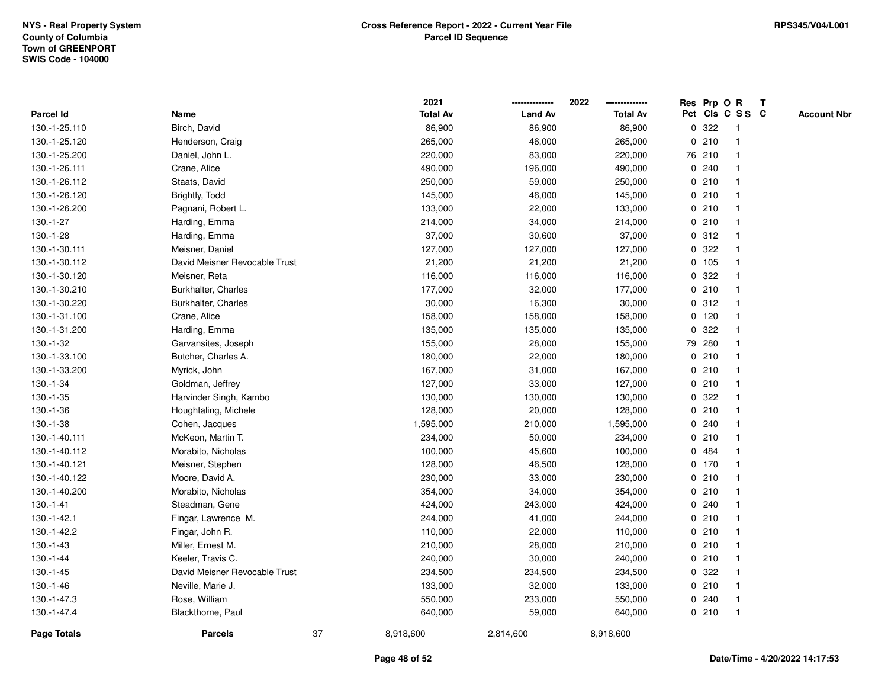|                    |                               |    | 2021            |                | 2022            |   | Res Prp O | $\mathbf R$             | $\mathbf{T}$ |                    |
|--------------------|-------------------------------|----|-----------------|----------------|-----------------|---|-----------|-------------------------|--------------|--------------------|
| <b>Parcel Id</b>   | Name                          |    | <b>Total Av</b> | <b>Land Av</b> | <b>Total Av</b> |   |           | Pct Cls C S S C         |              | <b>Account Nbr</b> |
| 130.-1-25.110      | Birch, David                  |    | 86,900          | 86,900         | 86,900          | 0 | 322       |                         |              |                    |
| 130.-1-25.120      | Henderson, Craig              |    | 265,000         | 46,000         | 265,000         | 0 | 210       |                         |              |                    |
| 130.-1-25.200      | Daniel, John L.               |    | 220,000         | 83,000         | 220,000         |   | 76 210    |                         |              |                    |
| 130.-1-26.111      | Crane, Alice                  |    | 490,000         | 196,000        | 490,000         | 0 | 240       |                         |              |                    |
| 130.-1-26.112      | Staats, David                 |    | 250,000         | 59,000         | 250,000         |   | 0210      |                         |              |                    |
| 130.-1-26.120      | Brightly, Todd                |    | 145,000         | 46,000         | 145,000         |   | 0210      |                         |              |                    |
| 130.-1-26.200      | Pagnani, Robert L.            |    | 133,000         | 22,000         | 133,000         |   | 0210      |                         |              |                    |
| 130.-1-27          | Harding, Emma                 |    | 214,000         | 34,000         | 214,000         |   | 0210      |                         |              |                    |
| $130.-1-28$        | Harding, Emma                 |    | 37,000          | 30,600         | 37,000          |   | 0.312     |                         |              |                    |
| 130.-1-30.111      | Meisner, Daniel               |    | 127,000         | 127,000        | 127,000         | 0 | 322       |                         |              |                    |
| 130.-1-30.112      | David Meisner Revocable Trust |    | 21,200          | 21,200         | 21,200          |   | 0 105     | $\overline{\mathbf{1}}$ |              |                    |
| 130.-1-30.120      | Meisner, Reta                 |    | 116,000         | 116,000        | 116,000         | 0 | 322       | -1                      |              |                    |
| 130.-1-30.210      | Burkhalter, Charles           |    | 177,000         | 32,000         | 177,000         |   | 0210      |                         |              |                    |
| 130.-1-30.220      | Burkhalter, Charles           |    | 30,000          | 16,300         | 30,000          |   | 0.312     |                         |              |                    |
| 130.-1-31.100      | Crane, Alice                  |    | 158,000         | 158,000        | 158,000         |   | $0$ 120   |                         |              |                    |
| 130.-1-31.200      | Harding, Emma                 |    | 135,000         | 135,000        | 135,000         | 0 | 322       |                         |              |                    |
| 130.-1-32          | Garvansites, Joseph           |    | 155,000         | 28,000         | 155,000         |   | 79 280    |                         |              |                    |
| 130.-1-33.100      | Butcher, Charles A.           |    | 180,000         | 22,000         | 180,000         | 0 | 210       |                         |              |                    |
| 130.-1-33.200      | Myrick, John                  |    | 167,000         | 31,000         | 167,000         |   | 0210      |                         |              |                    |
| 130.-1-34          | Goldman, Jeffrey              |    | 127,000         | 33,000         | 127,000         |   | 0210      |                         |              |                    |
| $130.-1-35$        | Harvinder Singh, Kambo        |    | 130,000         | 130,000        | 130,000         |   | 0 322     |                         |              |                    |
| 130.-1-36          | Houghtaling, Michele          |    | 128,000         | 20,000         | 128,000         |   | 0210      |                         |              |                    |
| 130.-1-38          | Cohen, Jacques                |    | 1,595,000       | 210,000        | 1,595,000       |   | 0.240     |                         |              |                    |
| 130.-1-40.111      | McKeon, Martin T.             |    | 234,000         | 50,000         | 234,000         | 0 | 210       |                         |              |                    |
| 130.-1-40.112      | Morabito, Nicholas            |    | 100,000         | 45,600         | 100,000         |   | 0 484     |                         |              |                    |
| 130.-1-40.121      | Meisner, Stephen              |    | 128,000         | 46,500         | 128,000         |   | $0$ 170   |                         |              |                    |
| 130.-1-40.122      | Moore, David A.               |    | 230,000         | 33,000         | 230,000         |   | 0210      |                         |              |                    |
| 130.-1-40.200      | Morabito, Nicholas            |    | 354,000         | 34,000         | 354,000         |   | 0210      |                         |              |                    |
| 130.-1-41          | Steadman, Gene                |    | 424,000         | 243,000        | 424,000         |   | 0.240     |                         |              |                    |
| 130.-1-42.1        | Fingar, Lawrence M.           |    | 244,000         | 41,000         | 244,000         |   | 0210      |                         |              |                    |
| 130.-1-42.2        | Fingar, John R.               |    | 110,000         | 22,000         | 110,000         | 0 | 210       |                         |              |                    |
| $130.-1-43$        | Miller, Ernest M.             |    | 210,000         | 28,000         | 210,000         | 0 | 210       |                         |              |                    |
| 130.-1-44          | Keeler, Travis C.             |    | 240,000         | 30,000         | 240,000         |   | 0210      |                         |              |                    |
| $130.-1-45$        | David Meisner Revocable Trust |    | 234,500         | 234,500        | 234,500         |   | 0.322     |                         |              |                    |
| $130.-1-46$        | Neville, Marie J.             |    | 133,000         | 32,000         | 133,000         |   | 0210      |                         |              |                    |
| 130.-1-47.3        | Rose, William                 |    | 550,000         | 233,000        | 550,000         |   | 0.240     |                         |              |                    |
| 130.-1-47.4        | Blackthorne, Paul             |    | 640,000         | 59,000         | 640,000         |   | 0210      |                         |              |                    |
| <b>Page Totals</b> | <b>Parcels</b>                | 37 | 8,918,600       | 2,814,600      | 8,918,600       |   |           |                         |              |                    |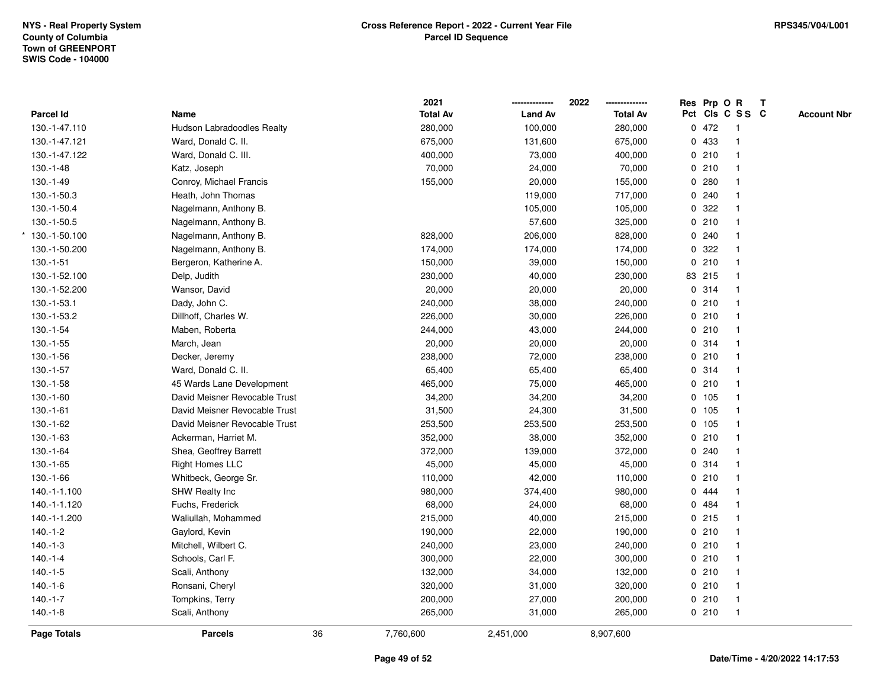|                   |                               | 2021            |                | 2022            | Res Prp O R |                 | $\mathbf{T}$ |                    |
|-------------------|-------------------------------|-----------------|----------------|-----------------|-------------|-----------------|--------------|--------------------|
| Parcel Id         | Name                          | <b>Total Av</b> | <b>Land Av</b> | <b>Total Av</b> |             | Pct Cls C S S C |              | <b>Account Nbr</b> |
| 130.-1-47.110     | Hudson Labradoodles Realty    | 280,000         | 100,000        | 280,000         | 0472        | $\overline{1}$  |              |                    |
| 130.-1-47.121     | Ward, Donald C. II.           | 675,000         | 131,600        | 675,000         | 0 433       | $\mathbf{1}$    |              |                    |
| 130.-1-47.122     | Ward, Donald C. III.          | 400,000         | 73,000         | 400,000         | 0210        | $\mathbf{1}$    |              |                    |
| $130.-1-48$       | Katz, Joseph                  | 70,000          | 24,000         | 70,000          | 0210        | $\mathbf{1}$    |              |                    |
| $130.-1-49$       | Conroy, Michael Francis       | 155,000         | 20,000         | 155,000         | 0.280       | $\mathbf{1}$    |              |                    |
| 130.-1-50.3       | Heath, John Thomas            |                 | 119,000        | 717,000         | 0.240       |                 |              |                    |
| 130.-1-50.4       | Nagelmann, Anthony B.         |                 | 105,000        | 105,000         | 0.322       | $\mathbf{1}$    |              |                    |
| 130.-1-50.5       | Nagelmann, Anthony B.         |                 | 57,600         | 325,000         | 0210        | $\mathbf{1}$    |              |                    |
| $*$ 130.-1-50.100 | Nagelmann, Anthony B.         | 828,000         | 206,000        | 828,000         | 0.240       | $\mathbf{1}$    |              |                    |
| 130.-1-50.200     | Nagelmann, Anthony B.         | 174,000         | 174,000        | 174,000         | 0 322       | $\mathbf{1}$    |              |                    |
| $130.-1-51$       | Bergeron, Katherine A.        | 150,000         | 39,000         | 150,000         | 0210        | $\mathbf{1}$    |              |                    |
| 130.-1-52.100     | Delp, Judith                  | 230,000         | 40,000         | 230,000         | 83 215      | $\mathbf{1}$    |              |                    |
| 130.-1-52.200     | Wansor, David                 | 20,000          | 20,000         | 20,000          | 0.314       |                 |              |                    |
| 130 - 1-53.1      | Dady, John C.                 | 240,000         | 38,000         | 240,000         | 0210        | $\mathbf{1}$    |              |                    |
| 130.-1-53.2       | Dillhoff, Charles W.          | 226,000         | 30,000         | 226,000         | 0210        | $\mathbf{1}$    |              |                    |
| 130.-1-54         | Maben, Roberta                | 244,000         | 43,000         | 244,000         | 0210        | $\mathbf{1}$    |              |                    |
| $130.-1-55$       | March, Jean                   | 20,000          | 20,000         | 20,000          | 0.314       | $\mathbf{1}$    |              |                    |
| 130.-1-56         | Decker, Jeremy                | 238,000         | 72,000         | 238,000         | 0210        | $\mathbf{1}$    |              |                    |
| 130.-1-57         | Ward, Donald C. II.           | 65,400          | 65,400         | 65,400          | 0.314       | $\mathbf{1}$    |              |                    |
| $130.-1-58$       | 45 Wards Lane Development     | 465,000         | 75,000         | 465,000         | 0210        | $\mathbf{1}$    |              |                    |
| $130.-1-60$       | David Meisner Revocable Trust | 34,200          | 34,200         | 34,200          | 0 105       | $\mathbf{1}$    |              |                    |
| $130.-1-61$       | David Meisner Revocable Trust | 31,500          | 24,300         | 31,500          | 0 105       | $\mathbf{1}$    |              |                    |
| 130.-1-62         | David Meisner Revocable Trust | 253,500         | 253,500        | 253,500         | 0, 105      | $\mathbf{1}$    |              |                    |
| $130.-1-63$       | Ackerman, Harriet M.          | 352,000         | 38,000         | 352,000         | 0210        | $\mathbf{1}$    |              |                    |
| $130.-1-64$       | Shea, Geoffrey Barrett        | 372,000         | 139,000        | 372,000         | 0.240       | $\mathbf{1}$    |              |                    |
| $130.-1-65$       | <b>Right Homes LLC</b>        | 45,000          | 45,000         | 45,000          | 0.314       | $\mathbf 1$     |              |                    |
| 130.-1-66         | Whitbeck, George Sr.          | 110,000         | 42,000         | 110,000         | 0210        |                 |              |                    |
| 140.-1-1.100      | SHW Realty Inc                | 980,000         | 374,400        | 980,000         | 0 444       | $\mathbf{1}$    |              |                    |
| 140.-1-1.120      | Fuchs, Frederick              | 68,000          | 24,000         | 68,000          | 0 484       | $\mathbf{1}$    |              |                    |
| 140.-1-1.200      | Waliullah, Mohammed           | 215,000         | 40,000         | 215,000         | 0215        | $\mathbf{1}$    |              |                    |
| $140.-1-2$        | Gaylord, Kevin                | 190,000         | 22,000         | 190,000         | 0210        | $\mathbf{1}$    |              |                    |
| $140.-1-3$        | Mitchell, Wilbert C.          | 240,000         | 23,000         | 240,000         | 0210        | $\mathbf{1}$    |              |                    |
| $140.-1-4$        | Schools, Carl F.              | 300,000         | 22,000         | 300,000         | 0210        | $\mathbf{1}$    |              |                    |
| $140.-1-5$        | Scali, Anthony                | 132,000         | 34,000         | 132,000         | 0210        | $\mathbf{1}$    |              |                    |
| $140.-1-6$        | Ronsani, Cheryl               | 320,000         | 31,000         | 320,000         | 0210        | $\mathbf{1}$    |              |                    |
| $140.-1-7$        | Tompkins, Terry               | 200,000         | 27,000         | 200,000         | 0210        | $\mathbf{1}$    |              |                    |
| $140.-1-8$        | Scali, Anthony                | 265,000         | 31,000         | 265,000         | 0210        | $\overline{1}$  |              |                    |
| Page Totals       | <b>Parcels</b>                | 36<br>7,760,600 | 2,451,000      | 8,907,600       |             |                 |              |                    |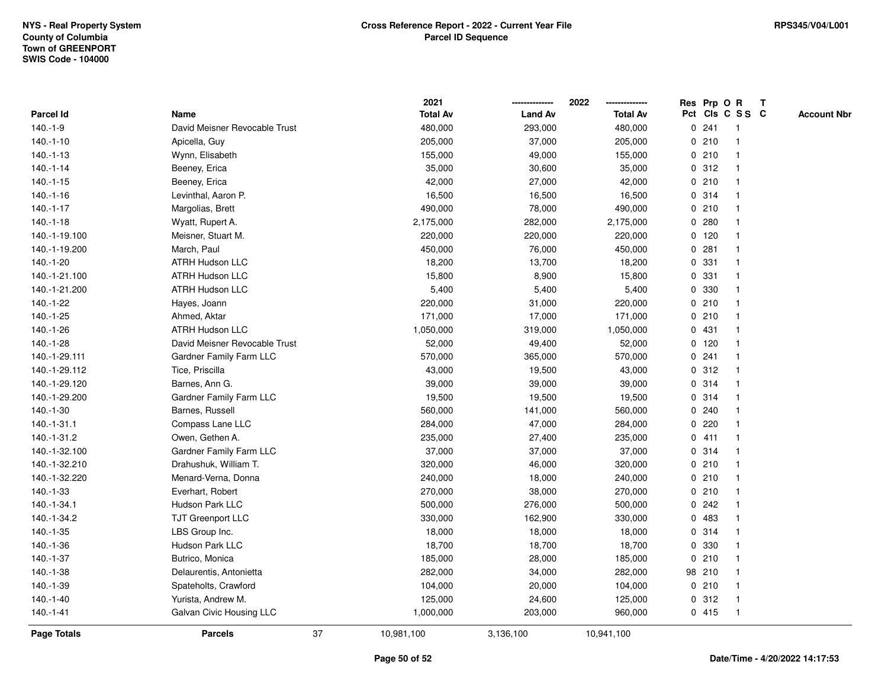|               |                               |    | 2021            |                | 2022            |              |         | Res Prp O R     | T |                    |
|---------------|-------------------------------|----|-----------------|----------------|-----------------|--------------|---------|-----------------|---|--------------------|
| Parcel Id     | Name                          |    | <b>Total Av</b> | <b>Land Av</b> | <b>Total Av</b> |              |         | Pct Cls C S S C |   | <b>Account Nbr</b> |
| $140.-1-9$    | David Meisner Revocable Trust |    | 480,000         | 293,000        | 480,000         | $\mathbf 0$  | 241     | $\mathbf{1}$    |   |                    |
| $140.-1-10$   | Apicella, Guy                 |    | 205,000         | 37,000         | 205,000         | 0            | 210     | -1              |   |                    |
| $140.-1-13$   | Wynn, Elisabeth               |    | 155,000         | 49,000         | 155,000         |              | 0210    | $\mathbf{1}$    |   |                    |
| $140.-1-14$   | Beeney, Erica                 |    | 35,000          | 30,600         | 35,000          |              | 0.312   |                 |   |                    |
| $140.-1-15$   | Beeney, Erica                 |    | 42,000          | 27,000         | 42,000          |              | 0210    |                 |   |                    |
| $140.-1-16$   | Levinthal, Aaron P.           |    | 16,500          | 16,500         | 16,500          |              | 0.314   |                 |   |                    |
| $140.-1-17$   | Margolias, Brett              |    | 490,000         | 78,000         | 490,000         |              | 0210    |                 |   |                    |
| $140.-1-18$   | Wyatt, Rupert A.              |    | 2,175,000       | 282,000        | 2,175,000       | $\mathbf 0$  | 280     |                 |   |                    |
| 140.-1-19.100 | Meisner, Stuart M.            |    | 220,000         | 220,000        | 220,000         |              | $0$ 120 | -1              |   |                    |
| 140.-1-19.200 | March, Paul                   |    | 450,000         | 76,000         | 450,000         |              | 0.281   | $\mathbf 1$     |   |                    |
| 140.-1-20     | <b>ATRH Hudson LLC</b>        |    | 18,200          | 13,700         | 18,200          |              | 0 331   |                 |   |                    |
| 140.-1-21.100 | <b>ATRH Hudson LLC</b>        |    | 15,800          | 8,900          | 15,800          |              | 0 331   |                 |   |                    |
| 140.-1-21.200 | ATRH Hudson LLC               |    | 5,400           | 5,400          | 5,400           |              | 0 330   |                 |   |                    |
| 140.-1-22     | Hayes, Joann                  |    | 220,000         | 31,000         | 220,000         |              | 0210    |                 |   |                    |
| $140.-1-25$   | Ahmed, Aktar                  |    | 171,000         | 17,000         | 171,000         | 0            | 210     | $\mathbf{1}$    |   |                    |
| 140.-1-26     | <b>ATRH Hudson LLC</b>        |    | 1,050,000       | 319,000        | 1,050,000       |              | 0431    | $\overline{1}$  |   |                    |
| 140.-1-28     | David Meisner Revocable Trust |    | 52,000          | 49,400         | 52,000          |              | $0$ 120 | $\mathbf{1}$    |   |                    |
| 140.-1-29.111 | Gardner Family Farm LLC       |    | 570,000         | 365,000        | 570,000         |              | 0.241   | 1               |   |                    |
| 140.-1-29.112 | Tice, Priscilla               |    | 43,000          | 19,500         | 43,000          |              | 0.312   |                 |   |                    |
| 140.-1-29.120 | Barnes, Ann G.                |    | 39,000          | 39,000         | 39,000          |              | 0.314   |                 |   |                    |
| 140.-1-29.200 | Gardner Family Farm LLC       |    | 19,500          | 19,500         | 19,500          |              | 0.314   |                 |   |                    |
| 140.-1-30     | Barnes, Russell               |    | 560,000         | 141,000        | 560,000         |              | 0.240   |                 |   |                    |
| 140.-1-31.1   | Compass Lane LLC              |    | 284,000         | 47,000         | 284,000         | 0            | 220     | -1              |   |                    |
| 140.-1-31.2   | Owen, Gethen A.               |    | 235,000         | 27,400         | 235,000         | $\mathbf{0}$ | 411     | $\overline{1}$  |   |                    |
| 140.-1-32.100 | Gardner Family Farm LLC       |    | 37,000          | 37,000         | 37,000          |              | 0 314   | -1              |   |                    |
| 140.-1-32.210 | Drahushuk, William T.         |    | 320,000         | 46,000         | 320,000         |              | 0210    |                 |   |                    |
| 140.-1-32.220 | Menard-Verna, Donna           |    | 240,000         | 18,000         | 240,000         |              | 0210    |                 |   |                    |
| 140.-1-33     | Everhart, Robert              |    | 270,000         | 38,000         | 270,000         |              | 0210    |                 |   |                    |
| 140.-1-34.1   | Hudson Park LLC               |    | 500,000         | 276,000        | 500,000         | 0            | 242     |                 |   |                    |
| 140.-1-34.2   | TJT Greenport LLC             |    | 330,000         | 162,900        | 330,000         | $\mathbf 0$  | 483     | 1               |   |                    |
| 140.-1-35     | LBS Group Inc.                |    | 18,000          | 18,000         | 18,000          |              | 0.314   | $\overline{1}$  |   |                    |
| 140.-1-36     | Hudson Park LLC               |    | 18,700          | 18,700         | 18,700          |              | 0 330   | $\mathbf 1$     |   |                    |
| 140.-1-37     | Butrico, Monica               |    | 185,000         | 28,000         | 185,000         |              | 0210    |                 |   |                    |
| 140.-1-38     | Delaurentis, Antonietta       |    | 282,000         | 34,000         | 282,000         |              | 98 210  |                 |   |                    |
| 140.-1-39     | Spateholts, Crawford          |    | 104,000         | 20,000         | 104,000         |              | 0210    |                 |   |                    |
| 140.-1-40     | Yurista, Andrew M.            |    | 125,000         | 24,600         | 125,000         | 0            | 312     | -1              |   |                    |
| $140.-1-41$   | Galvan Civic Housing LLC      |    | 1,000,000       | 203,000        | 960,000         |              | 0415    | $\overline{1}$  |   |                    |
| Page Totals   | <b>Parcels</b>                | 37 | 10,981,100      | 3,136,100      | 10,941,100      |              |         |                 |   |                    |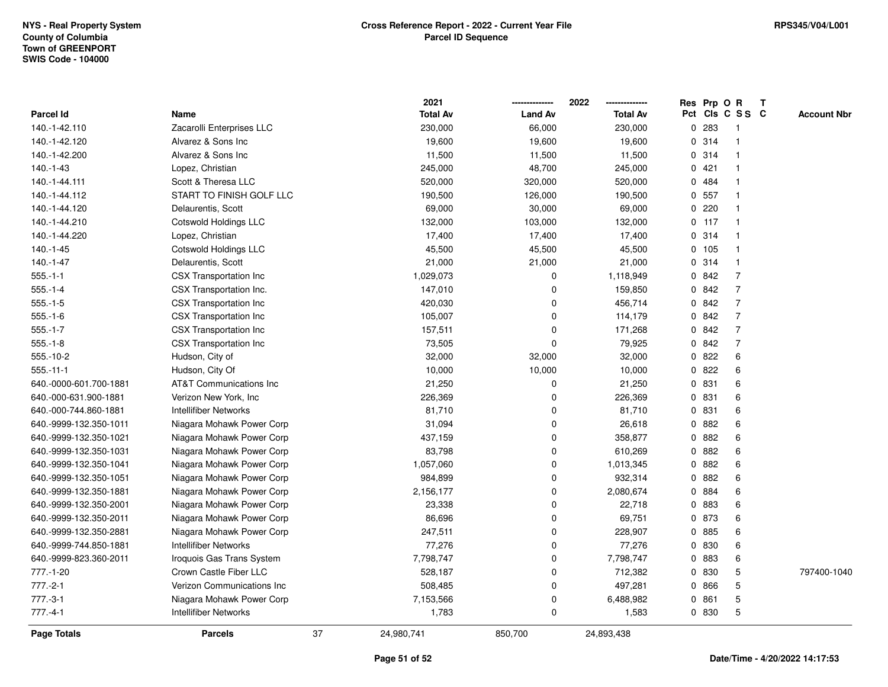|                        |                                    |    | 2021            |                | 2022            | Res Prp O R |                         | Т |                    |
|------------------------|------------------------------------|----|-----------------|----------------|-----------------|-------------|-------------------------|---|--------------------|
| <b>Parcel Id</b>       | Name                               |    | <b>Total Av</b> | <b>Land Av</b> | <b>Total Av</b> |             | Pct Cls C S S C         |   | <b>Account Nbr</b> |
| 140.-1-42.110          | Zacarolli Enterprises LLC          |    | 230,000         | 66,000         | 230,000         | 0 283       | $\mathbf{1}$            |   |                    |
| 140.-1-42.120          | Alvarez & Sons Inc                 |    | 19,600          | 19,600         | 19,600          | 0 314       | $\overline{\mathbf{1}}$ |   |                    |
| 140.-1-42.200          | Alvarez & Sons Inc                 |    | 11,500          | 11,500         | 11,500          | 0.314       | $\mathbf{1}$            |   |                    |
| $140.-1-43$            | Lopez, Christian                   |    | 245,000         | 48,700         | 245,000         | 0421        |                         |   |                    |
| 140.-1-44.111          | Scott & Theresa LLC                |    | 520,000         | 320,000        | 520,000         | 0 484       |                         |   |                    |
| 140.-1-44.112          | START TO FINISH GOLF LLC           |    | 190,500         | 126,000        | 190,500         | 0.557       |                         |   |                    |
| 140.-1-44.120          | Delaurentis, Scott                 |    | 69,000          | 30,000         | 69,000          | 0 220       | $\mathbf 1$             |   |                    |
| 140.-1-44.210          | Cotswold Holdings LLC              |    | 132,000         | 103,000        | 132,000         | $0$ 117     | $\overline{1}$          |   |                    |
| 140.-1-44.220          | Lopez, Christian                   |    | 17,400          | 17,400         | 17,400          | 0.314       | $\mathbf{1}$            |   |                    |
| 140.-1-45              | Cotswold Holdings LLC              |    | 45,500          | 45,500         | 45,500          | 0.105       | $\overline{1}$          |   |                    |
| 140.-1-47              | Delaurentis, Scott                 |    | 21,000          | 21,000         | 21,000          | 0.314       | $\mathbf{1}$            |   |                    |
| $555.-1-1$             | CSX Transportation Inc             |    | 1,029,073       | 0              | 1,118,949       | 0 842       | $\overline{7}$          |   |                    |
| $555.-1-4$             | CSX Transportation Inc.            |    | 147,010         | 0              | 159,850         | 0 842       | $\overline{7}$          |   |                    |
| $555 - 1 - 5$          | CSX Transportation Inc             |    | 420,030         | 0              | 456,714         | 0 842       | $\overline{7}$          |   |                    |
| $555 - 1 - 6$          | <b>CSX Transportation Inc</b>      |    | 105,007         | $\mathbf{0}$   | 114,179         | 0 842       | $\overline{7}$          |   |                    |
| $555.-1-7$             | CSX Transportation Inc             |    | 157,511         | $\Omega$       | 171,268         | 0 842       | $\overline{7}$          |   |                    |
| $555.-1-8$             | CSX Transportation Inc             |    | 73,505          | $\mathbf 0$    | 79,925          | 0 842       | $\overline{7}$          |   |                    |
| 555.-10-2              | Hudson, City of                    |    | 32,000          | 32,000         | 32,000          | 0 822       | 6                       |   |                    |
| $555.-11-1$            | Hudson, City Of                    |    | 10,000          | 10,000         | 10,000          | 0822        | 6                       |   |                    |
| 640.-0000-601.700-1881 | <b>AT&amp;T Communications Inc</b> |    | 21,250          | 0              | 21,250          | 0 831       | 6                       |   |                    |
| 640.-000-631.900-1881  | Verizon New York, Inc              |    | 226,369         | 0              | 226,369         | 0 831       | 6                       |   |                    |
| 640.-000-744.860-1881  | <b>Intellifiber Networks</b>       |    | 81,710          | 0              | 81,710          | 0 831       | 6                       |   |                    |
| 640.-9999-132.350-1011 | Niagara Mohawk Power Corp          |    | 31,094          | 0              | 26,618          | 0 882       | 6                       |   |                    |
| 640.-9999-132.350-1021 | Niagara Mohawk Power Corp          |    | 437,159         | $\mathbf{0}$   | 358,877         | 0.882       | 6                       |   |                    |
| 640.-9999-132.350-1031 | Niagara Mohawk Power Corp          |    | 83,798          | $\mathbf{0}$   | 610,269         | 0 882       | 6                       |   |                    |
| 640.-9999-132.350-1041 | Niagara Mohawk Power Corp          |    | 1,057,060       | $\mathbf 0$    | 1,013,345       | 0882        | 6                       |   |                    |
| 640.-9999-132.350-1051 | Niagara Mohawk Power Corp          |    | 984,899         | 0              | 932,314         | 0882        | 6                       |   |                    |
| 640.-9999-132.350-1881 | Niagara Mohawk Power Corp          |    | 2,156,177       | $\mathbf 0$    | 2,080,674       | 0 884       | 6                       |   |                    |
| 640.-9999-132.350-2001 | Niagara Mohawk Power Corp          |    | 23,338          | 0              | 22,718          | 0 883       | 6                       |   |                    |
| 640.-9999-132.350-2011 | Niagara Mohawk Power Corp          |    | 86,696          | $\mathbf 0$    | 69,751          | 0 873       | 6                       |   |                    |
| 640.-9999-132.350-2881 | Niagara Mohawk Power Corp          |    | 247,511         | 0              | 228,907         | 0 885       | 6                       |   |                    |
| 640.-9999-744.850-1881 | <b>Intellifiber Networks</b>       |    | 77,276          | 0              | 77,276          | 0 830       | 6                       |   |                    |
| 640.-9999-823.360-2011 | Iroquois Gas Trans System          |    | 7,798,747       | $\Omega$       | 7,798,747       | 0 883       | 6                       |   |                    |
| 777.-1-20              | Crown Castle Fiber LLC             |    | 528,187         | 0              | 712,382         | 0 830       | 5                       |   | 797400-1040        |
| $777.-2-1$             | Verizon Communications Inc         |    | 508,485         | 0              | 497,281         | 0 866       | 5                       |   |                    |
| $777.-3-1$             | Niagara Mohawk Power Corp          |    | 7,153,566       | 0              | 6,488,982       | 0 861       | 5                       |   |                    |
| $777.-4-1$             | <b>Intellifiber Networks</b>       |    | 1,783           | $\mathbf 0$    | 1,583           | 0 830       | 5                       |   |                    |
| <b>Page Totals</b>     | <b>Parcels</b>                     | 37 | 24,980,741      | 850,700        | 24,893,438      |             |                         |   |                    |